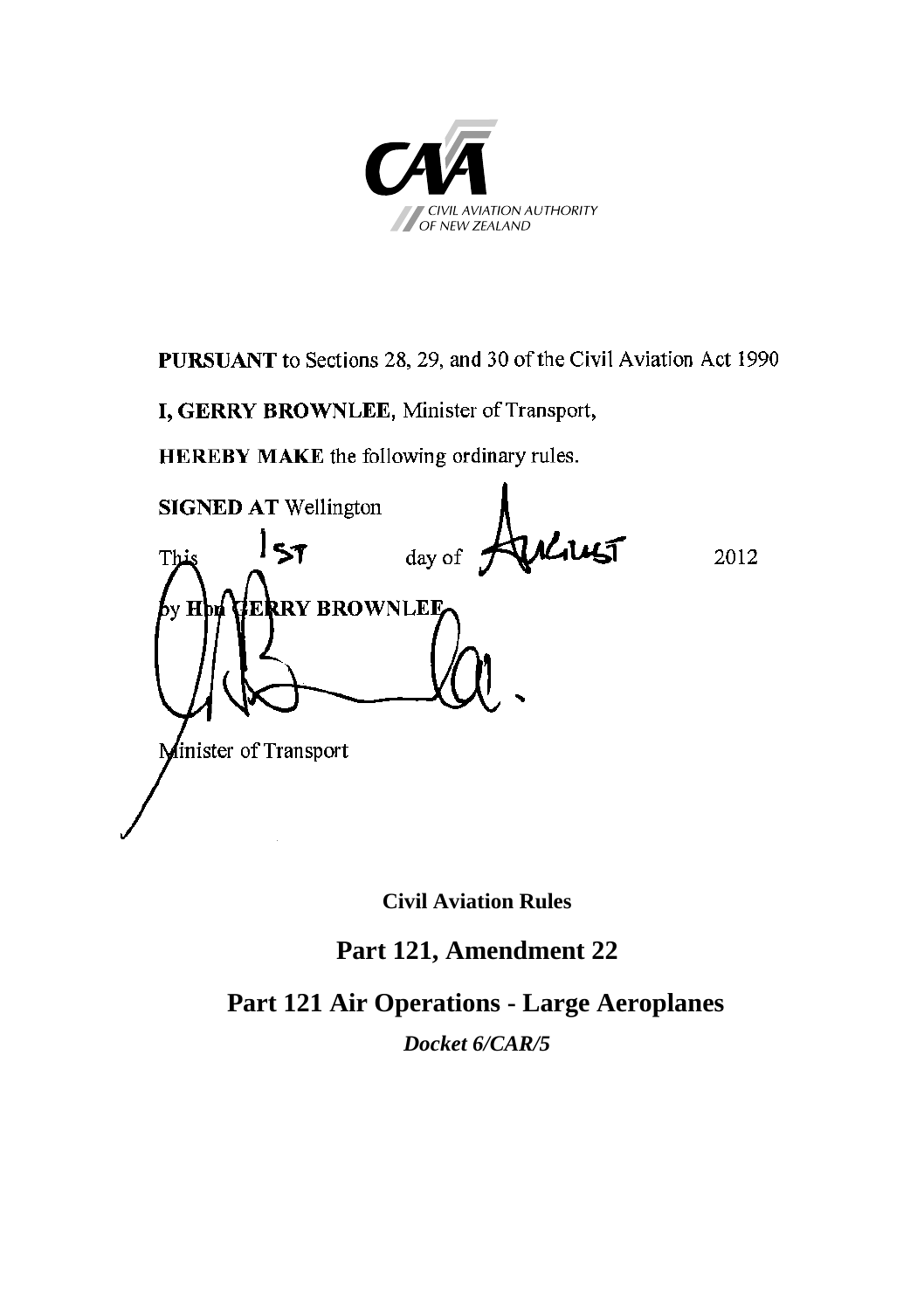

**PURSUANT** to Sections 28, 29, and 30 of the Civil Aviation Act 1990

**I, GERRY BROWNLEE**, Minister of Transport,

**HEREBY MAKE** the following ordinary rules.

**SIGNED AT** Wellington This  $\rightarrow$  1 day of  $\rightarrow$   $\rightarrow$   $\rightarrow$  2012 by **Hon GERRY BROWNLEE** Minister of Transport

**Civil Aviation Rules**

# **Part 121, Amendment 22**

**Part 121 Air Operations - Large Aeroplanes**

*Docket 6/CAR/5*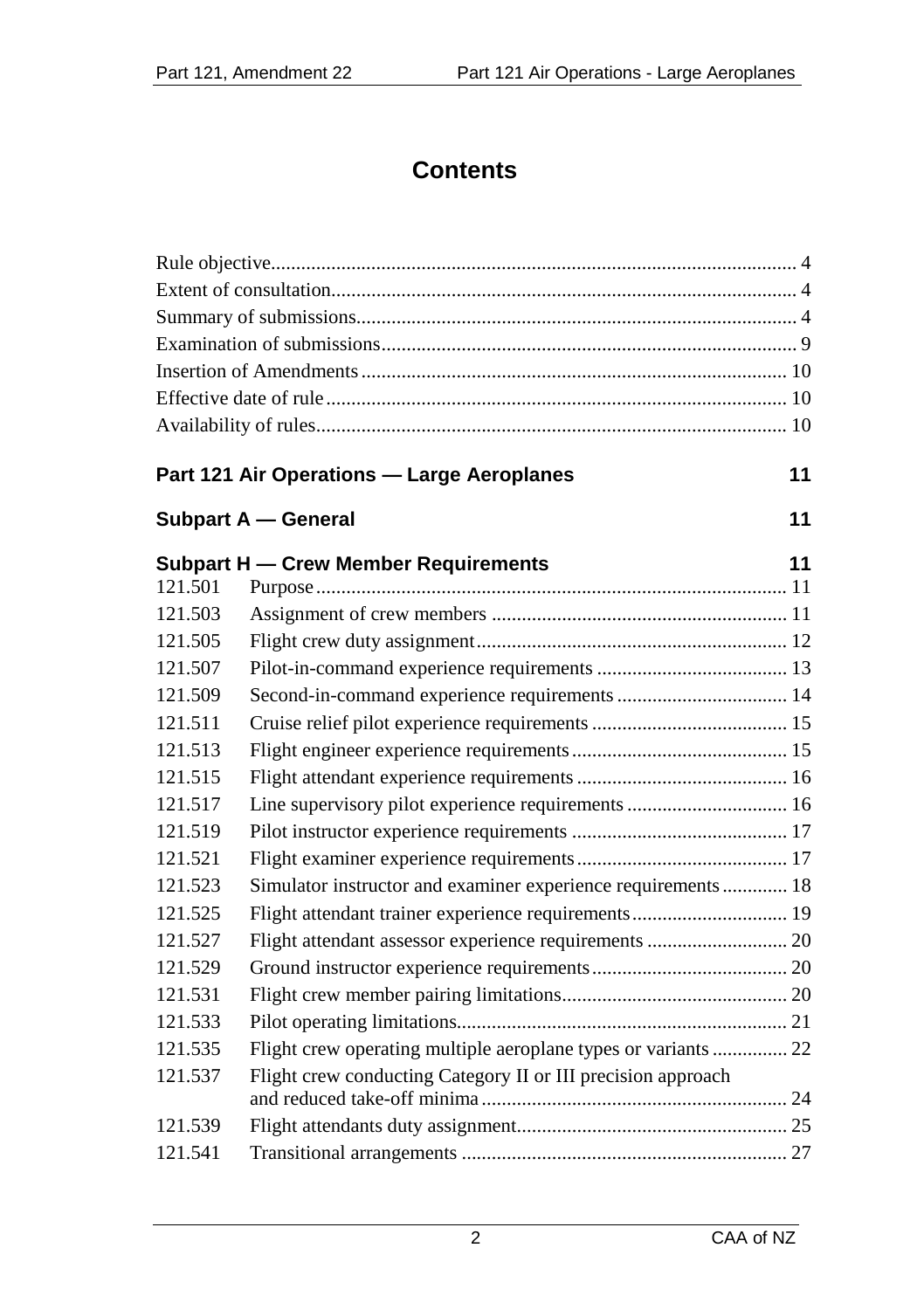# **Contents**

# **Part 121 Air Operations — Large Aeroplanes 11**

| Subpart A — General |  |
|---------------------|--|
|                     |  |

|         | Subpart H — Crew Member Requirements                           | 11 |
|---------|----------------------------------------------------------------|----|
| 121.501 |                                                                |    |
| 121.503 |                                                                |    |
| 121.505 |                                                                |    |
| 121.507 |                                                                |    |
| 121.509 |                                                                |    |
| 121.511 |                                                                |    |
| 121.513 |                                                                |    |
| 121.515 |                                                                |    |
| 121.517 | Line supervisory pilot experience requirements  16             |    |
| 121.519 |                                                                |    |
| 121.521 |                                                                |    |
| 121.523 | Simulator instructor and examiner experience requirements 18   |    |
| 121.525 | Flight attendant trainer experience requirements 19            |    |
| 121.527 | Flight attendant assessor experience requirements  20          |    |
| 121.529 |                                                                |    |
| 121.531 |                                                                |    |
| 121.533 |                                                                |    |
| 121.535 | Flight crew operating multiple aeroplane types or variants  22 |    |
| 121.537 | Flight crew conducting Category II or III precision approach   |    |
| 121.539 |                                                                |    |
| 121.541 |                                                                |    |
|         |                                                                |    |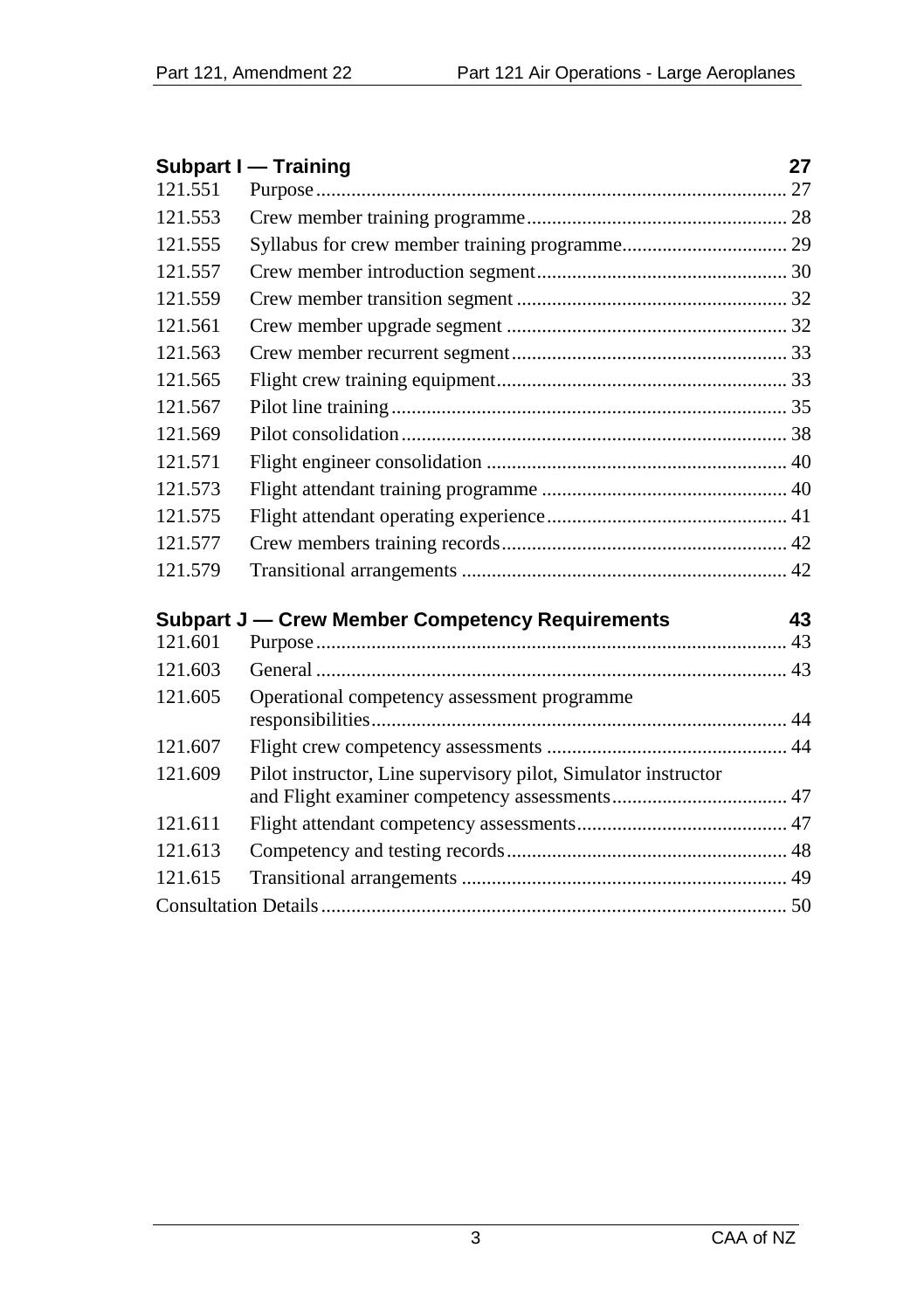|         | <b>Subpart I - Training</b>                                    | 27 |
|---------|----------------------------------------------------------------|----|
| 121.551 |                                                                |    |
| 121.553 |                                                                |    |
| 121.555 |                                                                |    |
| 121.557 |                                                                |    |
| 121.559 |                                                                |    |
| 121.561 |                                                                |    |
| 121.563 |                                                                |    |
| 121.565 |                                                                |    |
| 121.567 |                                                                |    |
| 121.569 |                                                                |    |
| 121.571 |                                                                |    |
| 121.573 |                                                                |    |
| 121.575 |                                                                |    |
| 121.577 |                                                                |    |
| 121.579 |                                                                |    |
|         | Subpart J - Crew Member Competency Requirements                | 43 |
| 121.601 |                                                                |    |
| 121.603 |                                                                |    |
|         |                                                                |    |
| 121.605 | Operational competency assessment programme                    |    |
|         |                                                                |    |
| 121.607 |                                                                |    |
| 121.609 | Pilot instructor, Line supervisory pilot, Simulator instructor |    |
| 121.611 |                                                                |    |
| 121.613 |                                                                |    |
| 121.615 |                                                                |    |
|         |                                                                |    |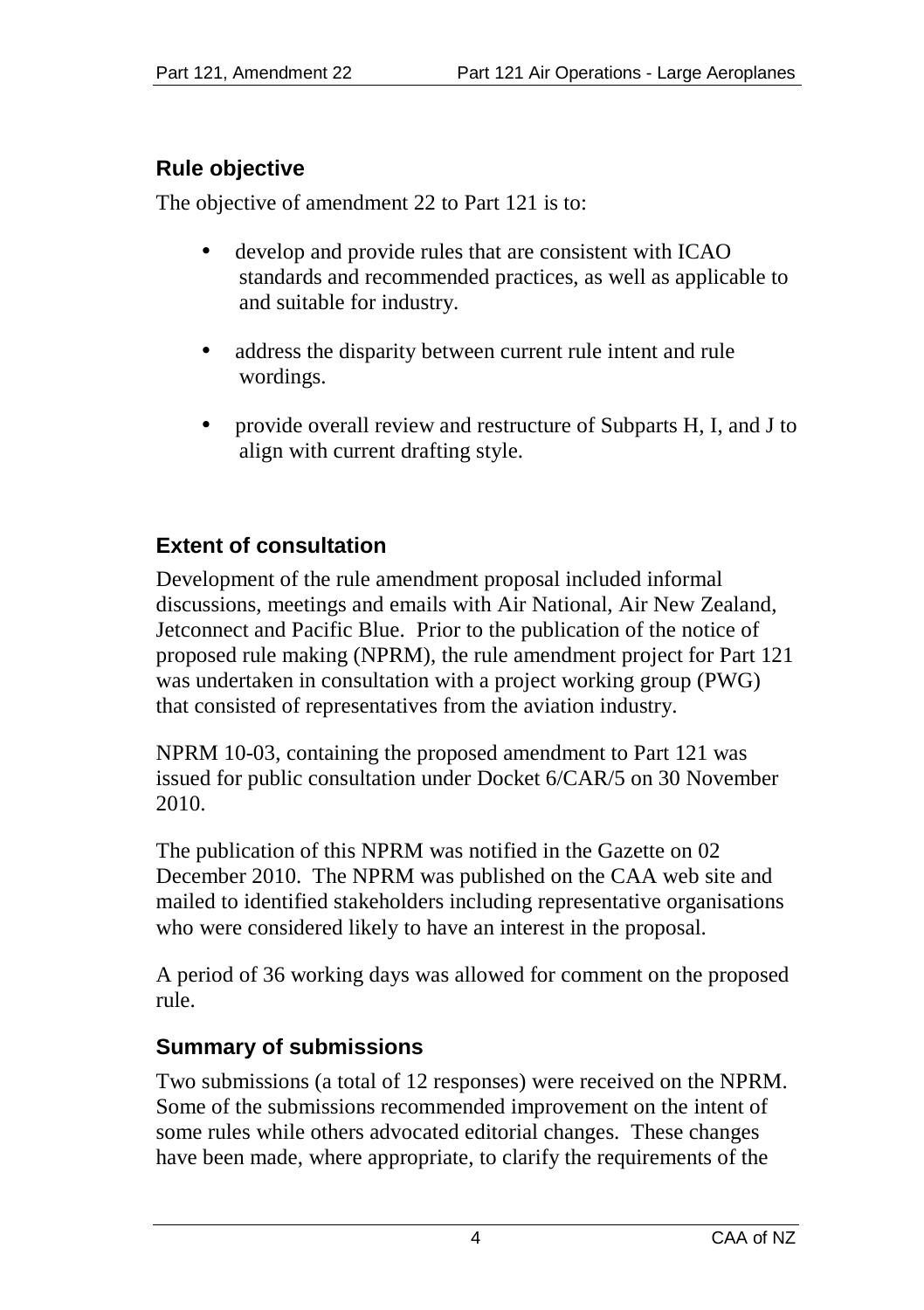# **Rule objective**

The objective of amendment 22 to Part 121 is to:

- develop and provide rules that are consistent with ICAO standards and recommended practices, as well as applicable to and suitable for industry.
- address the disparity between current rule intent and rule wordings.
- provide overall review and restructure of Subparts H, I, and J to align with current drafting style.

# **Extent of consultation**

Development of the rule amendment proposal included informal discussions, meetings and emails with Air National, Air New Zealand, Jetconnect and Pacific Blue. Prior to the publication of the notice of proposed rule making (NPRM), the rule amendment project for Part 121 was undertaken in consultation with a project working group (PWG) that consisted of representatives from the aviation industry.

NPRM 10-03, containing the proposed amendment to Part 121 was issued for public consultation under Docket 6/CAR/5 on 30 November 2010.

The publication of this NPRM was notified in the Gazette on 02 December 2010. The NPRM was published on the CAA web site and mailed to identified stakeholders including representative organisations who were considered likely to have an interest in the proposal.

A period of 36 working days was allowed for comment on the proposed rule.

# **Summary of submissions**

Two submissions (a total of 12 responses) were received on the NPRM. Some of the submissions recommended improvement on the intent of some rules while others advocated editorial changes. These changes have been made, where appropriate, to clarify the requirements of the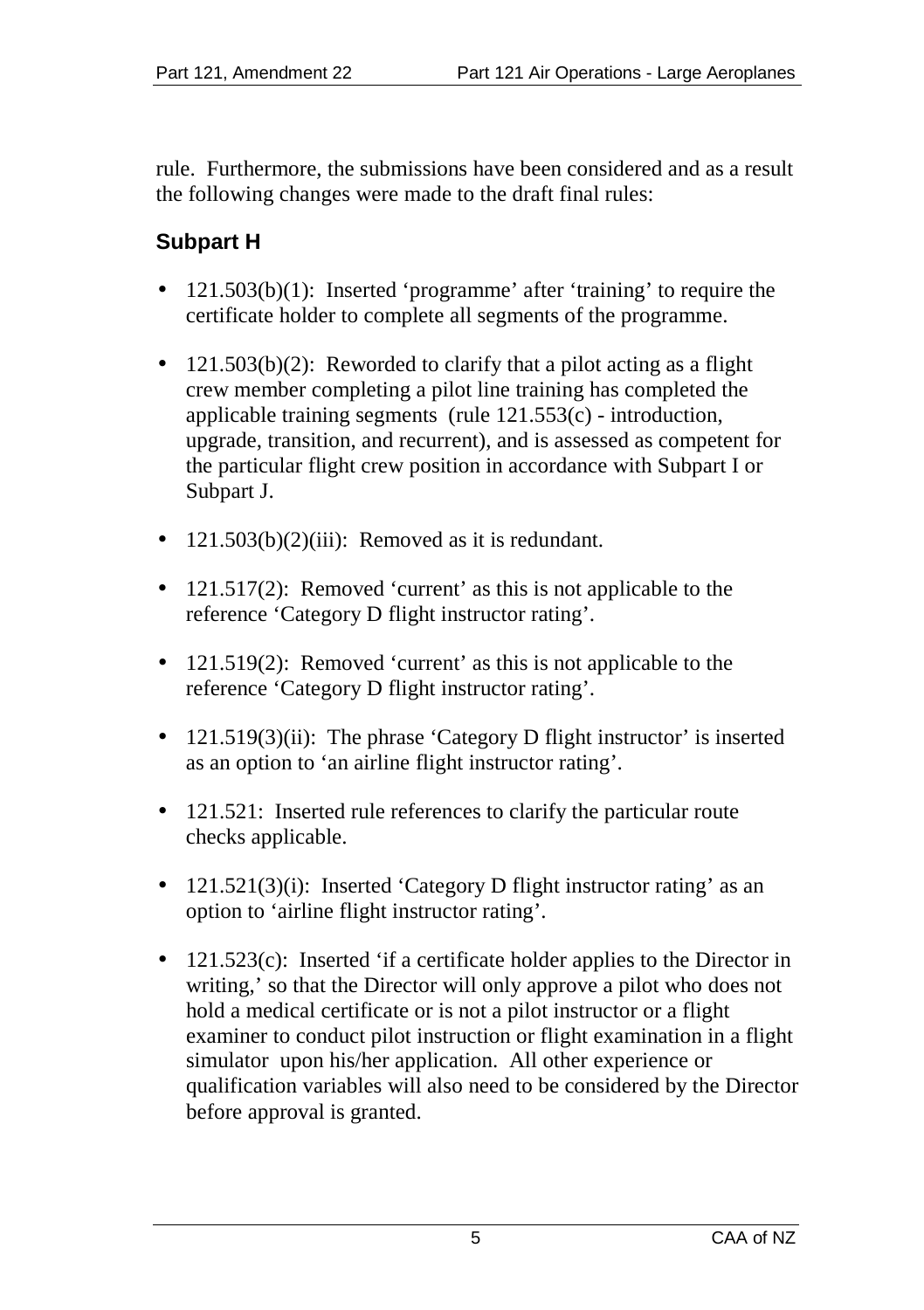rule. Furthermore, the submissions have been considered and as a result the following changes were made to the draft final rules:

# **Subpart H**

- 121.503(b)(1): Inserted 'programme' after 'training' to require the certificate holder to complete all segments of the programme.
- 121.503(b)(2): Reworded to clarify that a pilot acting as a flight crew member completing a pilot line training has completed the applicable training segments (rule 121.553(c) - introduction, upgrade, transition, and recurrent), and is assessed as competent for the particular flight crew position in accordance with Subpart I or Subpart J.
- $121.503(b)(2)(iii)$ : Removed as it is redundant.  $\blacksquare$
- 121.517(2): Removed 'current' as this is not applicable to the reference 'Category D flight instructor rating'.
- 121.519(2): Removed 'current' as this is not applicable to the reference 'Category D flight instructor rating'.
- 121.519(3)(ii): The phrase 'Category D flight instructor' is inserted as an option to 'an airline flight instructor rating'.
- 121.521: Inserted rule references to clarify the particular route checks applicable.
- 121.521(3)(i): Inserted 'Category D flight instructor rating' as an option to 'airline flight instructor rating'.
- 121.523(c): Inserted 'if a certificate holder applies to the Director in writing,' so that the Director will only approve a pilot who does not hold a medical certificate or is not a pilot instructor or a flight examiner to conduct pilot instruction or flight examination in a flight simulator upon his/her application. All other experience or qualification variables will also need to be considered by the Director before approval is granted.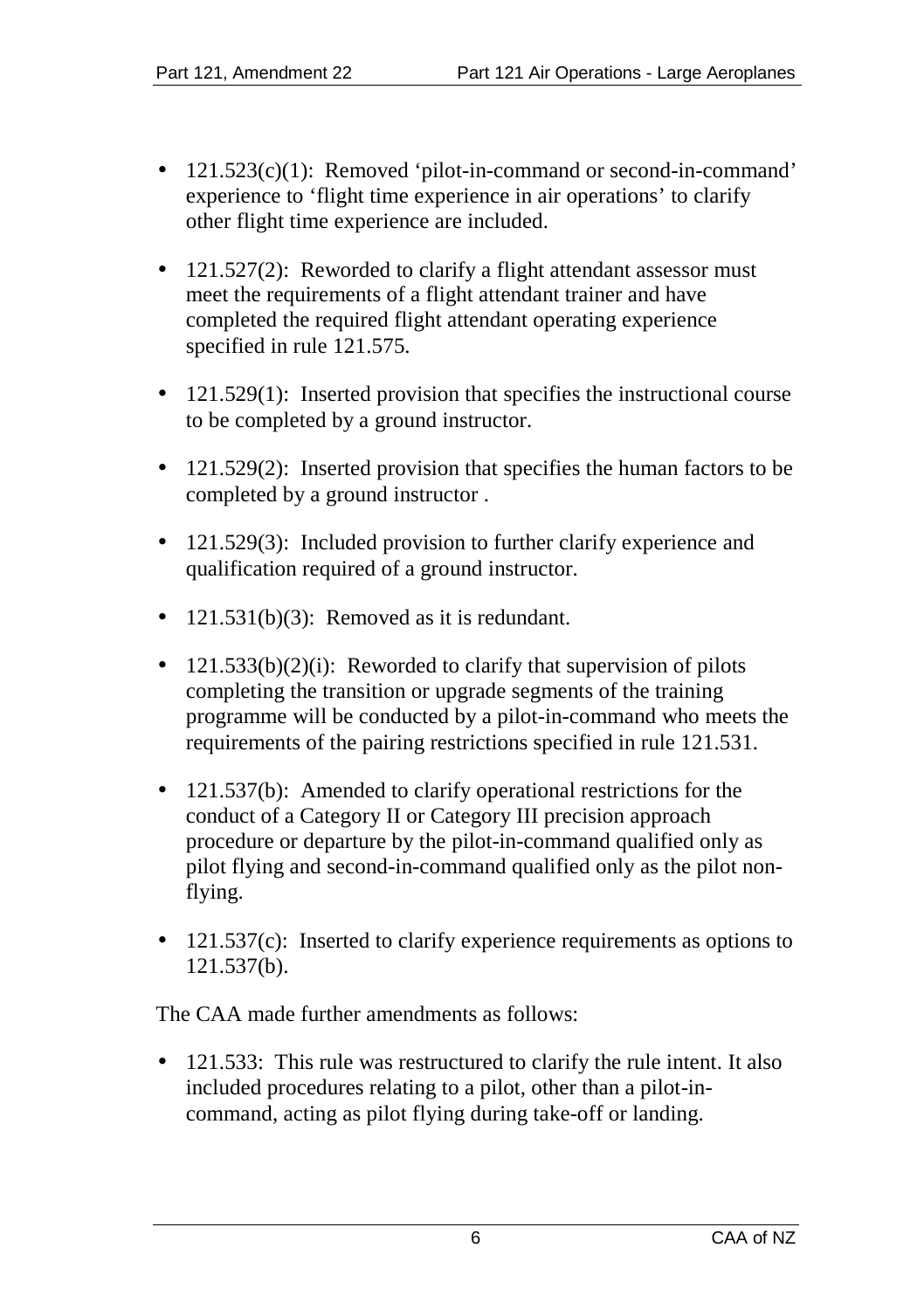- 121.523(c)(1): Removed 'pilot-in-command or second-in-command' experience to 'flight time experience in air operations' to clarify other flight time experience are included.
- 121.527(2): Reworded to clarify a flight attendant assessor must meet the requirements of a flight attendant trainer and have completed the required flight attendant operating experience specified in rule 121.575.
- 121.529(1): Inserted provision that specifies the instructional course t. to be completed by a ground instructor.
- 121.529(2): Inserted provision that specifies the human factors to be completed by a ground instructor .
- 121.529(3): Included provision to further clarify experience and qualification required of a ground instructor.
- 121.531(b)(3): Removed as it is redundant.
- $\cdot$  121.533(b)(2)(i): Reworded to clarify that supervision of pilots completing the transition or upgrade segments of the training programme will be conducted by a pilot-in-command who meets the requirements of the pairing restrictions specified in rule 121.531.
- 121.537(b): Amended to clarify operational restrictions for the conduct of a Category II or Category III precision approach procedure or departure by the pilot-in-command qualified only as pilot flying and second-in-command qualified only as the pilot nonflying.
- 121.537(c): Inserted to clarify experience requirements as options to 121.537(b).

The CAA made further amendments as follows:

121.533: This rule was restructured to clarify the rule intent. It also included procedures relating to a pilot, other than a pilot-incommand, acting as pilot flying during take-off or landing.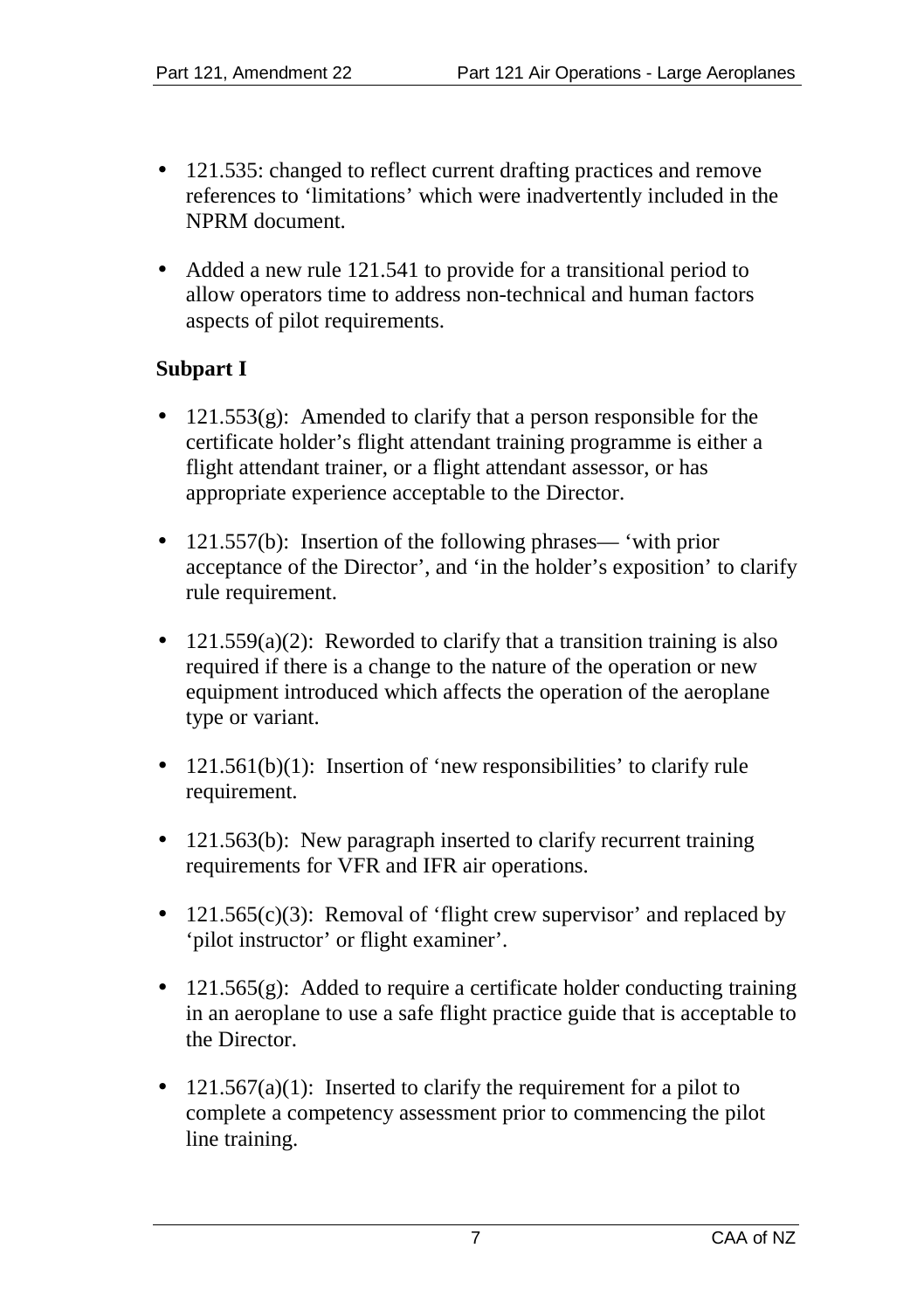- 121.535: changed to reflect current drafting practices and remove references to 'limitations' which were inadvertently included in the NPRM document.
- Added a new rule 121.541 to provide for a transitional period to allow operators time to address non-technical and human factors aspects of pilot requirements.

#### **Subpart I**

- $121.553(g)$ : Amended to clarify that a person responsible for the certificate holder's flight attendant training programme is either a flight attendant trainer, or a flight attendant assessor, or has appropriate experience acceptable to the Director.
- 121.557(b): Insertion of the following phrases— 'with prior acceptance of the Director', and 'in the holder's exposition' to clarify rule requirement.
- $121.559(a)(2)$ : Reworded to clarify that a transition training is also required if there is a change to the nature of the operation or new equipment introduced which affects the operation of the aeroplane type or variant.
- 121.561(b)(1): Insertion of 'new responsibilities' to clarify rule requirement.
- 121.563(b): New paragraph inserted to clarify recurrent training requirements for VFR and IFR air operations.
- 121.565(c)(3): Removal of 'flight crew supervisor' and replaced by 'pilot instructor' or flight examiner'.
- 121.565(g): Added to require a certificate holder conducting training ä, in an aeroplane to use a safe flight practice guide that is acceptable to the Director.
- $121.567(a)(1)$ : Inserted to clarify the requirement for a pilot to complete a competency assessment prior to commencing the pilot line training.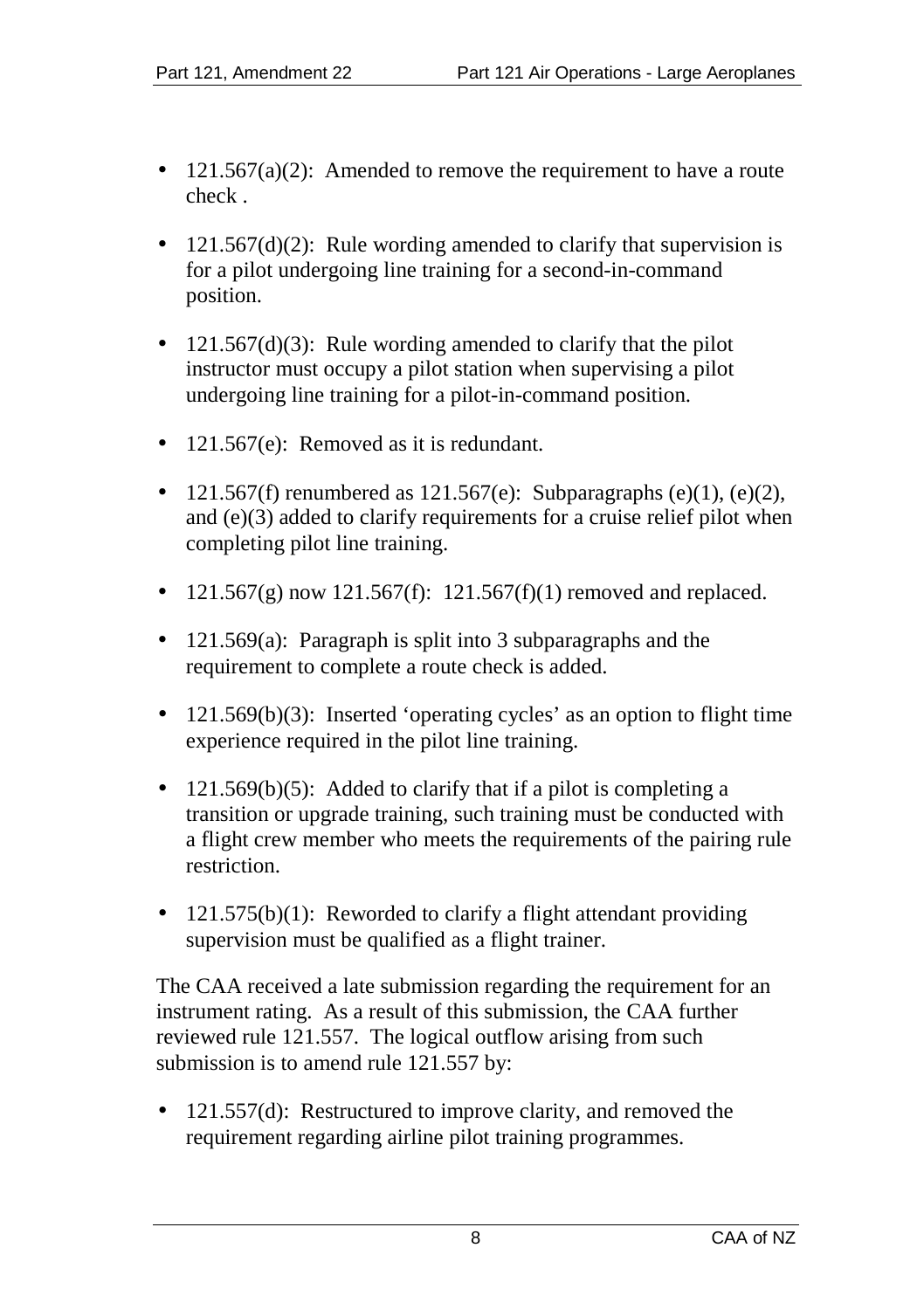- $121.567(a)(2)$ : Amended to remove the requirement to have a route check .
- $121.567(d)(2)$ : Rule wording amended to clarify that supervision is for a pilot undergoing line training for a second-in-command position.
- 121.567(d)(3): Rule wording amended to clarify that the pilot instructor must occupy a pilot station when supervising a pilot undergoing line training for a pilot-in-command position.
- 121.567(e): Removed as it is redundant.
- 121.567(f) renumbered as  $121.567(e)$ : Subparagraphs (e)(1), (e)(2), and (e)(3) added to clarify requirements for a cruise relief pilot when completing pilot line training.
- $121.567(g)$  now  $121.567(f)$ :  $121.567(f)(1)$  removed and replaced.
- 121.569(a): Paragraph is split into 3 subparagraphs and the requirement to complete a route check is added.
- 121.569(b)(3): Inserted 'operating cycles' as an option to flight time experience required in the pilot line training.
- 121.569(b)(5): Added to clarify that if a pilot is completing a transition or upgrade training, such training must be conducted with a flight crew member who meets the requirements of the pairing rule restriction.
- 121.575(b)(1): Reworded to clarify a flight attendant providing supervision must be qualified as a flight trainer.

The CAA received a late submission regarding the requirement for an instrument rating. As a result of this submission, the CAA further reviewed rule 121.557. The logical outflow arising from such submission is to amend rule 121.557 by:

121.557(d): Restructured to improve clarity, and removed the requirement regarding airline pilot training programmes.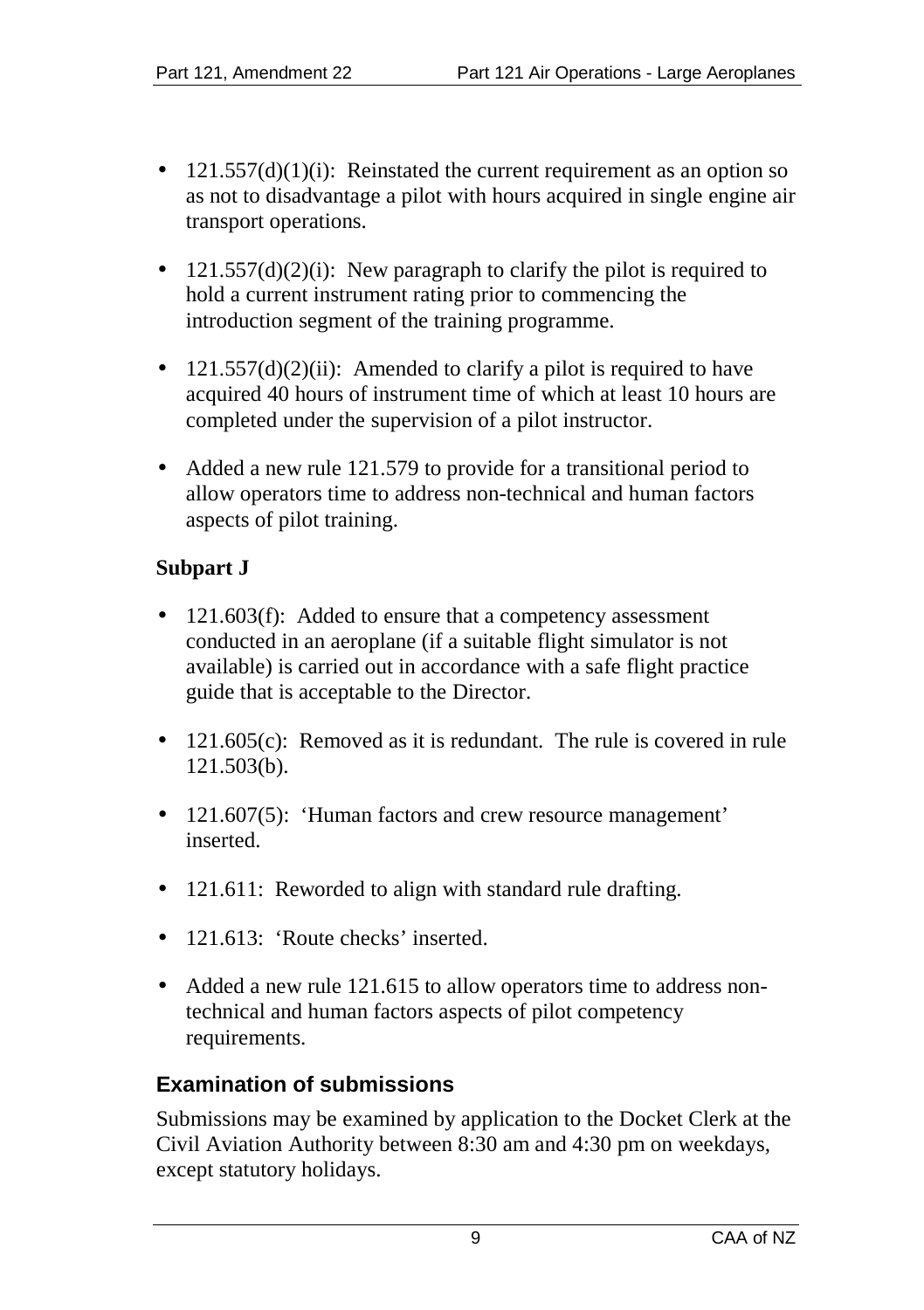- $121.557(d)(1)(i)$ : Reinstated the current requirement as an option so as not to disadvantage a pilot with hours acquired in single engine air transport operations.
- $121.557(d)(2)(i)$ : New paragraph to clarify the pilot is required to hold a current instrument rating prior to commencing the introduction segment of the training programme.
- $121.557(d)(2)(ii)$ : Amended to clarify a pilot is required to have acquired 40 hours of instrument time of which at least 10 hours are completed under the supervision of a pilot instructor.
- Added a new rule 121.579 to provide for a transitional period to allow operators time to address non-technical and human factors aspects of pilot training.

#### **Subpart J**

- 121.603(f): Added to ensure that a competency assessment conducted in an aeroplane (if a suitable flight simulator is not available) is carried out in accordance with a safe flight practice guide that is acceptable to the Director.
- 121.605(c): Removed as it is redundant. The rule is covered in rule 121.503(b).
- 121.607(5): 'Human factors and crew resource management' a. inserted.
- 121.611: Reworded to align with standard rule drafting.
- 121.613: 'Route checks' inserted.
- Added a new rule 121.615 to allow operators time to address nontechnical and human factors aspects of pilot competency requirements.

# **Examination of submissions**

Submissions may be examined by application to the Docket Clerk at the Civil Aviation Authority between 8:30 am and 4:30 pm on weekdays, except statutory holidays.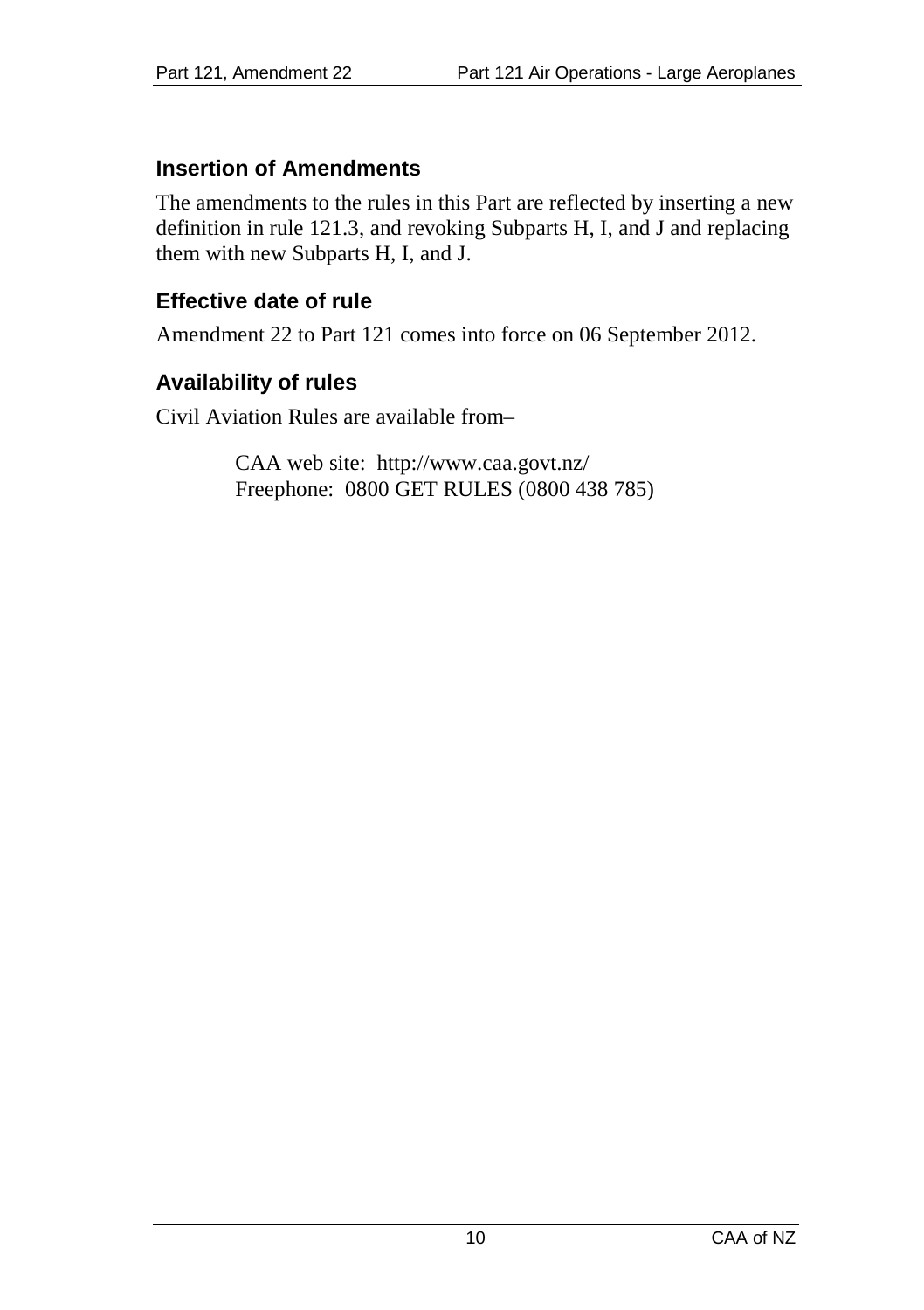## **Insertion of Amendments**

The amendments to the rules in this Part are reflected by inserting a new definition in rule 121.3, and revoking Subparts H, I, and J and replacing them with new Subparts H, I, and J.

# **Effective date of rule**

Amendment 22 to Part 121 comes into force on 06 September 2012.

# **Availability of rules**

Civil Aviation Rules are available from–

CAA web site: <http://www.caa.govt.nz/> Freephone: 0800 GET RULES (0800 438 785)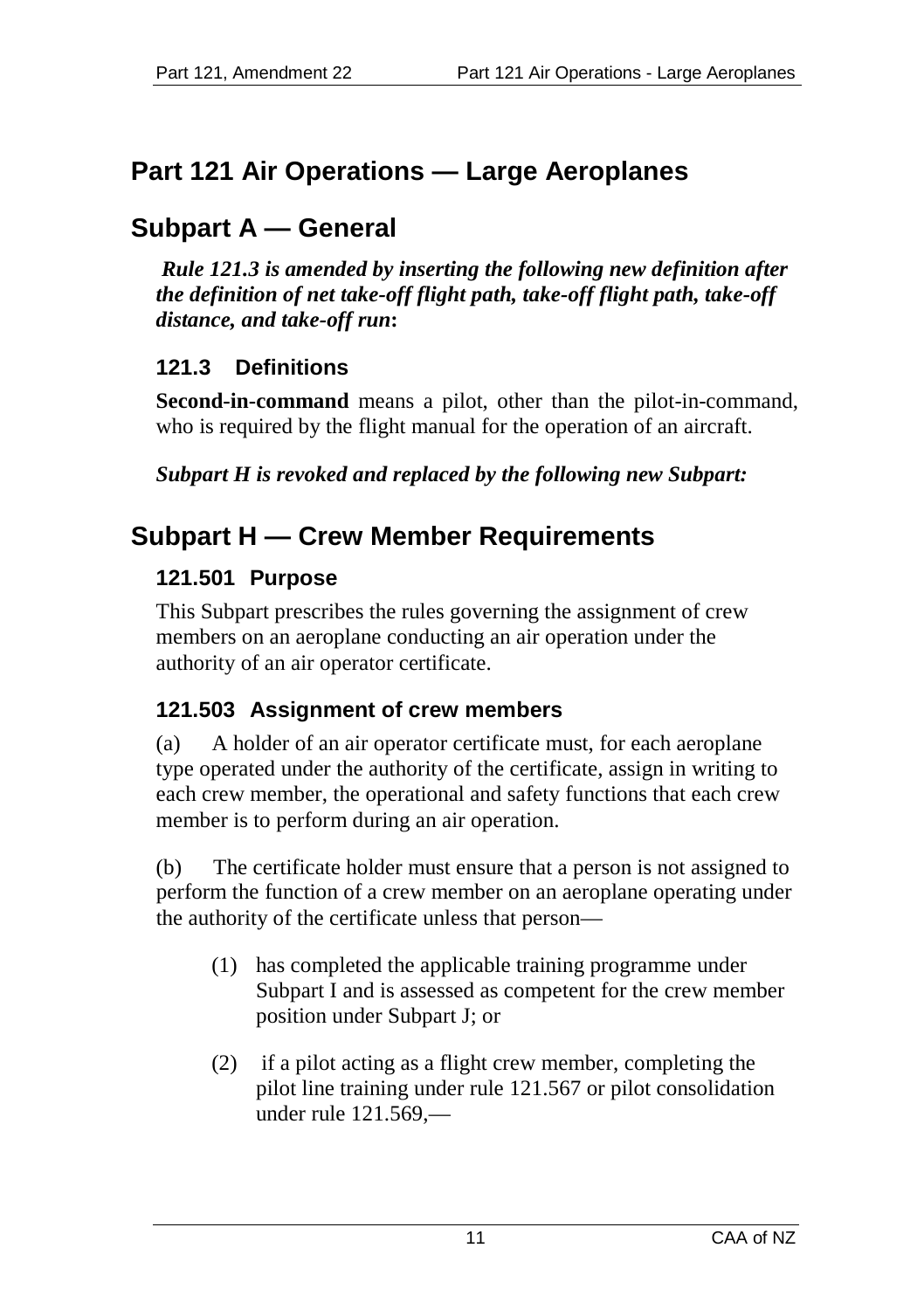# **Part 121 Air Operations — Large Aeroplanes**

# **Subpart A — General**

*Rule 121.3 is amended by inserting the following new definition after the definition of net take-off flight path, take-off flight path, take-off distance, and take-off run***:**

# **121.3 Definitions**

**Second-in-command** means a pilot, other than the pilot-in-command, who is required by the flight manual for the operation of an aircraft.

*Subpart H is revoked and replaced by the following new Subpart:*

# **Subpart H — Crew Member Requirements**

# **121.501 Purpose**

This Subpart prescribes the rules governing the assignment of crew members on an aeroplane conducting an air operation under the authority of an air operator certificate.

# **121.503 Assignment of crew members**

(a) A holder of an air operator certificate must, for each aeroplane type operated under the authority of the certificate, assign in writing to each crew member, the operational and safety functions that each crew member is to perform during an air operation.

(b) The certificate holder must ensure that a person is not assigned to perform the function of a crew member on an aeroplane operating under the authority of the certificate unless that person—

- (1) has completed the applicable training programme under Subpart I and is assessed as competent for the crew member position under Subpart J; or
- (2) if a pilot acting as a flight crew member, completing the pilot line training under rule 121.567 or pilot consolidation under rule 121.569,—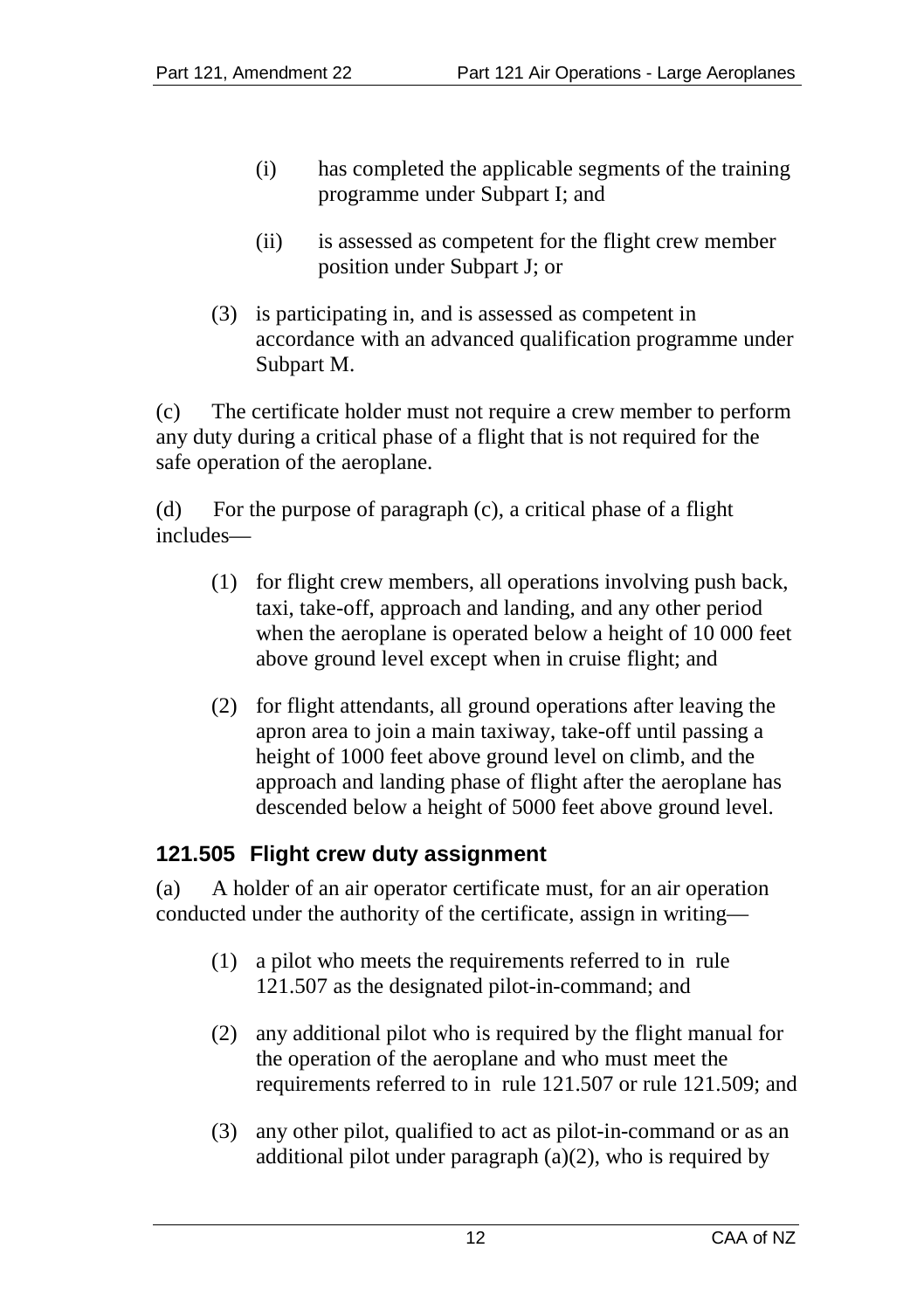- (i) has completed the applicable segments of the training programme under Subpart I; and
- (ii) is assessed as competent for the flight crew member position under Subpart J; or
- (3) is participating in, and is assessed as competent in accordance with an advanced qualification programme under Subpart M.

(c) The certificate holder must not require a crew member to perform any duty during a critical phase of a flight that is not required for the safe operation of the aeroplane.

(d) For the purpose of paragraph (c), a critical phase of a flight includes—

- (1) for flight crew members, all operations involving push back, taxi, take-off, approach and landing, and any other period when the aeroplane is operated below a height of 10 000 feet above ground level except when in cruise flight; and
- (2) for flight attendants, all ground operations after leaving the apron area to join a main taxiway, take-off until passing a height of 1000 feet above ground level on climb, and the approach and landing phase of flight after the aeroplane has descended below a height of 5000 feet above ground level.

# **121.505 Flight crew duty assignment**

(a) A holder of an air operator certificate must, for an air operation conducted under the authority of the certificate, assign in writing—

- (1) a pilot who meets the requirements referred to in rule 121.507 as the designated pilot-in-command; and
- (2) any additional pilot who is required by the flight manual for the operation of the aeroplane and who must meet the requirements referred to in rule 121.507 or rule 121.509; and
- (3) any other pilot, qualified to act as pilot-in-command or as an additional pilot under paragraph (a)(2), who is required by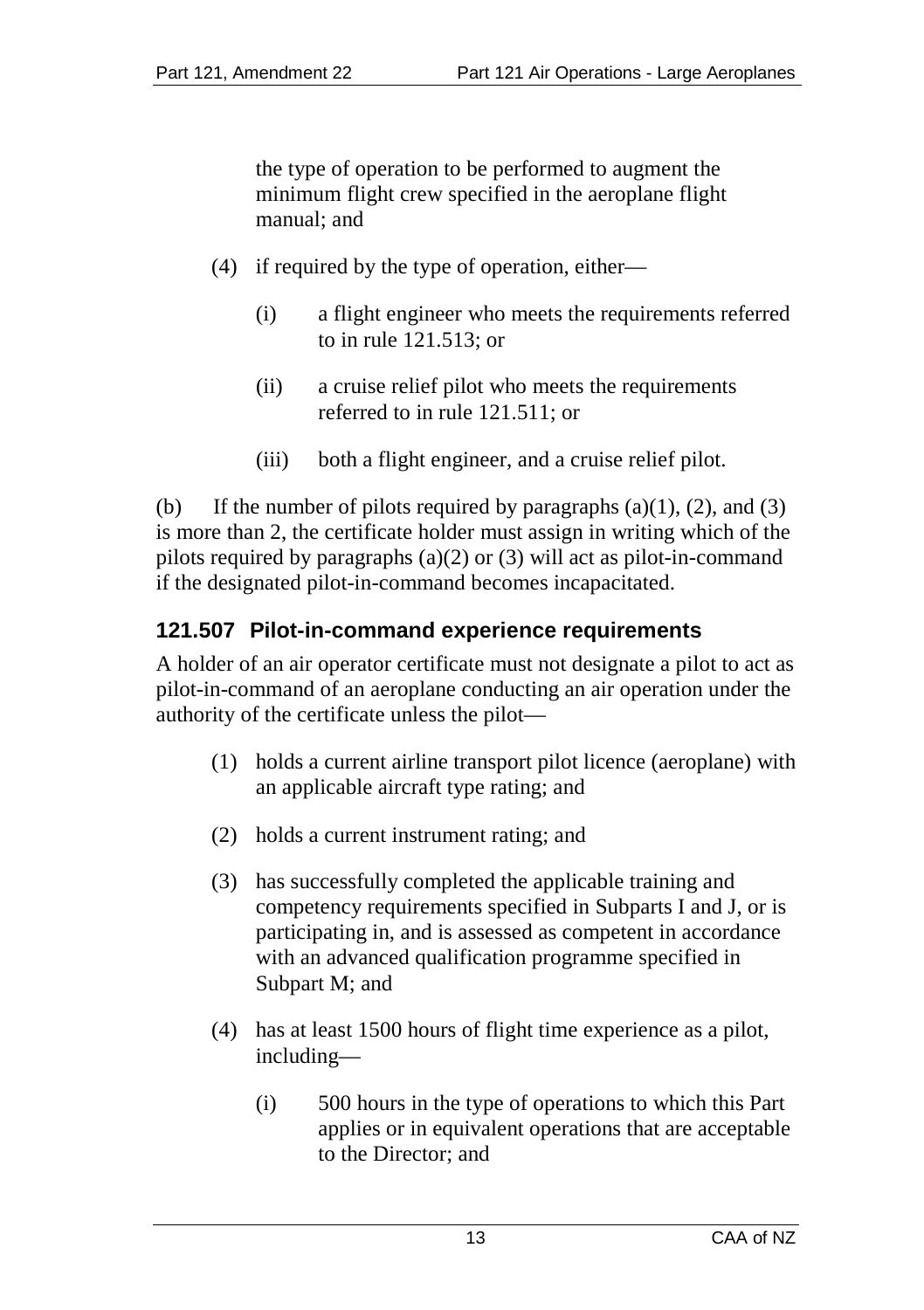the type of operation to be performed to augment the minimum flight crew specified in the aeroplane flight manual; and

- (4) if required by the type of operation, either—
	- (i) a flight engineer who meets the requirements referred to in rule 121.513; or
	- (ii) a cruise relief pilot who meets the requirements referred to in rule 121.511; or
	- (iii) both a flight engineer, and a cruise relief pilot.

(b) If the number of pilots required by paragraphs  $(a)(1)$ ,  $(2)$ , and  $(3)$ is more than 2, the certificate holder must assign in writing which of the pilots required by paragraphs (a)(2) or (3) will act as pilot-in-command if the designated pilot-in-command becomes incapacitated.

# **121.507 Pilot-in-command experience requirements**

A holder of an air operator certificate must not designate a pilot to act as pilot-in-command of an aeroplane conducting an air operation under the authority of the certificate unless the pilot—

- (1) holds a current airline transport pilot licence (aeroplane) with an applicable aircraft type rating; and
- (2) holds a current instrument rating; and
- (3) has successfully completed the applicable training and competency requirements specified in Subparts I and J, or is participating in, and is assessed as competent in accordance with an advanced qualification programme specified in Subpart M; and
- (4) has at least 1500 hours of flight time experience as a pilot, including—
	- (i) 500 hours in the type of operations to which this Part applies or in equivalent operations that are acceptable to the Director; and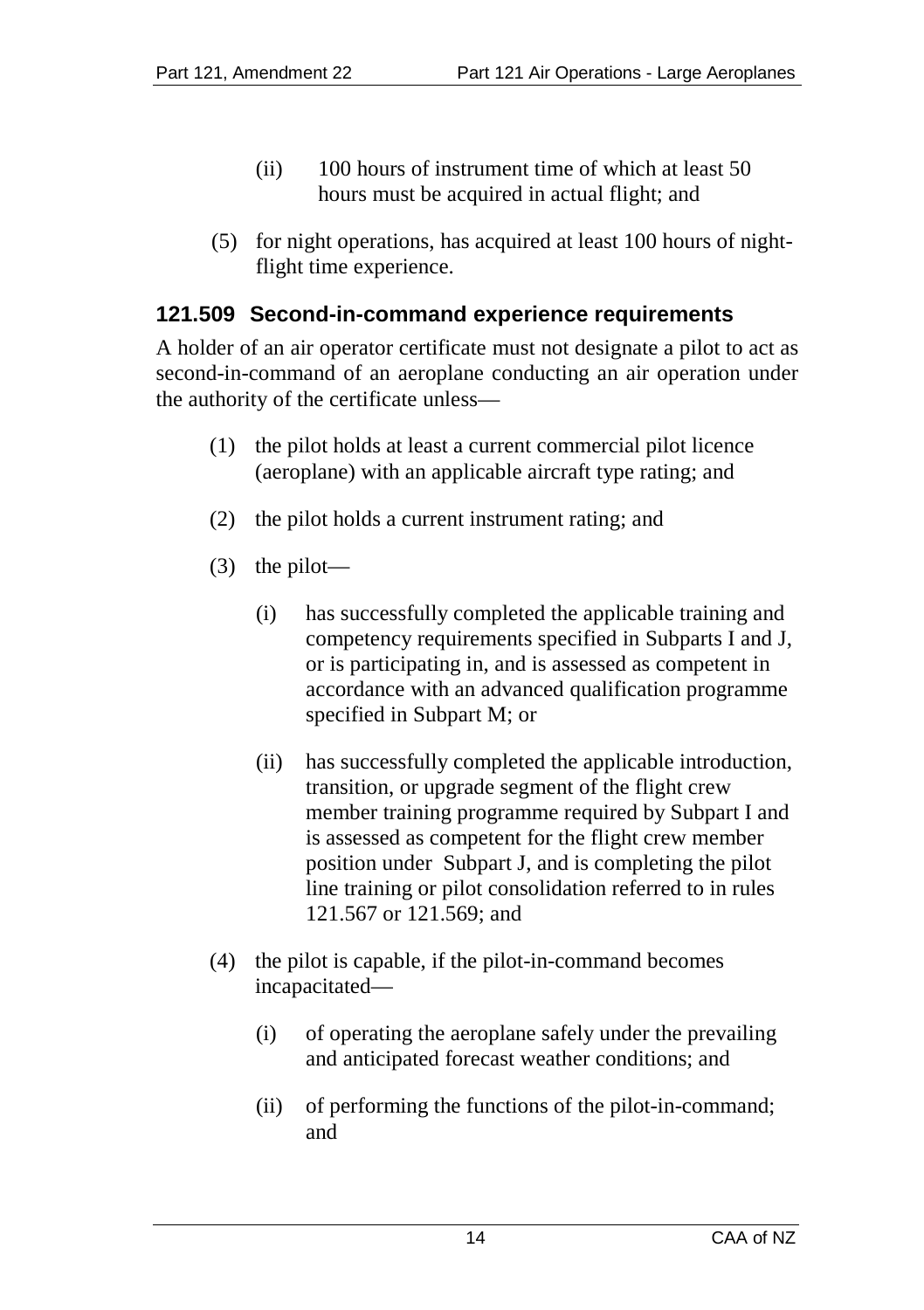- (ii) 100 hours of instrument time of which at least 50 hours must be acquired in actual flight; and
- (5) for night operations, has acquired at least 100 hours of nightflight time experience.

#### **121.509 Second-in-command experience requirements**

A holder of an air operator certificate must not designate a pilot to act as second-in-command of an aeroplane conducting an air operation under the authority of the certificate unless—

- (1) the pilot holds at least a current commercial pilot licence (aeroplane) with an applicable aircraft type rating; and
- (2) the pilot holds a current instrument rating; and
- (3) the pilot—
	- (i) has successfully completed the applicable training and competency requirements specified in Subparts I and J, or is participating in, and is assessed as competent in accordance with an advanced qualification programme specified in Subpart M; or
	- (ii) has successfully completed the applicable introduction, transition, or upgrade segment of the flight crew member training programme required by Subpart I and is assessed as competent for the flight crew member position under Subpart J, and is completing the pilot line training or pilot consolidation referred to in rules 121.567 or 121.569; and
- (4) the pilot is capable, if the pilot-in-command becomes incapacitated—
	- (i) of operating the aeroplane safely under the prevailing and anticipated forecast weather conditions; and
	- (ii) of performing the functions of the pilot-in-command; and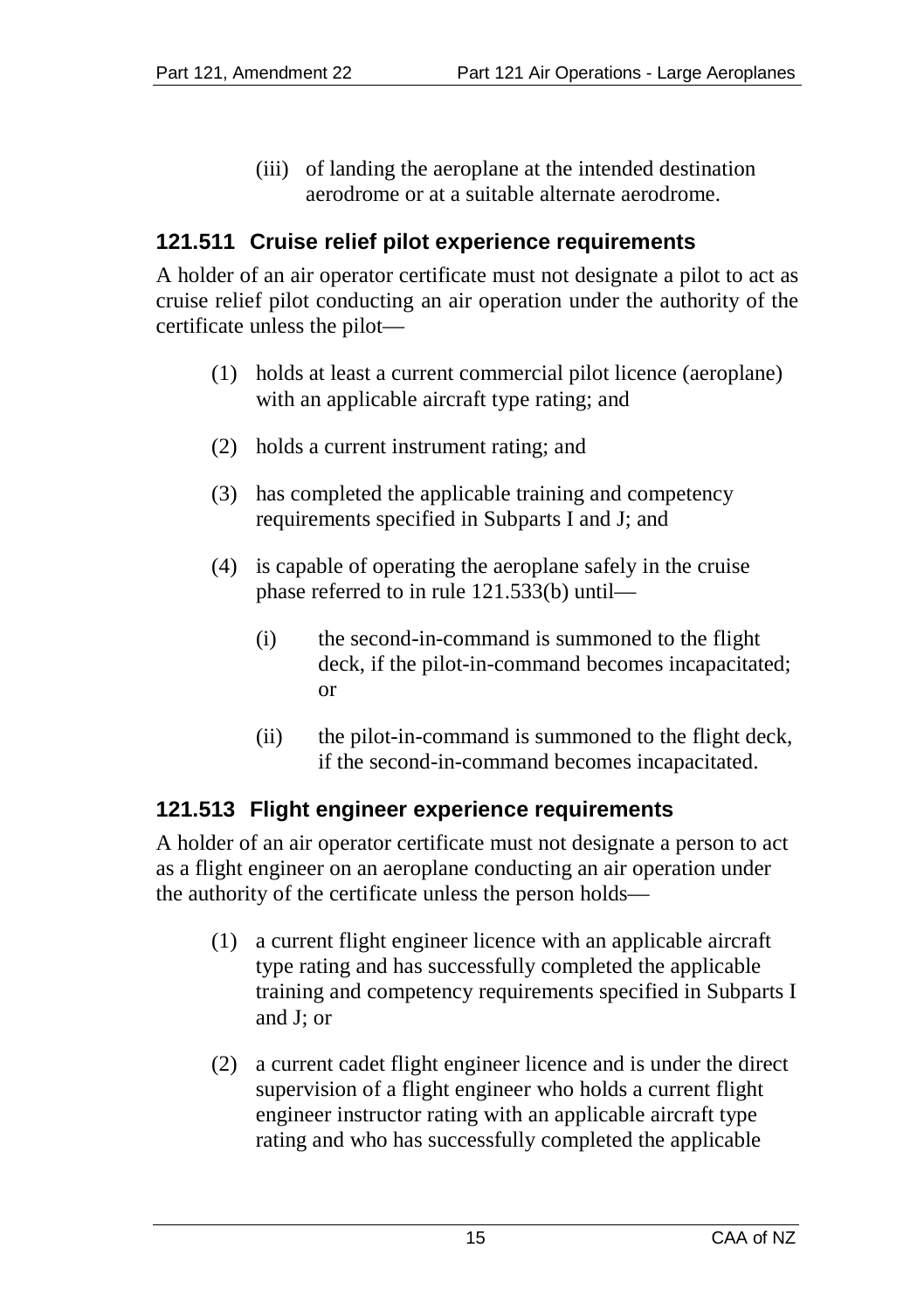(iii) of landing the aeroplane at the intended destination aerodrome or at a suitable alternate aerodrome.

## **121.511 Cruise relief pilot experience requirements**

A holder of an air operator certificate must not designate a pilot to act as cruise relief pilot conducting an air operation under the authority of the certificate unless the pilot—

- (1) holds at least a current commercial pilot licence (aeroplane) with an applicable aircraft type rating; and
- (2) holds a current instrument rating; and
- (3) has completed the applicable training and competency requirements specified in Subparts I and J; and
- (4) is capable of operating the aeroplane safely in the cruise phase referred to in rule 121.533(b) until—
	- (i) the second-in-command is summoned to the flight deck, if the pilot-in-command becomes incapacitated; or
	- (ii) the pilot-in-command is summoned to the flight deck, if the second-in-command becomes incapacitated.

#### **121.513 Flight engineer experience requirements**

A holder of an air operator certificate must not designate a person to act as a flight engineer on an aeroplane conducting an air operation under the authority of the certificate unless the person holds—

- (1) a current flight engineer licence with an applicable aircraft type rating and has successfully completed the applicable training and competency requirements specified in Subparts I and J; or
- (2) a current cadet flight engineer licence and is under the direct supervision of a flight engineer who holds a current flight engineer instructor rating with an applicable aircraft type rating and who has successfully completed the applicable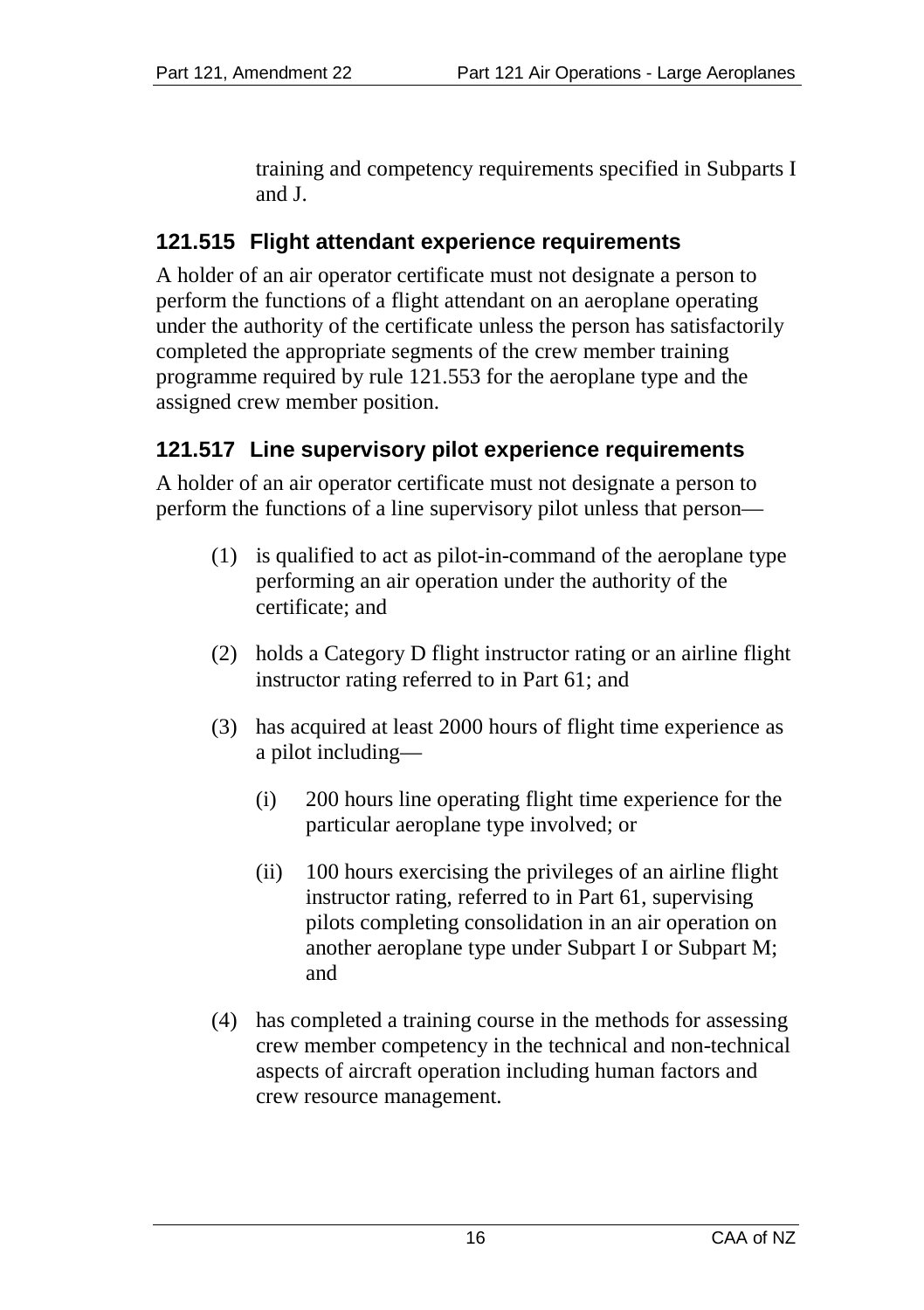training and competency requirements specified in Subparts I and J.

## **121.515 Flight attendant experience requirements**

A holder of an air operator certificate must not designate a person to perform the functions of a flight attendant on an aeroplane operating under the authority of the certificate unless the person has satisfactorily completed the appropriate segments of the crew member training programme required by rule 121.553 for the aeroplane type and the assigned crew member position.

# **121.517 Line supervisory pilot experience requirements**

A holder of an air operator certificate must not designate a person to perform the functions of a line supervisory pilot unless that person—

- (1) is qualified to act as pilot-in-command of the aeroplane type performing an air operation under the authority of the certificate; and
- (2) holds a Category D flight instructor rating or an airline flight instructor rating referred to in Part 61; and
- (3) has acquired at least 2000 hours of flight time experience as a pilot including—
	- (i) 200 hours line operating flight time experience for the particular aeroplane type involved; or
	- (ii) 100 hours exercising the privileges of an airline flight instructor rating, referred to in Part 61, supervising pilots completing consolidation in an air operation on another aeroplane type under Subpart I or Subpart M; and
- (4) has completed a training course in the methods for assessing crew member competency in the technical and non-technical aspects of aircraft operation including human factors and crew resource management.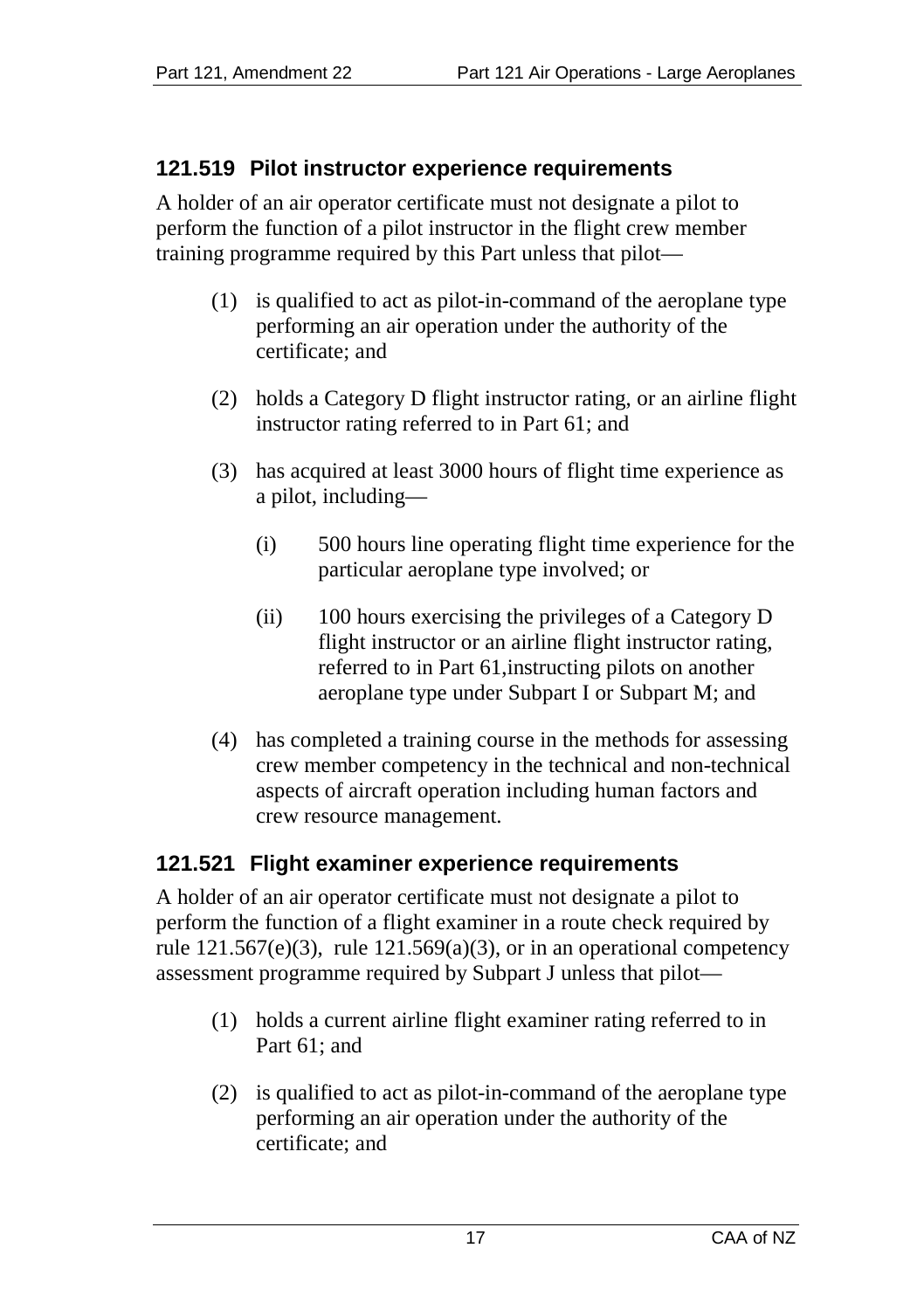# **121.519 Pilot instructor experience requirements**

A holder of an air operator certificate must not designate a pilot to perform the function of a pilot instructor in the flight crew member training programme required by this Part unless that pilot—

- (1) is qualified to act as pilot-in-command of the aeroplane type performing an air operation under the authority of the certificate; and
- (2) holds a Category D flight instructor rating, or an airline flight instructor rating referred to in Part 61; and
- (3) has acquired at least 3000 hours of flight time experience as a pilot, including—
	- (i) 500 hours line operating flight time experience for the particular aeroplane type involved; or
	- (ii) 100 hours exercising the privileges of a Category D flight instructor or an airline flight instructor rating, referred to in Part 61,instructing pilots on another aeroplane type under Subpart I or Subpart M; and
- (4) has completed a training course in the methods for assessing crew member competency in the technical and non-technical aspects of aircraft operation including human factors and crew resource management.

# **121.521 Flight examiner experience requirements**

A holder of an air operator certificate must not designate a pilot to perform the function of a flight examiner in a route check required by rule  $121.567(e)(3)$ , rule  $121.569(a)(3)$ , or in an operational competency assessment programme required by Subpart J unless that pilot—

- (1) holds a current airline flight examiner rating referred to in Part 61; and
- (2) is qualified to act as pilot-in-command of the aeroplane type performing an air operation under the authority of the certificate; and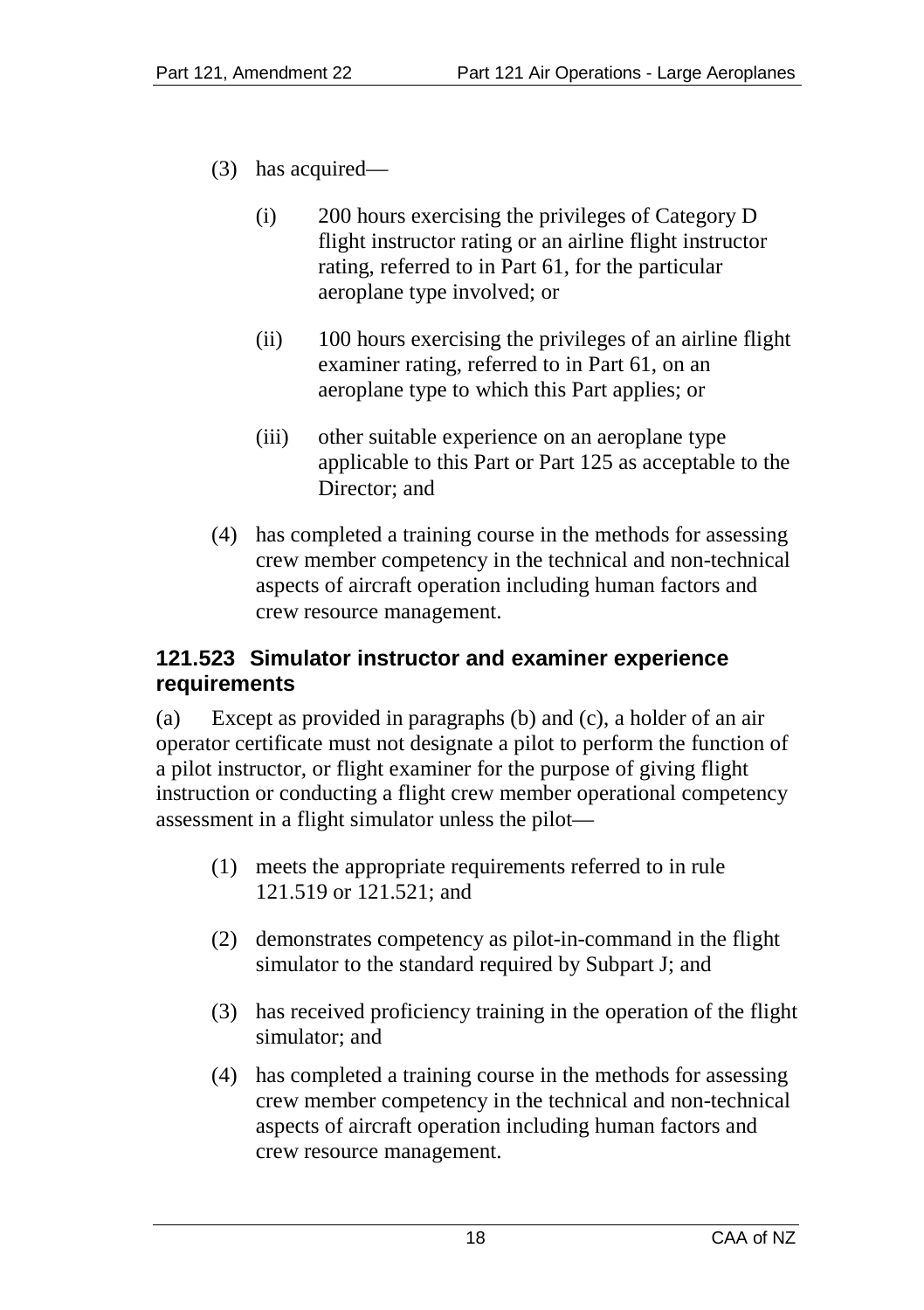- (3) has acquired—
	- (i) 200 hours exercising the privileges of Category D flight instructor rating or an airline flight instructor rating, referred to in Part 61, for the particular aeroplane type involved; or
	- (ii) 100 hours exercising the privileges of an airline flight examiner rating, referred to in Part 61, on an aeroplane type to which this Part applies; or
	- (iii) other suitable experience on an aeroplane type applicable to this Part or Part 125 as acceptable to the Director; and
- (4) has completed a training course in the methods for assessing crew member competency in the technical and non-technical aspects of aircraft operation including human factors and crew resource management.

## **121.523 Simulator instructor and examiner experience requirements**

(a) Except as provided in paragraphs (b) and (c), a holder of an air operator certificate must not designate a pilot to perform the function of a pilot instructor, or flight examiner for the purpose of giving flight instruction or conducting a flight crew member operational competency assessment in a flight simulator unless the pilot—

- (1) meets the appropriate requirements referred to in rule 121.519 or 121.521; and
- (2) demonstrates competency as pilot-in-command in the flight simulator to the standard required by Subpart J; and
- (3) has received proficiency training in the operation of the flight simulator; and
- (4) has completed a training course in the methods for assessing crew member competency in the technical and non-technical aspects of aircraft operation including human factors and crew resource management.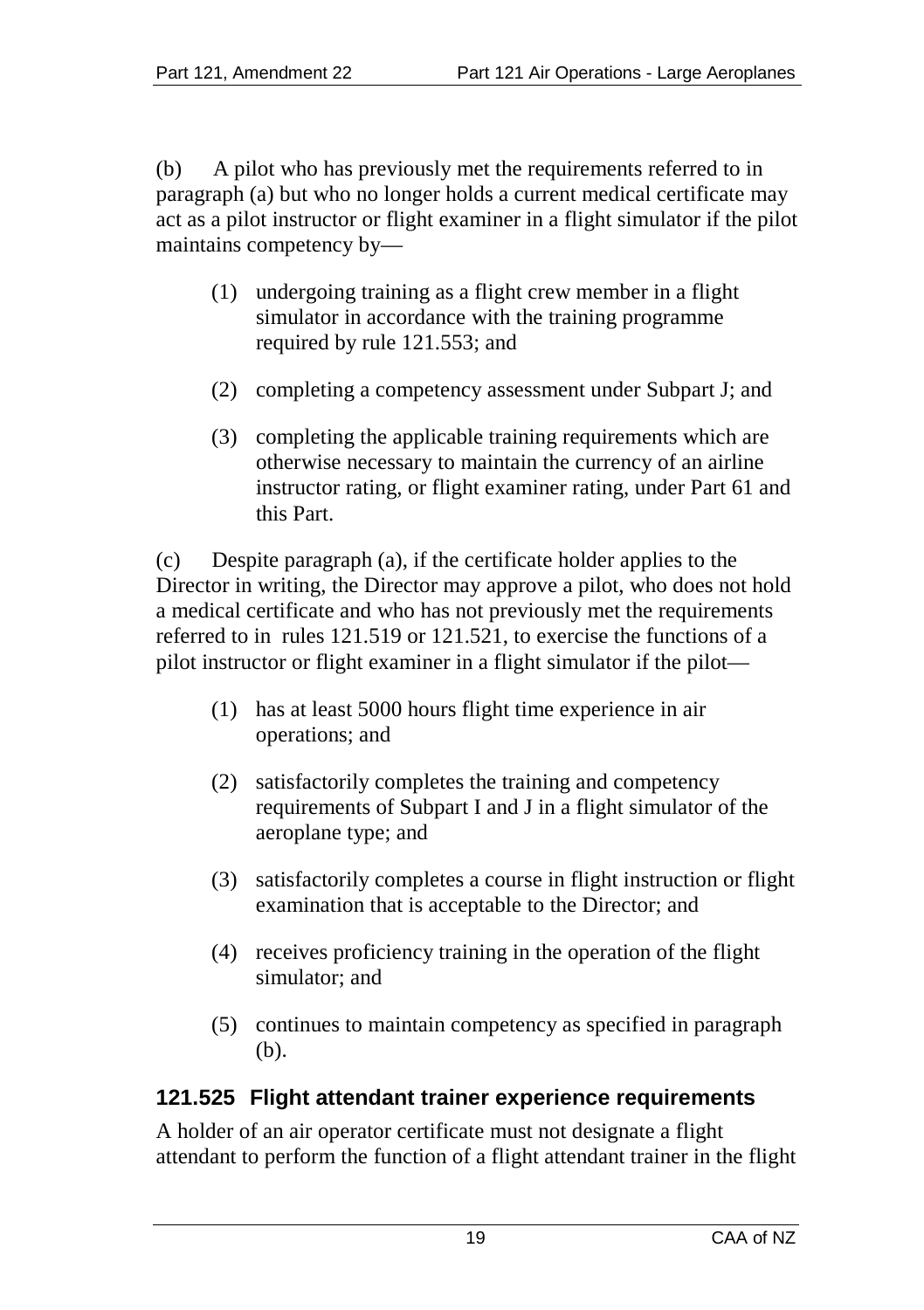(b) A pilot who has previously met the requirements referred to in paragraph (a) but who no longer holds a current medical certificate may act as a pilot instructor or flight examiner in a flight simulator if the pilot maintains competency by—

- (1) undergoing training as a flight crew member in a flight simulator in accordance with the training programme required by rule 121.553; and
- (2) completing a competency assessment under Subpart J; and
- (3) completing the applicable training requirements which are otherwise necessary to maintain the currency of an airline instructor rating, or flight examiner rating, under Part 61 and this Part.

(c) Despite paragraph (a), if the certificate holder applies to the Director in writing, the Director may approve a pilot, who does not hold a medical certificate and who has not previously met the requirements referred to in rules 121.519 or 121.521, to exercise the functions of a pilot instructor or flight examiner in a flight simulator if the pilot—

- (1) has at least 5000 hours flight time experience in air operations; and
- (2) satisfactorily completes the training and competency requirements of Subpart I and J in a flight simulator of the aeroplane type; and
- (3) satisfactorily completes a course in flight instruction or flight examination that is acceptable to the Director; and
- (4) receives proficiency training in the operation of the flight simulator; and
- (5) continues to maintain competency as specified in paragraph (b).

#### **121.525 Flight attendant trainer experience requirements**

A holder of an air operator certificate must not designate a flight attendant to perform the function of a flight attendant trainer in the flight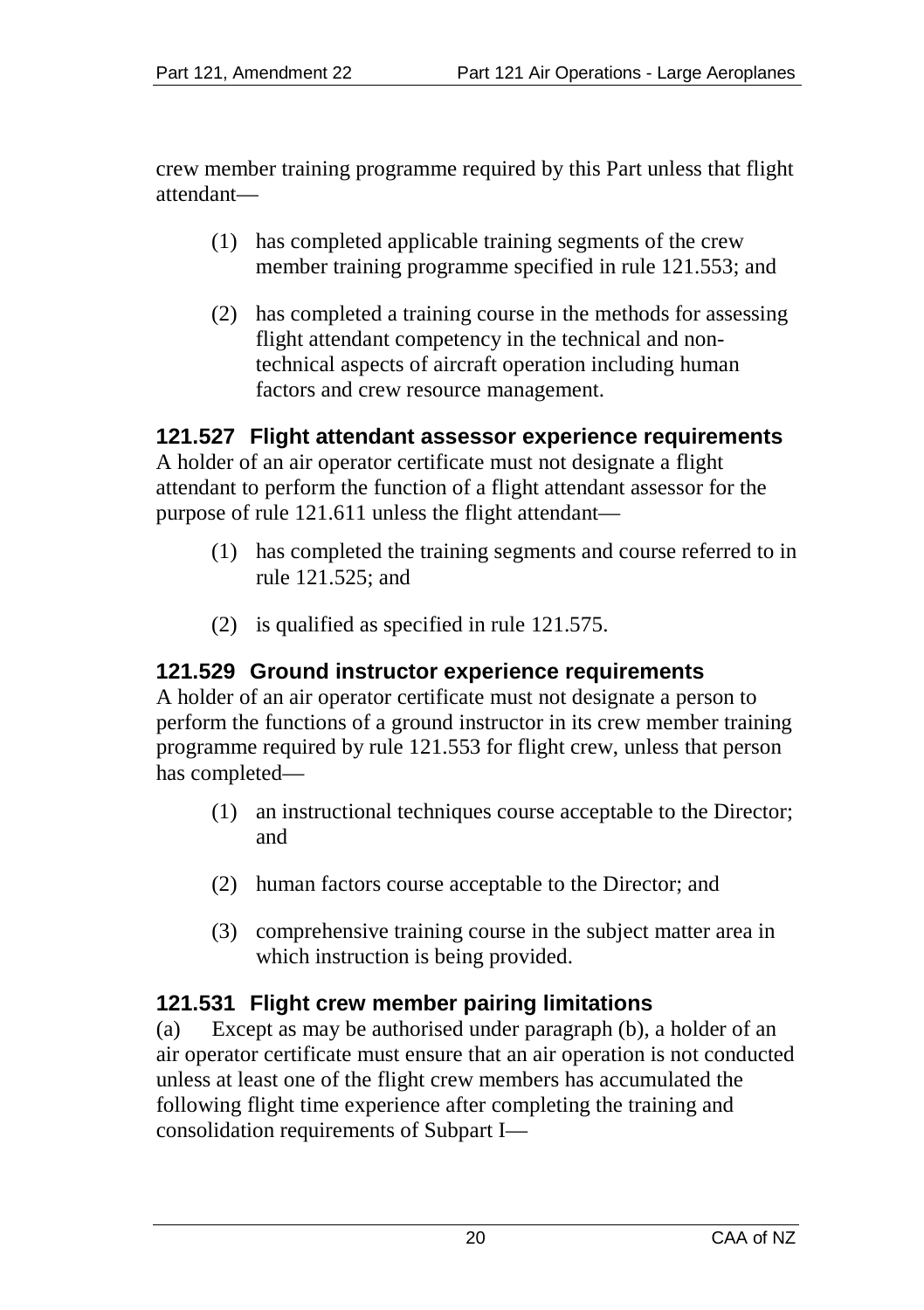crew member training programme required by this Part unless that flight attendant—

- (1) has completed applicable training segments of the crew member training programme specified in rule 121.553; and
- (2) has completed a training course in the methods for assessing flight attendant competency in the technical and nontechnical aspects of aircraft operation including human factors and crew resource management.

#### **121.527 Flight attendant assessor experience requirements**

A holder of an air operator certificate must not designate a flight attendant to perform the function of a flight attendant assessor for the purpose of rule 121.611 unless the flight attendant—

- (1) has completed the training segments and course referred to in rule 121.525; and
- (2) is qualified as specified in rule 121.575.

#### **121.529 Ground instructor experience requirements**

A holder of an air operator certificate must not designate a person to perform the functions of a ground instructor in its crew member training programme required by rule 121.553 for flight crew, unless that person has completed—

- (1) an instructional techniques course acceptable to the Director; and
- (2) human factors course acceptable to the Director; and
- (3) comprehensive training course in the subject matter area in which instruction is being provided.

#### **121.531 Flight crew member pairing limitations**

(a) Except as may be authorised under paragraph (b), a holder of an air operator certificate must ensure that an air operation is not conducted unless at least one of the flight crew members has accumulated the following flight time experience after completing the training and consolidation requirements of Subpart I—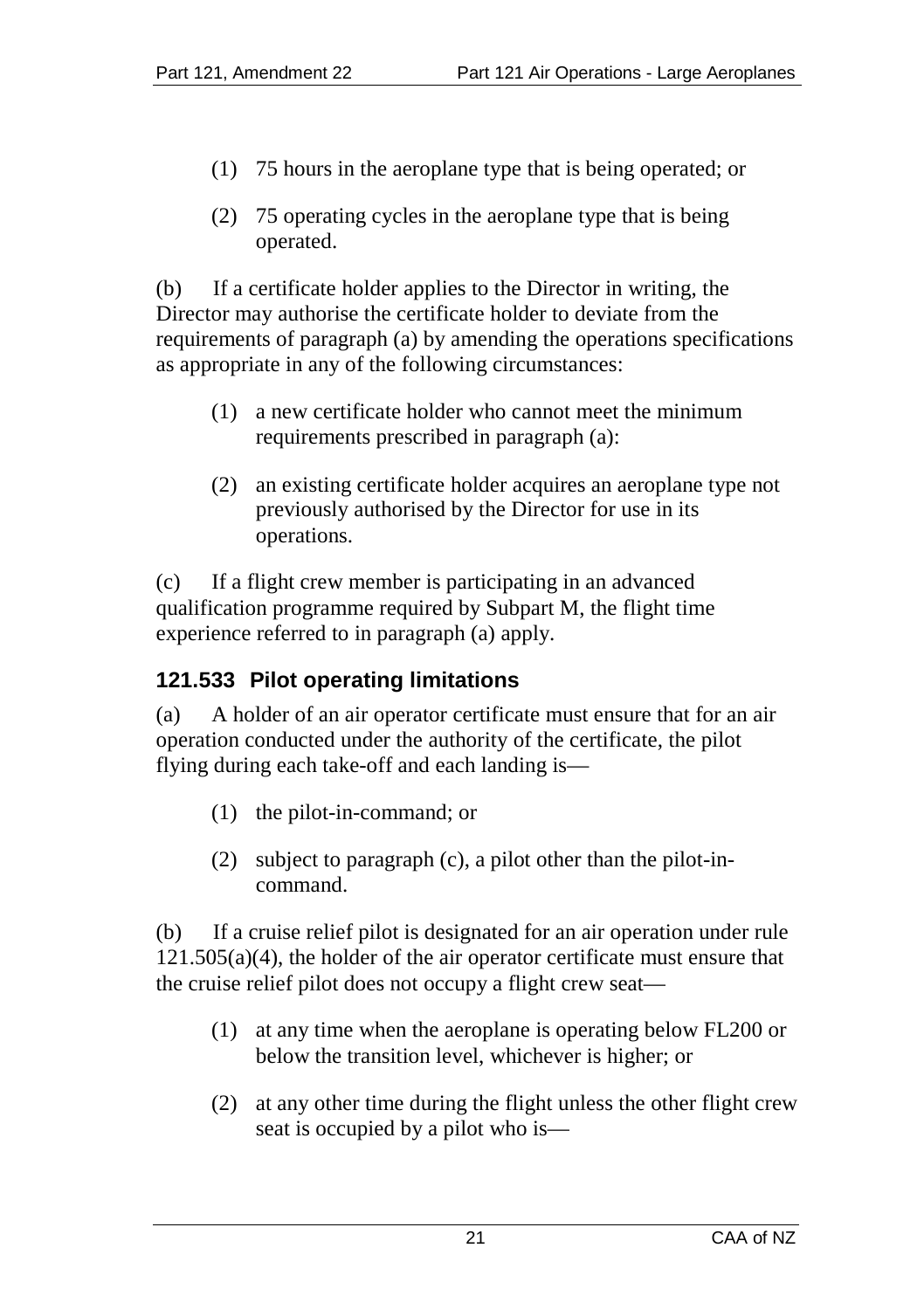- (1) 75 hours in the aeroplane type that is being operated; or
- (2) 75 operating cycles in the aeroplane type that is being operated.

(b) If a certificate holder applies to the Director in writing, the Director may authorise the certificate holder to deviate from the requirements of paragraph (a) by amending the operations specifications as appropriate in any of the following circumstances:

- (1) a new certificate holder who cannot meet the minimum requirements prescribed in paragraph (a):
- (2) an existing certificate holder acquires an aeroplane type not previously authorised by the Director for use in its operations.

(c) If a flight crew member is participating in an advanced qualification programme required by Subpart M, the flight time experience referred to in paragraph (a) apply.

# **121.533 Pilot operating limitations**

(a) A holder of an air operator certificate must ensure that for an air operation conducted under the authority of the certificate, the pilot flying during each take-off and each landing is—

- (1) the pilot-in-command; or
- (2) subject to paragraph (c), a pilot other than the pilot-incommand.

(b) If a cruise relief pilot is designated for an air operation under rule 121.505(a)(4), the holder of the air operator certificate must ensure that the cruise relief pilot does not occupy a flight crew seat—

- (1) at any time when the aeroplane is operating below FL200 or below the transition level, whichever is higher; or
- (2) at any other time during the flight unless the other flight crew seat is occupied by a pilot who is—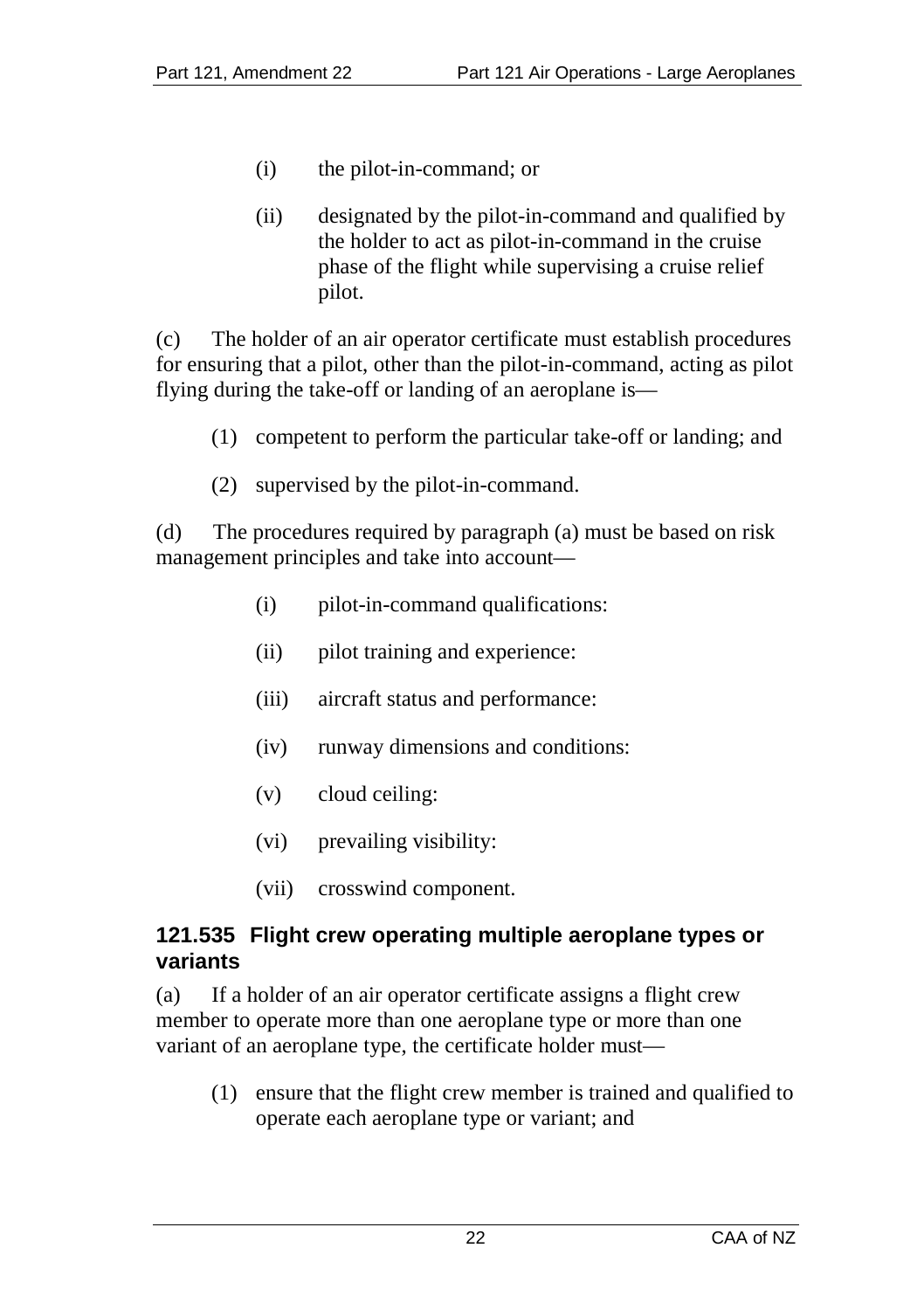- (i) the pilot-in-command; or
- (ii) designated by the pilot-in-command and qualified by the holder to act as pilot-in-command in the cruise phase of the flight while supervising a cruise relief pilot.

(c) The holder of an air operator certificate must establish procedures for ensuring that a pilot, other than the pilot-in-command, acting as pilot flying during the take-off or landing of an aeroplane is—

- (1) competent to perform the particular take-off or landing; and
- (2) supervised by the pilot-in-command.

(d) The procedures required by paragraph (a) must be based on risk management principles and take into account—

- (i) pilot-in-command qualifications:
- (ii) pilot training and experience:
- (iii) aircraft status and performance:
- (iv) runway dimensions and conditions:
- (v) cloud ceiling:
- (vi) prevailing visibility:
- (vii) crosswind component.

#### **121.535 Flight crew operating multiple aeroplane types or variants**

(a) If a holder of an air operator certificate assigns a flight crew member to operate more than one aeroplane type or more than one variant of an aeroplane type, the certificate holder must—

(1) ensure that the flight crew member is trained and qualified to operate each aeroplane type or variant; and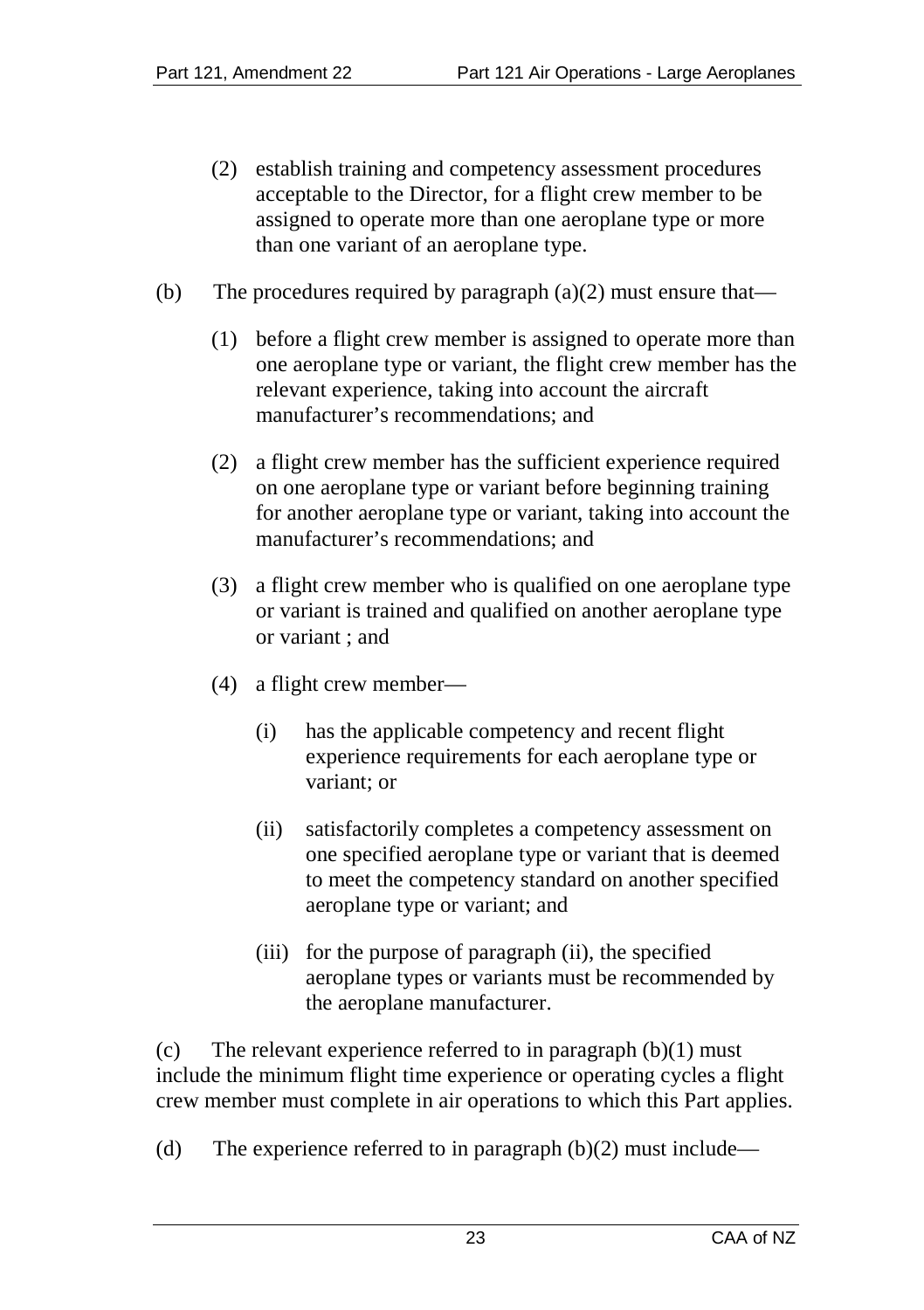- (2) establish training and competency assessment procedures acceptable to the Director, for a flight crew member to be assigned to operate more than one aeroplane type or more than one variant of an aeroplane type.
- (b) The procedures required by paragraph  $(a)(2)$  must ensure that—
	- (1) before a flight crew member is assigned to operate more than one aeroplane type or variant, the flight crew member has the relevant experience, taking into account the aircraft manufacturer's recommendations; and
	- (2) a flight crew member has the sufficient experience required on one aeroplane type or variant before beginning training for another aeroplane type or variant, taking into account the manufacturer's recommendations; and
	- (3) a flight crew member who is qualified on one aeroplane type or variant is trained and qualified on another aeroplane type or variant ; and
	- (4) a flight crew member—
		- (i) has the applicable competency and recent flight experience requirements for each aeroplane type or variant; or
		- (ii) satisfactorily completes a competency assessment on one specified aeroplane type or variant that is deemed to meet the competency standard on another specified aeroplane type or variant; and
		- (iii) for the purpose of paragraph (ii), the specified aeroplane types or variants must be recommended by the aeroplane manufacturer.

(c) The relevant experience referred to in paragraph  $(b)(1)$  must include the minimum flight time experience or operating cycles a flight crew member must complete in air operations to which this Part applies.

(d) The experience referred to in paragraph  $(b)(2)$  must include—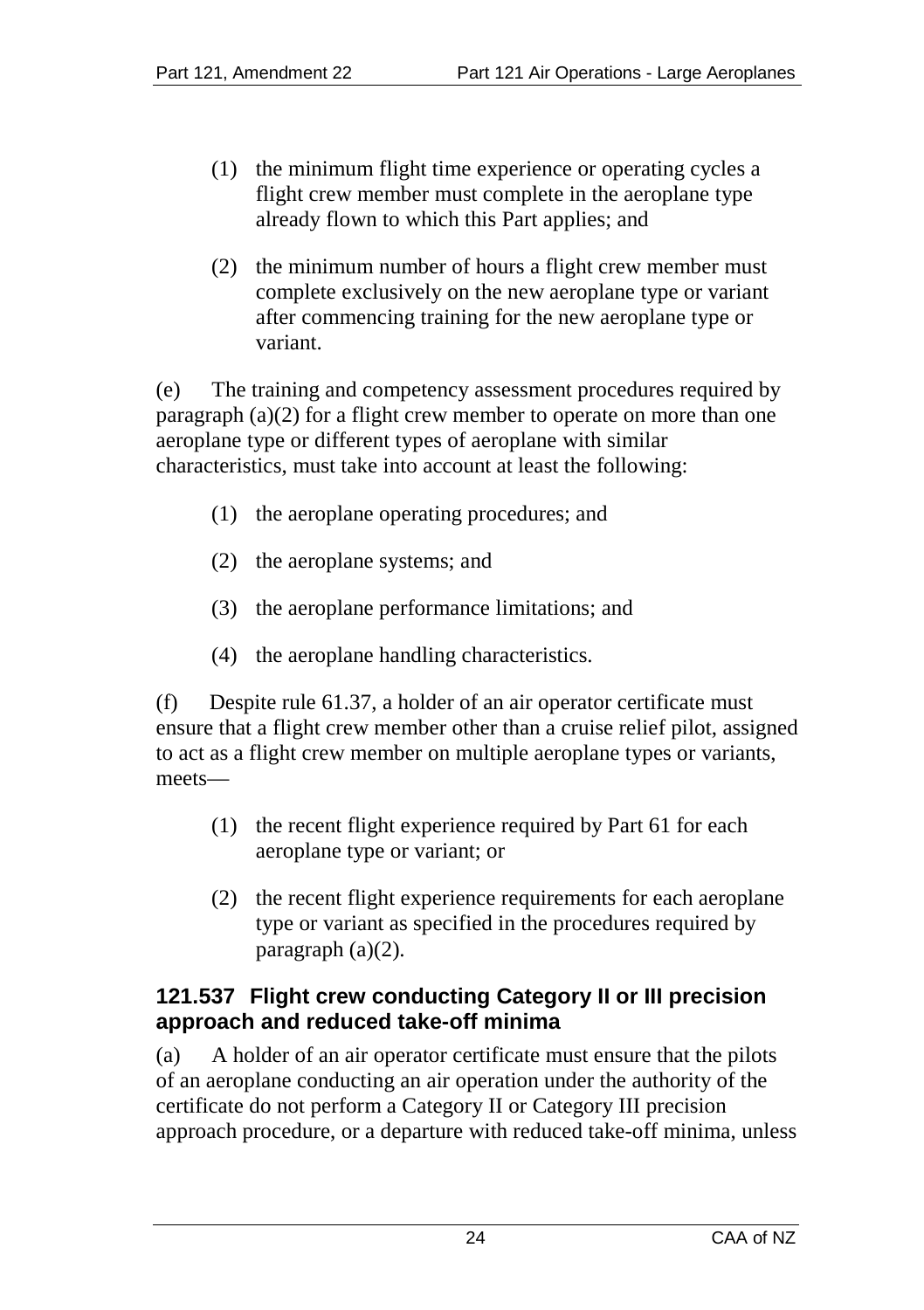- (1) the minimum flight time experience or operating cycles a flight crew member must complete in the aeroplane type already flown to which this Part applies; and
- (2) the minimum number of hours a flight crew member must complete exclusively on the new aeroplane type or variant after commencing training for the new aeroplane type or variant.

(e) The training and competency assessment procedures required by paragraph (a)(2) for a flight crew member to operate on more than one aeroplane type or different types of aeroplane with similar characteristics, must take into account at least the following:

- (1) the aeroplane operating procedures; and
- (2) the aeroplane systems; and
- (3) the aeroplane performance limitations; and
- (4) the aeroplane handling characteristics.

(f) Despite rule 61.37, a holder of an air operator certificate must ensure that a flight crew member other than a cruise relief pilot, assigned to act as a flight crew member on multiple aeroplane types or variants, meets—

- (1) the recent flight experience required by Part 61 for each aeroplane type or variant; or
- (2) the recent flight experience requirements for each aeroplane type or variant as specified in the procedures required by paragraph  $(a)(2)$ .

# **121.537 Flight crew conducting Category II or III precision approach and reduced take-off minima**

(a) A holder of an air operator certificate must ensure that the pilots of an aeroplane conducting an air operation under the authority of the certificate do not perform a Category II or Category III precision approach procedure, or a departure with reduced take-off minima, unless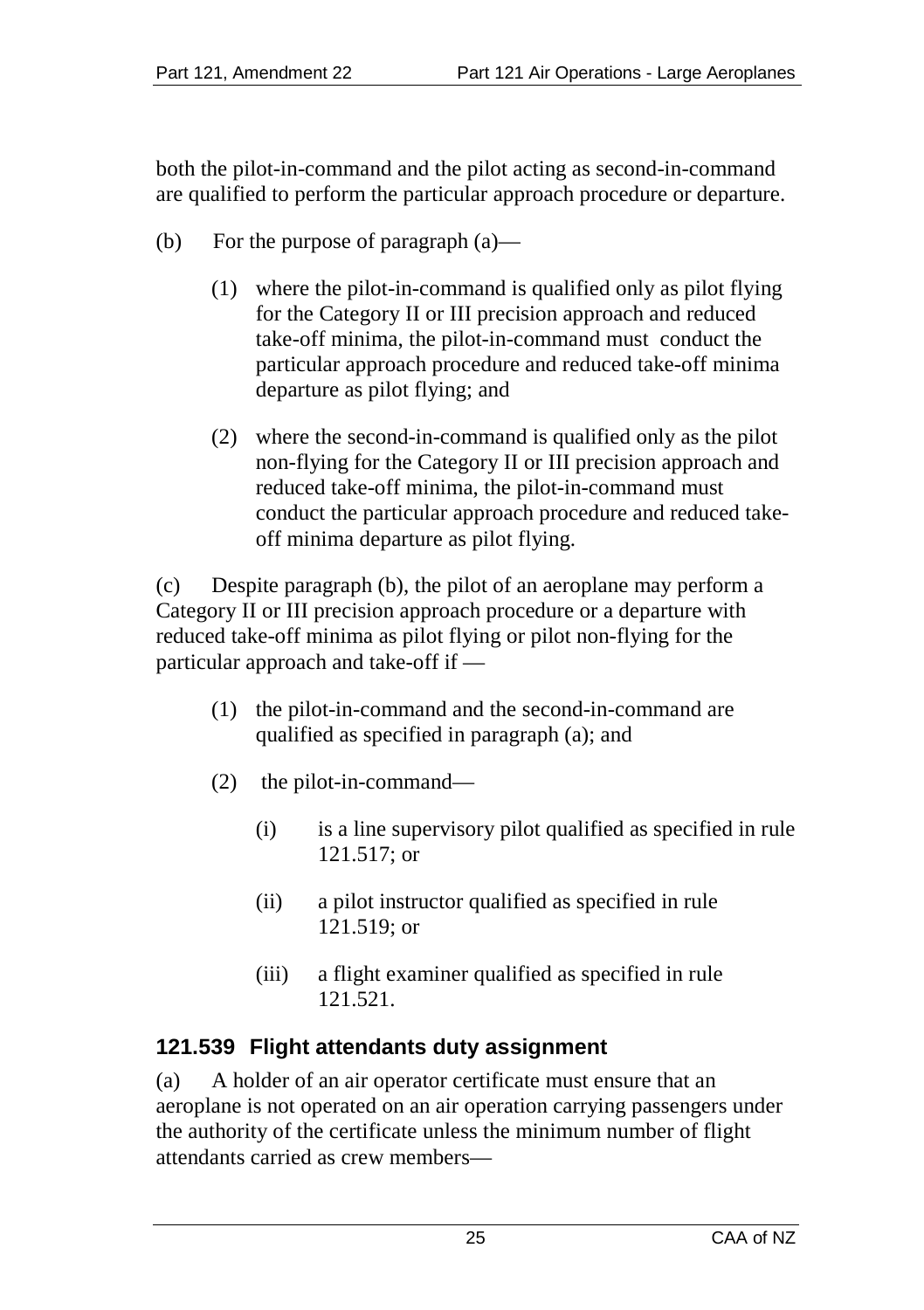both the pilot-in-command and the pilot acting as second-in-command are qualified to perform the particular approach procedure or departure.

- (b) For the purpose of paragraph (a)—
	- (1) where the pilot-in-command is qualified only as pilot flying for the Category II or III precision approach and reduced take-off minima, the pilot-in-command must conduct the particular approach procedure and reduced take-off minima departure as pilot flying; and
	- (2) where the second-in-command is qualified only as the pilot non-flying for the Category II or III precision approach and reduced take-off minima, the pilot-in-command must conduct the particular approach procedure and reduced takeoff minima departure as pilot flying.

(c) Despite paragraph (b), the pilot of an aeroplane may perform a Category II or III precision approach procedure or a departure with reduced take-off minima as pilot flying or pilot non-flying for the particular approach and take-off if —

- (1) the pilot-in-command and the second-in-command are qualified as specified in paragraph (a); and
- (2) the pilot-in-command—
	- (i) is a line supervisory pilot qualified as specified in rule 121.517; or
	- (ii) a pilot instructor qualified as specified in rule 121.519; or
	- (iii) a flight examiner qualified as specified in rule 121.521.

#### **121.539 Flight attendants duty assignment**

(a) A holder of an air operator certificate must ensure that an aeroplane is not operated on an air operation carrying passengers under the authority of the certificate unless the minimum number of flight attendants carried as crew members—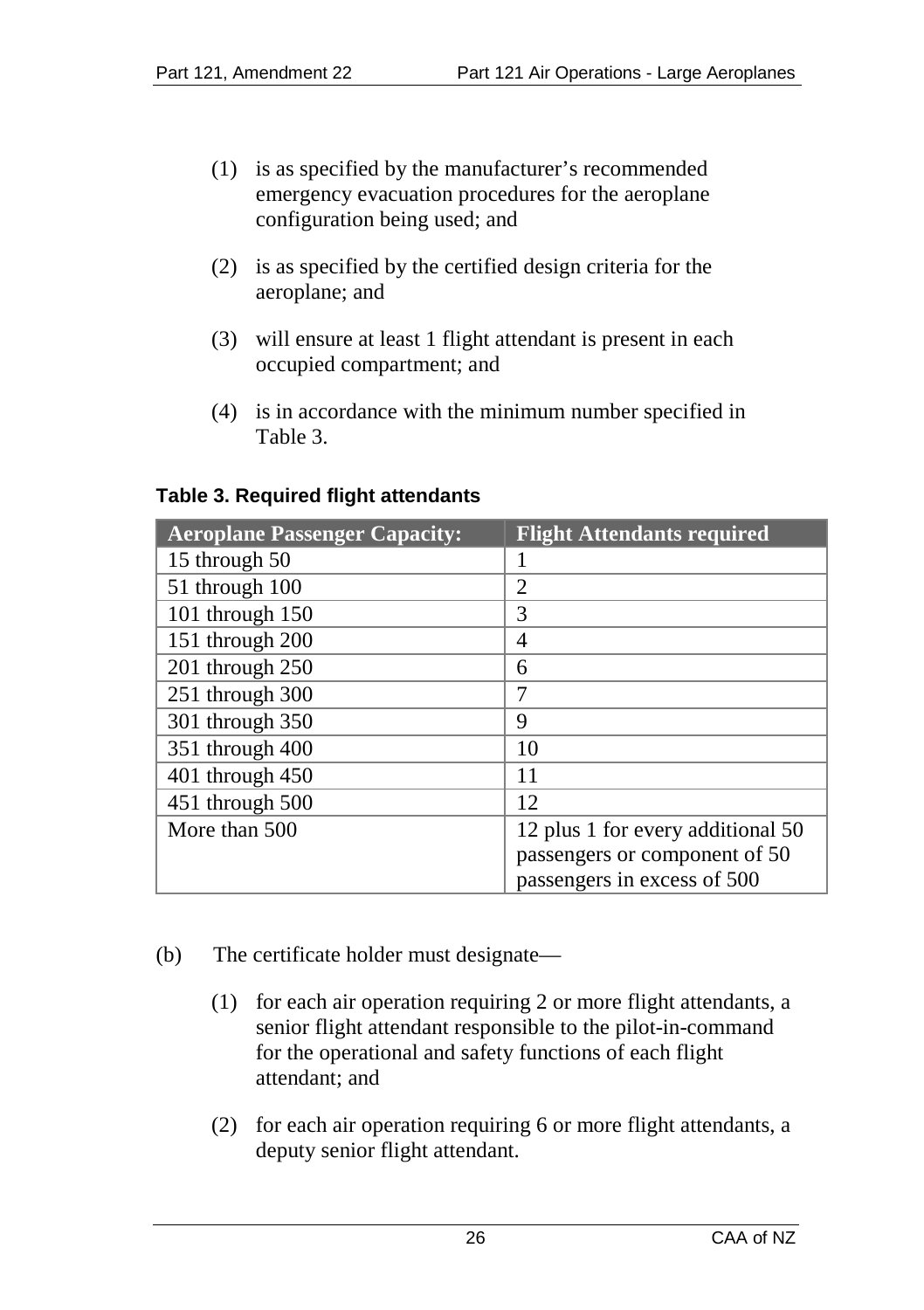- (1) is as specified by the manufacturer's recommended emergency evacuation procedures for the aeroplane configuration being used; and
- (2) is as specified by the certified design criteria for the aeroplane; and
- (3) will ensure at least 1 flight attendant is present in each occupied compartment; and
- (4) is in accordance with the minimum number specified in Table 3.

#### **Table 3. Required flight attendants**

| <b>Aeroplane Passenger Capacity:</b> | <b>Flight Attendants required</b> |
|--------------------------------------|-----------------------------------|
| 15 through 50                        |                                   |
| 51 through 100                       | 2                                 |
| 101 through 150                      | 3                                 |
| 151 through 200                      | 4                                 |
| 201 through 250                      | 6                                 |
| 251 through 300                      | 7                                 |
| 301 through 350                      | 9                                 |
| 351 through 400                      | 10                                |
| $401$ through $450$                  | 11                                |
| 451 through 500                      | 12                                |
| More than 500                        | 12 plus 1 for every additional 50 |
|                                      | passengers or component of 50     |
|                                      | passengers in excess of 500       |

- (b) The certificate holder must designate—
	- (1) for each air operation requiring 2 or more flight attendants, a senior flight attendant responsible to the pilot-in-command for the operational and safety functions of each flight attendant; and
	- (2) for each air operation requiring 6 or more flight attendants, a deputy senior flight attendant.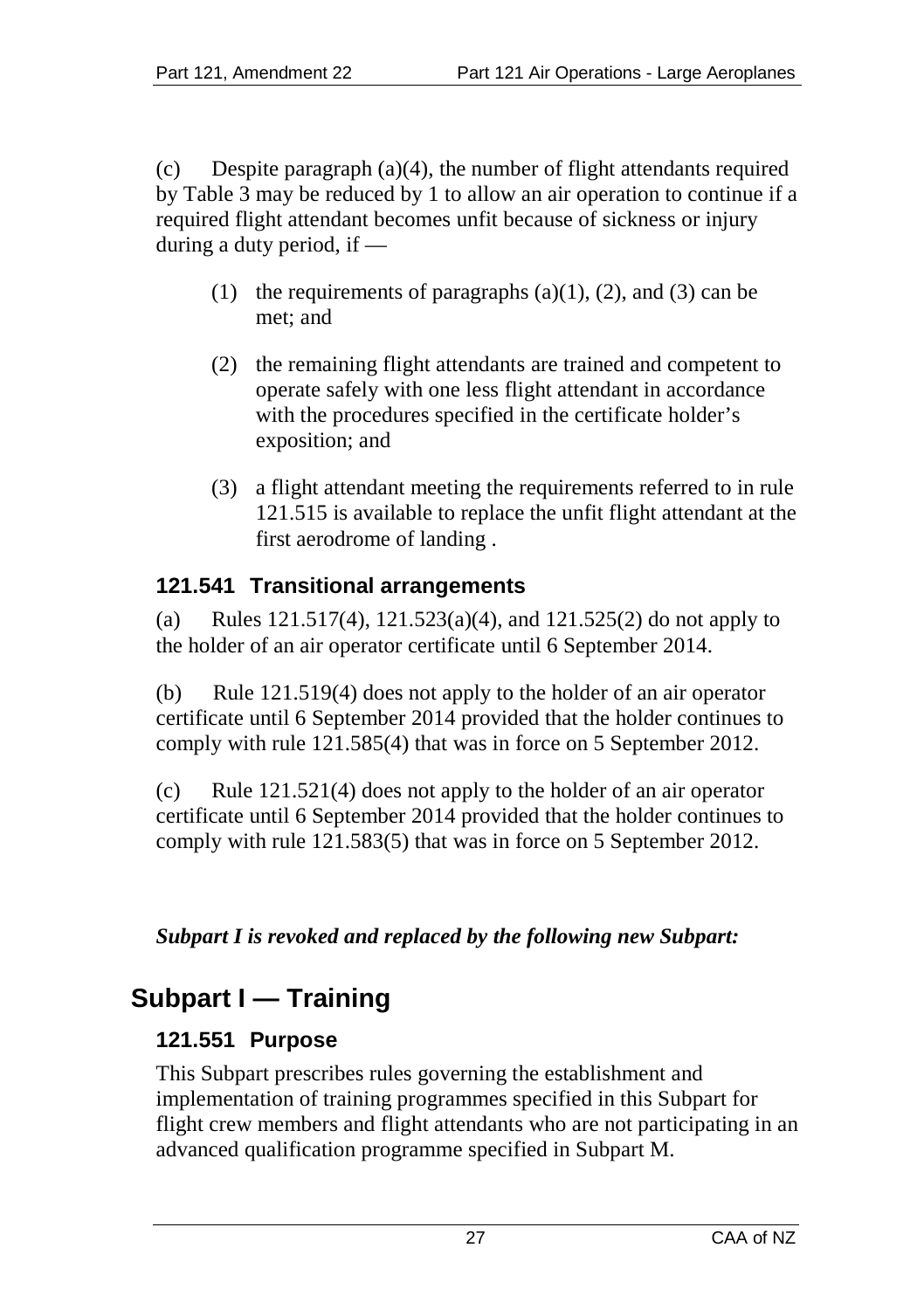(c) Despite paragraph (a)(4), the number of flight attendants required by Table 3 may be reduced by 1 to allow an air operation to continue if a required flight attendant becomes unfit because of sickness or injury during a duty period, if —

- (1) the requirements of paragraphs  $(a)(1)$ ,  $(2)$ , and  $(3)$  can be met; and
- (2) the remaining flight attendants are trained and competent to operate safely with one less flight attendant in accordance with the procedures specified in the certificate holder's exposition; and
- (3) a flight attendant meeting the requirements referred to in rule 121.515 is available to replace the unfit flight attendant at the first aerodrome of landing .

# **121.541 Transitional arrangements**

(a) Rules 121.517(4), 121.523(a)(4), and 121.525(2) do not apply to the holder of an air operator certificate until 6 September 2014.

(b) Rule 121.519(4) does not apply to the holder of an air operator certificate until 6 September 2014 provided that the holder continues to comply with rule 121.585(4) that was in force on 5 September 2012.

(c) Rule 121.521(4) does not apply to the holder of an air operator certificate until 6 September 2014 provided that the holder continues to comply with rule 121.583(5) that was in force on 5 September 2012.

# *Subpart I is revoked and replaced by the following new Subpart:*

# **Subpart I — Training**

# **121.551 Purpose**

This Subpart prescribes rules governing the establishment and implementation of training programmes specified in this Subpart for flight crew members and flight attendants who are not participating in an advanced qualification programme specified in Subpart M.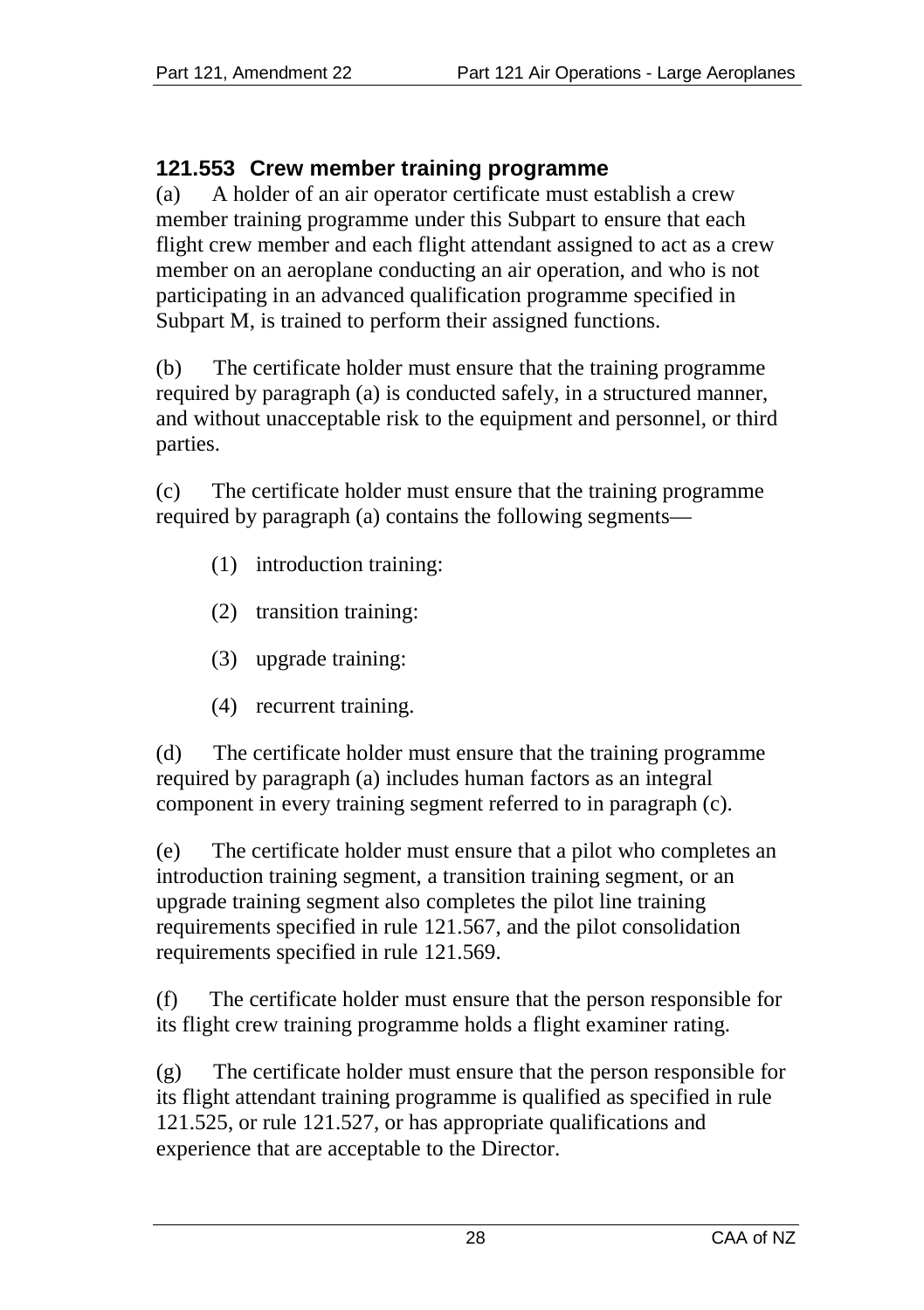## **121.553 Crew member training programme**

(a) A holder of an air operator certificate must establish a crew member training programme under this Subpart to ensure that each flight crew member and each flight attendant assigned to act as a crew member on an aeroplane conducting an air operation, and who is not participating in an advanced qualification programme specified in Subpart M, is trained to perform their assigned functions.

(b) The certificate holder must ensure that the training programme required by paragraph (a) is conducted safely, in a structured manner, and without unacceptable risk to the equipment and personnel, or third parties.

(c) The certificate holder must ensure that the training programme required by paragraph (a) contains the following segments—

- (1) introduction training:
- (2) transition training:
- (3) upgrade training:
- (4) recurrent training.

(d) The certificate holder must ensure that the training programme required by paragraph (a) includes human factors as an integral component in every training segment referred to in paragraph (c).

(e) The certificate holder must ensure that a pilot who completes an introduction training segment, a transition training segment, or an upgrade training segment also completes the pilot line training requirements specified in rule 121.567, and the pilot consolidation requirements specified in rule 121.569.

(f) The certificate holder must ensure that the person responsible for its flight crew training programme holds a flight examiner rating.

(g) The certificate holder must ensure that the person responsible for its flight attendant training programme is qualified as specified in rule 121.525, or rule 121.527, or has appropriate qualifications and experience that are acceptable to the Director.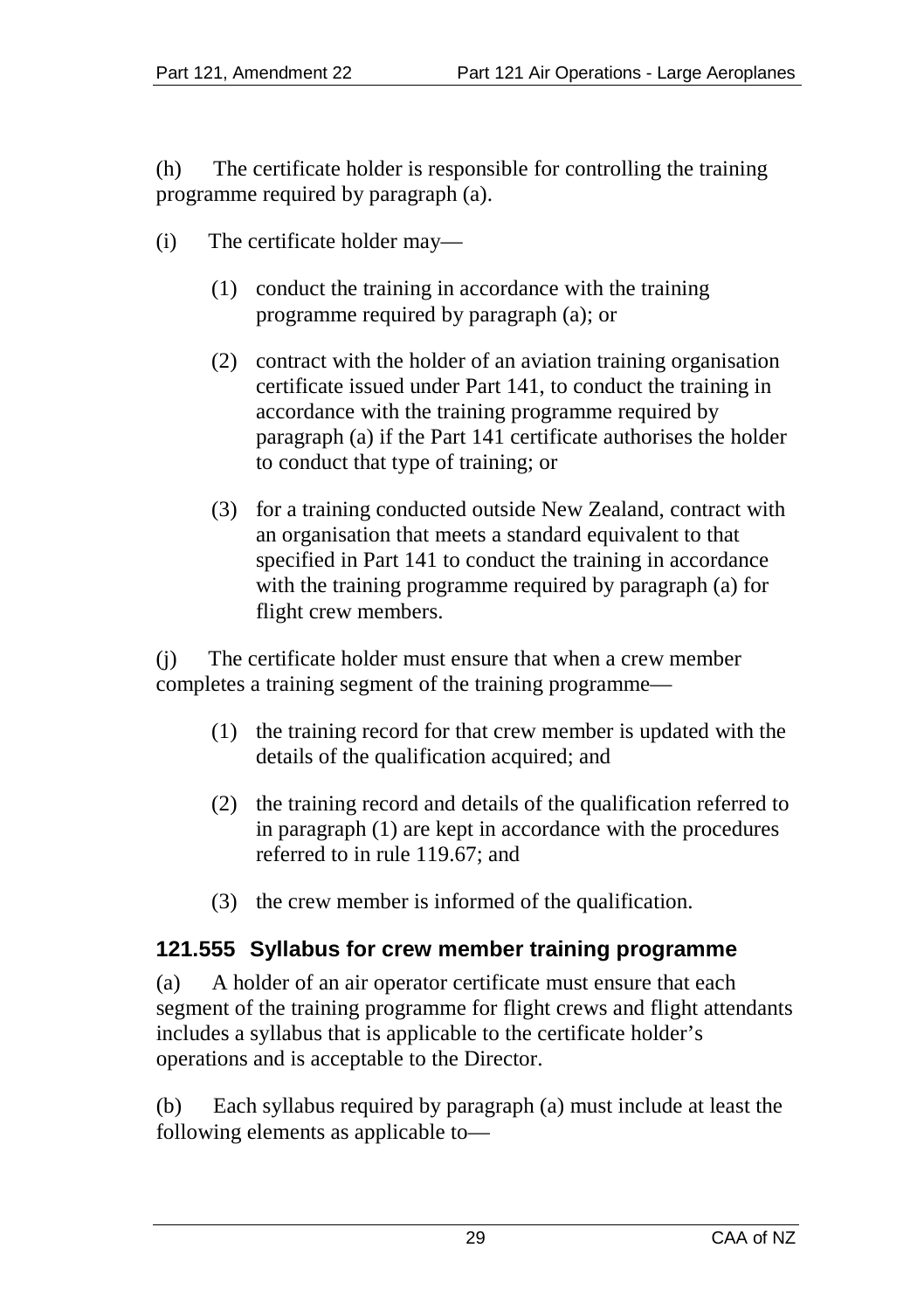(h) The certificate holder is responsible for controlling the training programme required by paragraph (a).

- (i) The certificate holder may—
	- (1) conduct the training in accordance with the training programme required by paragraph (a); or
	- (2) contract with the holder of an aviation training organisation certificate issued under Part 141, to conduct the training in accordance with the training programme required by paragraph (a) if the Part 141 certificate authorises the holder to conduct that type of training; or
	- (3) for a training conducted outside New Zealand, contract with an organisation that meets a standard equivalent to that specified in Part 141 to conduct the training in accordance with the training programme required by paragraph (a) for flight crew members.

(j) The certificate holder must ensure that when a crew member completes a training segment of the training programme—

- (1) the training record for that crew member is updated with the details of the qualification acquired; and
- (2) the training record and details of the qualification referred to in paragraph (1) are kept in accordance with the procedures referred to in rule 119.67; and
- (3) the crew member is informed of the qualification.

#### **121.555 Syllabus for crew member training programme**

(a) A holder of an air operator certificate must ensure that each segment of the training programme for flight crews and flight attendants includes a syllabus that is applicable to the certificate holder's operations and is acceptable to the Director.

(b) Each syllabus required by paragraph (a) must include at least the following elements as applicable to—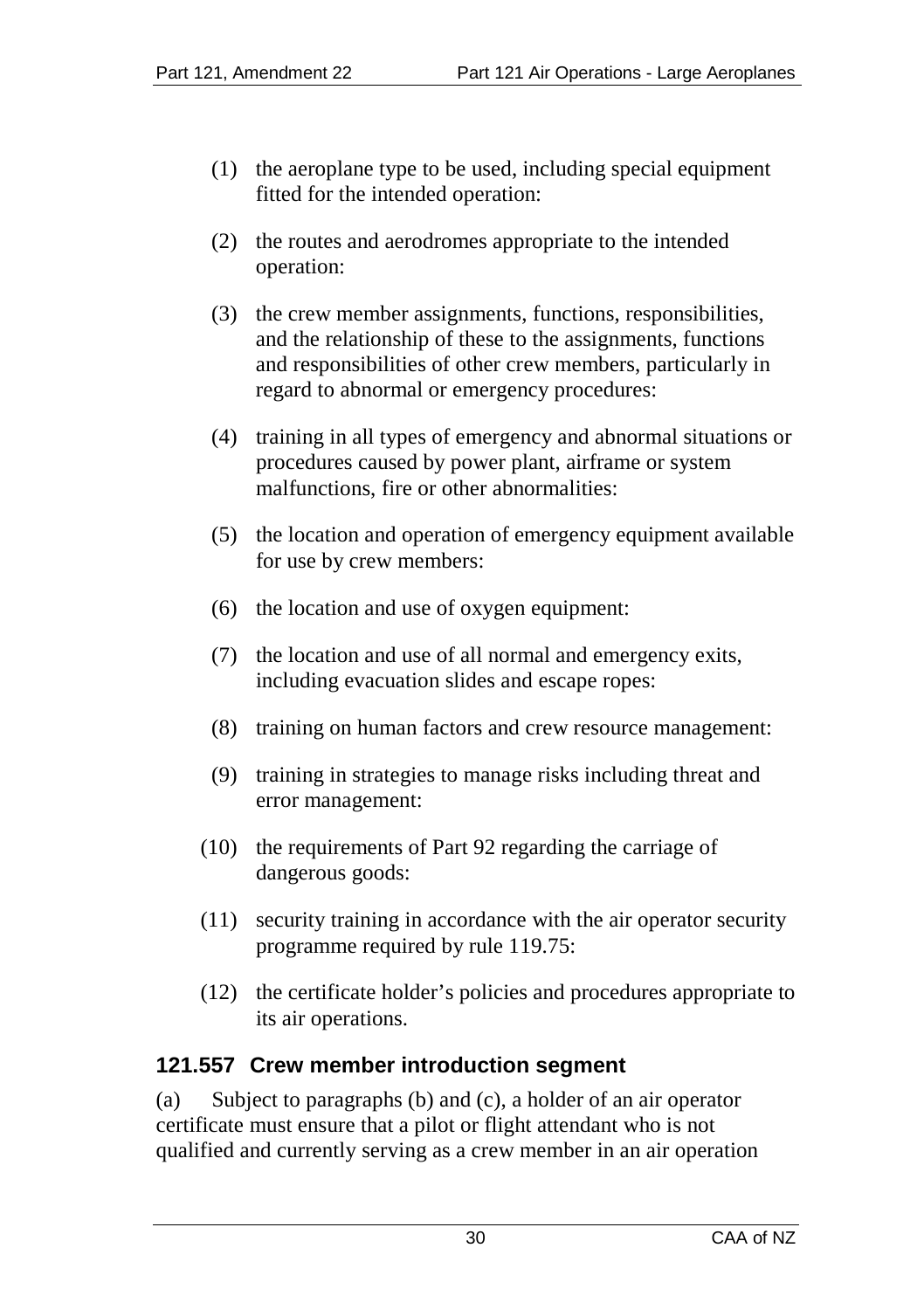- (1) the aeroplane type to be used, including special equipment fitted for the intended operation:
- (2) the routes and aerodromes appropriate to the intended operation:
- (3) the crew member assignments, functions, responsibilities, and the relationship of these to the assignments, functions and responsibilities of other crew members, particularly in regard to abnormal or emergency procedures:
- (4) training in all types of emergency and abnormal situations or procedures caused by power plant, airframe or system malfunctions, fire or other abnormalities:
- (5) the location and operation of emergency equipment available for use by crew members:
- (6) the location and use of oxygen equipment:
- (7) the location and use of all normal and emergency exits, including evacuation slides and escape ropes:
- (8) training on human factors and crew resource management:
- (9) training in strategies to manage risks including threat and error management:
- (10) the requirements of Part 92 regarding the carriage of dangerous goods:
- (11) security training in accordance with the air operator security programme required by rule 119.75:
- (12) the certificate holder's policies and procedures appropriate to its air operations.

# **121.557 Crew member introduction segment**

(a) Subject to paragraphs (b) and (c), a holder of an air operator certificate must ensure that a pilot or flight attendant who is not qualified and currently serving as a crew member in an air operation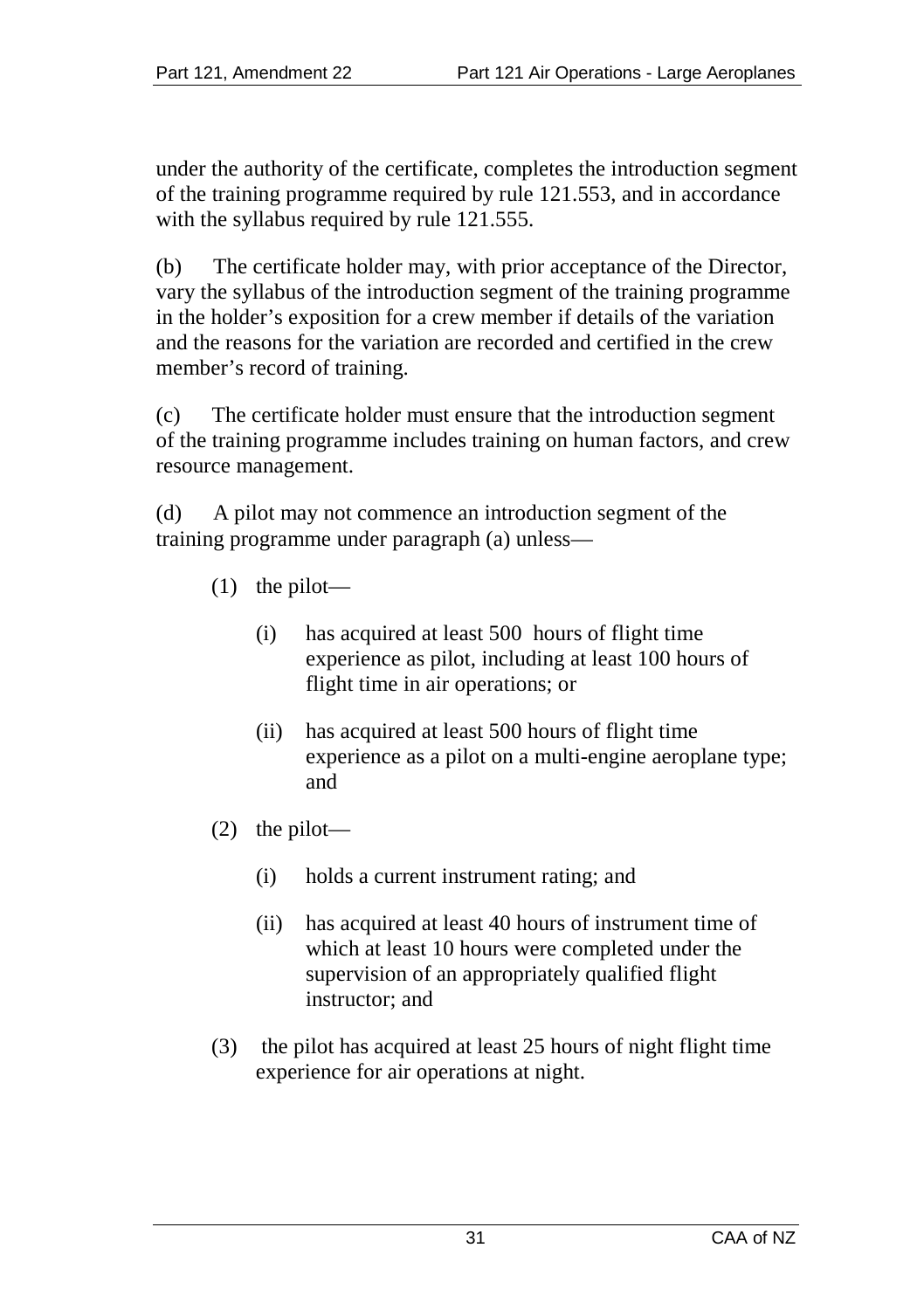under the authority of the certificate, completes the introduction segment of the training programme required by rule 121.553, and in accordance with the syllabus required by rule 121.555.

(b) The certificate holder may, with prior acceptance of the Director, vary the syllabus of the introduction segment of the training programme in the holder's exposition for a crew member if details of the variation and the reasons for the variation are recorded and certified in the crew member's record of training.

(c) The certificate holder must ensure that the introduction segment of the training programme includes training on human factors, and crew resource management.

(d) A pilot may not commence an introduction segment of the training programme under paragraph (a) unless—

- (1) the pilot—
	- (i) has acquired at least 500 hours of flight time experience as pilot, including at least 100 hours of flight time in air operations; or
	- (ii) has acquired at least 500 hours of flight time experience as a pilot on a multi-engine aeroplane type; and
- (2) the pilot—
	- (i) holds a current instrument rating; and
	- (ii) has acquired at least 40 hours of instrument time of which at least 10 hours were completed under the supervision of an appropriately qualified flight instructor; and
- (3) the pilot has acquired at least 25 hours of night flight time experience for air operations at night.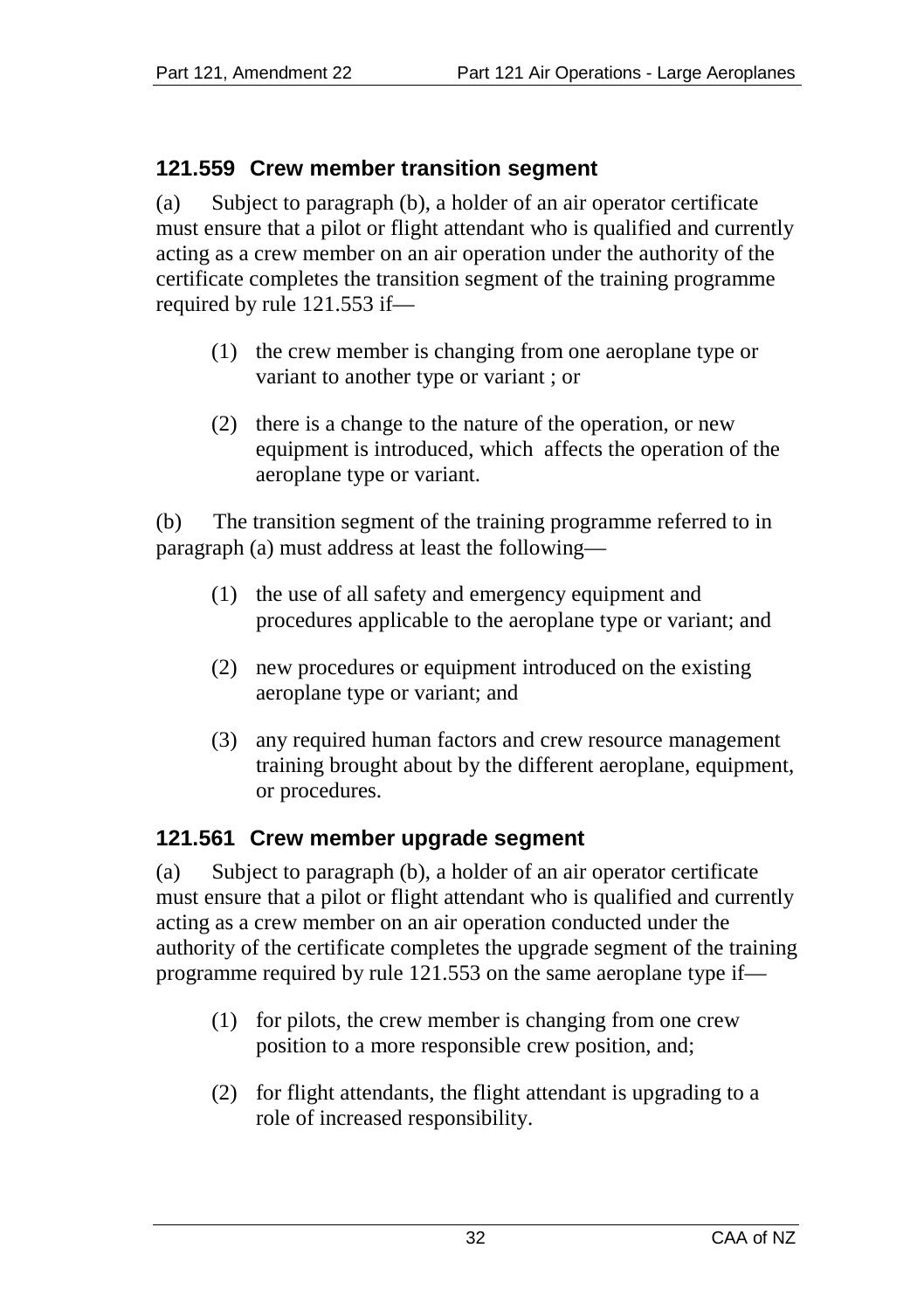## **121.559 Crew member transition segment**

(a) Subject to paragraph (b), a holder of an air operator certificate must ensure that a pilot or flight attendant who is qualified and currently acting as a crew member on an air operation under the authority of the certificate completes the transition segment of the training programme required by rule 121.553 if—

- (1) the crew member is changing from one aeroplane type or variant to another type or variant ; or
- (2) there is a change to the nature of the operation, or new equipment is introduced, which affects the operation of the aeroplane type or variant.

(b) The transition segment of the training programme referred to in paragraph (a) must address at least the following—

- (1) the use of all safety and emergency equipment and procedures applicable to the aeroplane type or variant; and
- (2) new procedures or equipment introduced on the existing aeroplane type or variant; and
- (3) any required human factors and crew resource management training brought about by the different aeroplane, equipment, or procedures.

#### **121.561 Crew member upgrade segment**

(a) Subject to paragraph (b), a holder of an air operator certificate must ensure that a pilot or flight attendant who is qualified and currently acting as a crew member on an air operation conducted under the authority of the certificate completes the upgrade segment of the training programme required by rule 121.553 on the same aeroplane type if—

- (1) for pilots, the crew member is changing from one crew position to a more responsible crew position, and;
- (2) for flight attendants, the flight attendant is upgrading to a role of increased responsibility.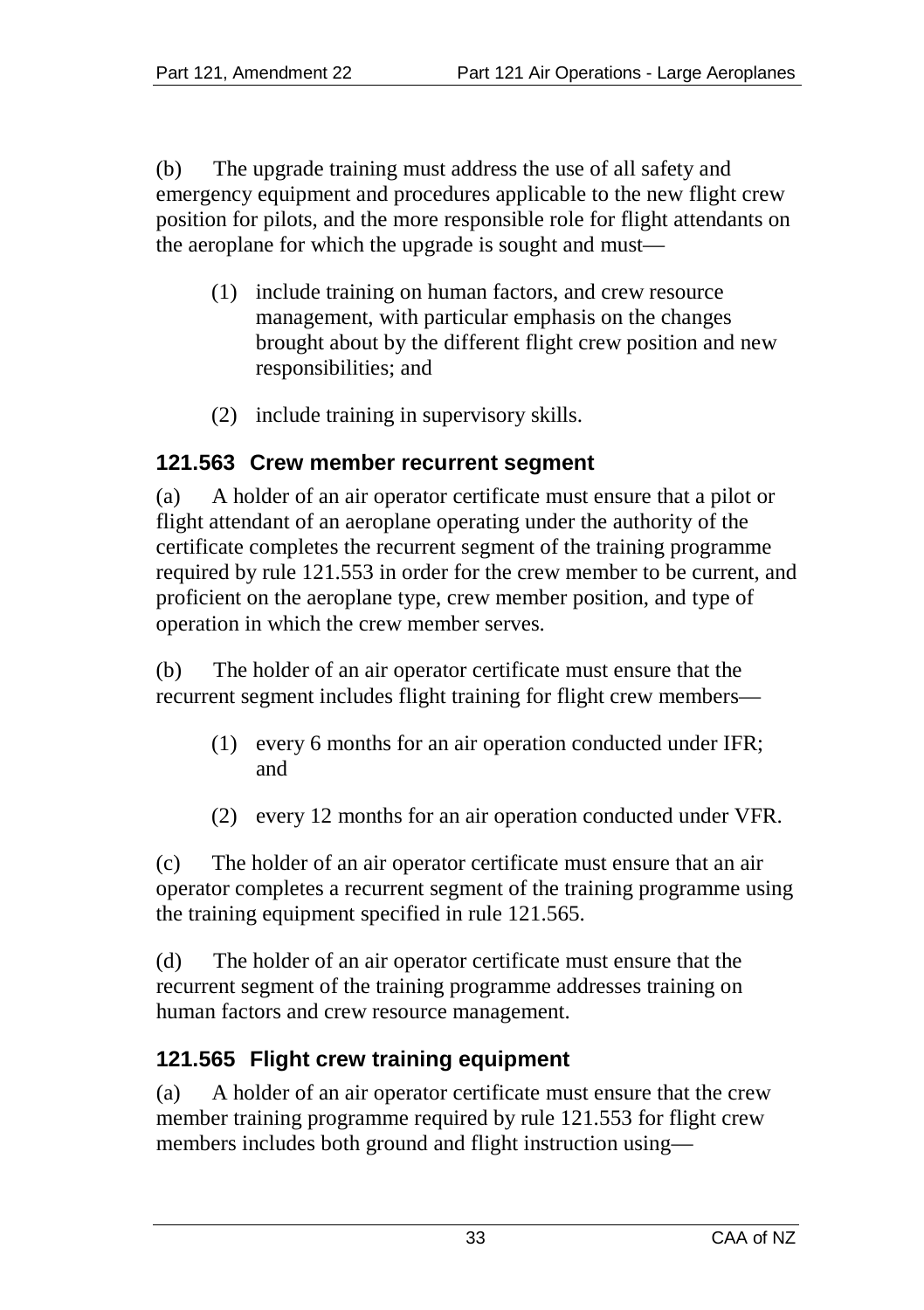(b) The upgrade training must address the use of all safety and emergency equipment and procedures applicable to the new flight crew position for pilots, and the more responsible role for flight attendants on the aeroplane for which the upgrade is sought and must—

- (1) include training on human factors, and crew resource management, with particular emphasis on the changes brought about by the different flight crew position and new responsibilities; and
- (2) include training in supervisory skills.

#### **121.563 Crew member recurrent segment**

(a) A holder of an air operator certificate must ensure that a pilot or flight attendant of an aeroplane operating under the authority of the certificate completes the recurrent segment of the training programme required by rule 121.553 in order for the crew member to be current, and proficient on the aeroplane type, crew member position, and type of operation in which the crew member serves.

(b) The holder of an air operator certificate must ensure that the recurrent segment includes flight training for flight crew members—

- (1) every 6 months for an air operation conducted under IFR; and
- (2) every 12 months for an air operation conducted under VFR.

(c) The holder of an air operator certificate must ensure that an air operator completes a recurrent segment of the training programme using the training equipment specified in rule 121.565.

(d) The holder of an air operator certificate must ensure that the recurrent segment of the training programme addresses training on human factors and crew resource management.

#### **121.565 Flight crew training equipment**

(a) A holder of an air operator certificate must ensure that the crew member training programme required by rule 121.553 for flight crew members includes both ground and flight instruction using—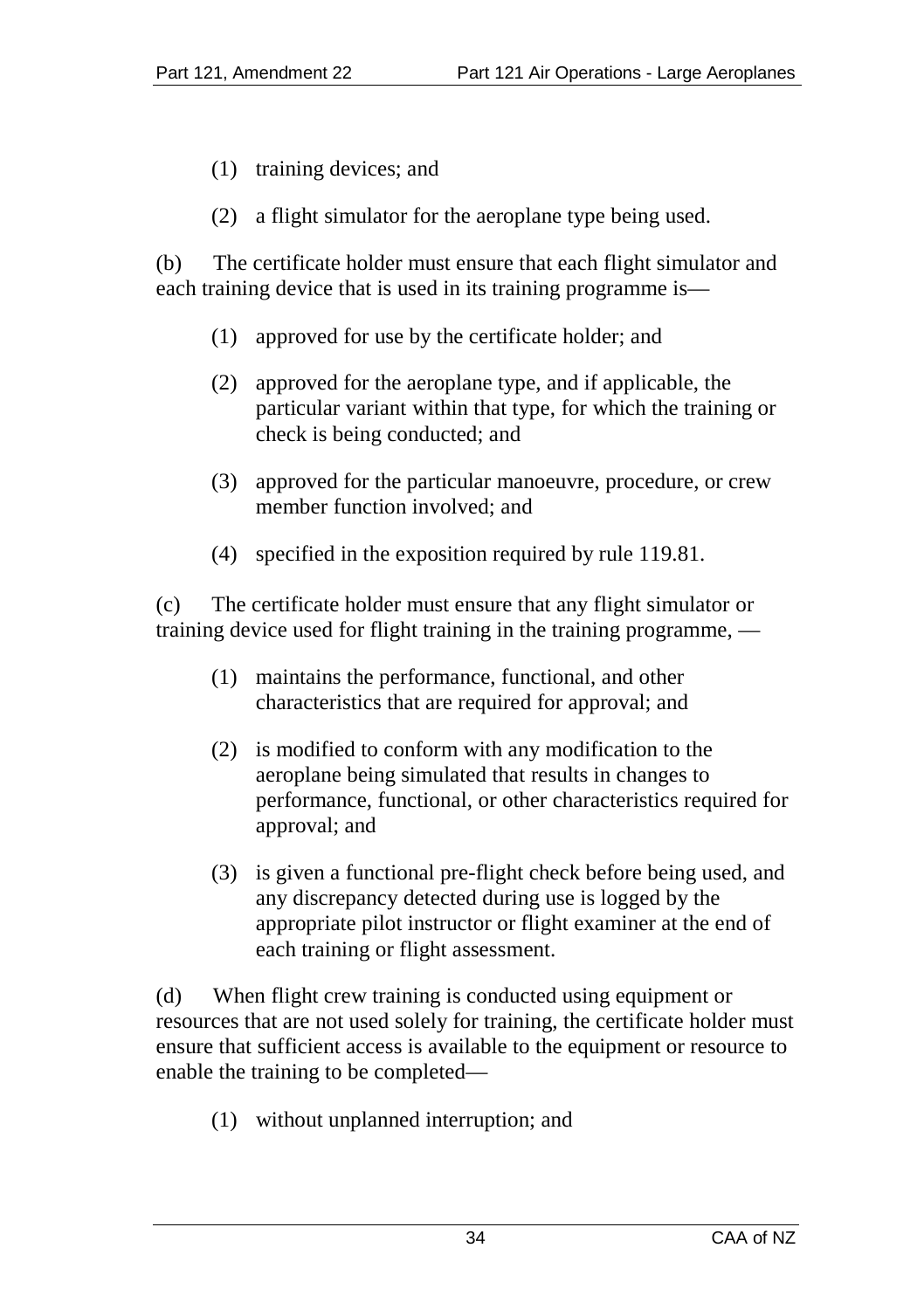- (1) training devices; and
- (2) a flight simulator for the aeroplane type being used.

(b) The certificate holder must ensure that each flight simulator and each training device that is used in its training programme is—

- (1) approved for use by the certificate holder; and
- (2) approved for the aeroplane type, and if applicable, the particular variant within that type, for which the training or check is being conducted; and
- (3) approved for the particular manoeuvre, procedure, or crew member function involved; and
- (4) specified in the exposition required by rule 119.81.

(c) The certificate holder must ensure that any flight simulator or training device used for flight training in the training programme, —

- (1) maintains the performance, functional, and other characteristics that are required for approval; and
- (2) is modified to conform with any modification to the aeroplane being simulated that results in changes to performance, functional, or other characteristics required for approval; and
- (3) is given a functional pre-flight check before being used, and any discrepancy detected during use is logged by the appropriate pilot instructor or flight examiner at the end of each training or flight assessment.

(d) When flight crew training is conducted using equipment or resources that are not used solely for training, the certificate holder must ensure that sufficient access is available to the equipment or resource to enable the training to be completed—

(1) without unplanned interruption; and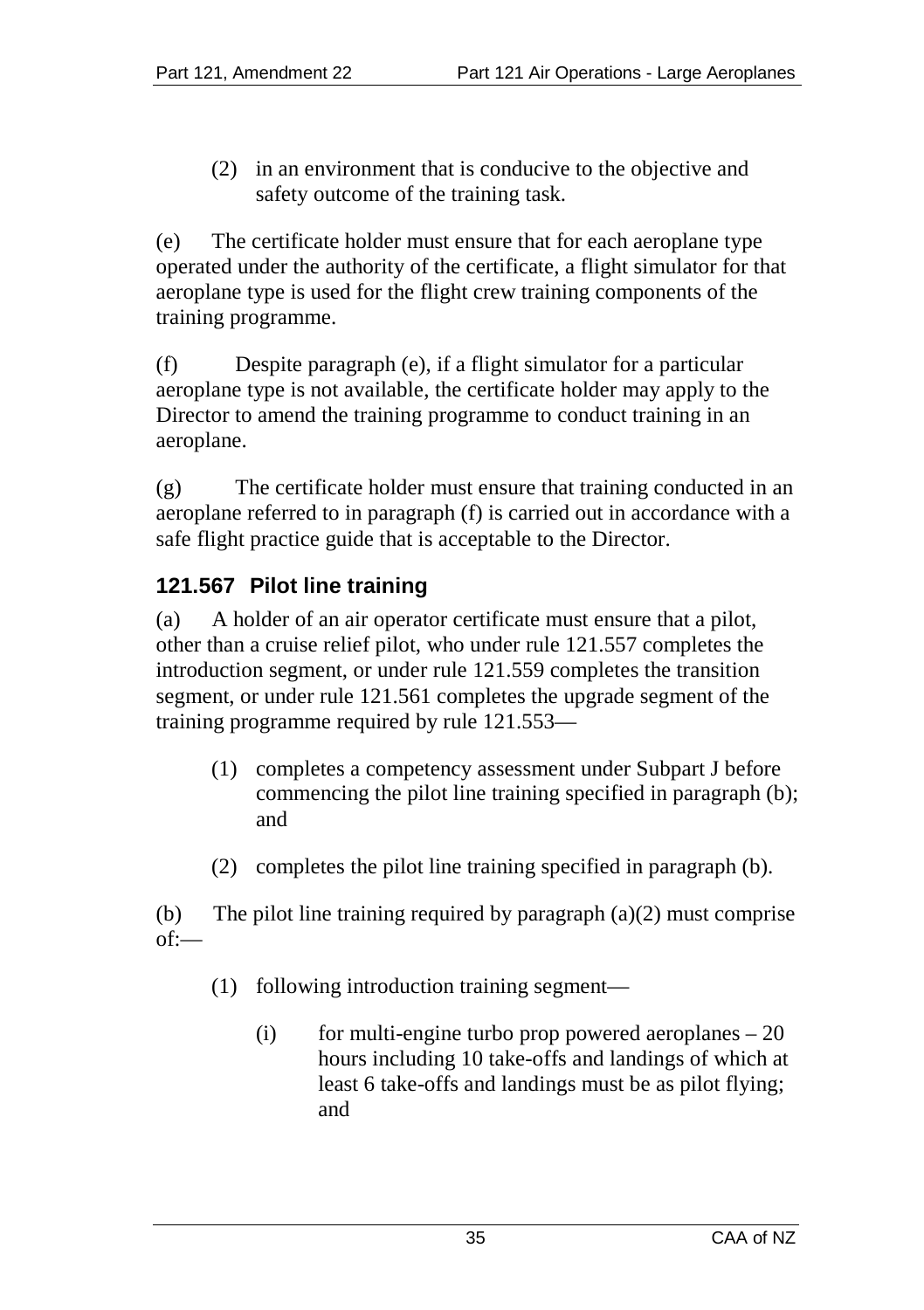(2) in an environment that is conducive to the objective and safety outcome of the training task.

(e) The certificate holder must ensure that for each aeroplane type operated under the authority of the certificate, a flight simulator for that aeroplane type is used for the flight crew training components of the training programme.

(f) Despite paragraph (e), if a flight simulator for a particular aeroplane type is not available, the certificate holder may apply to the Director to amend the training programme to conduct training in an aeroplane.

(g) The certificate holder must ensure that training conducted in an aeroplane referred to in paragraph (f) is carried out in accordance with a safe flight practice guide that is acceptable to the Director.

# **121.567 Pilot line training**

(a) A holder of an air operator certificate must ensure that a pilot, other than a cruise relief pilot, who under rule 121.557 completes the introduction segment, or under rule 121.559 completes the transition segment, or under rule 121.561 completes the upgrade segment of the training programme required by rule 121.553—

- (1) completes a competency assessment under Subpart J before commencing the pilot line training specified in paragraph (b); and
- (2) completes the pilot line training specified in paragraph (b).

(b) The pilot line training required by paragraph  $(a)(2)$  must comprise of:—

- (1) following introduction training segment—
	- (i) for multi-engine turbo prop powered aeroplanes  $-20$ hours including 10 take-offs and landings of which at least 6 take-offs and landings must be as pilot flying; and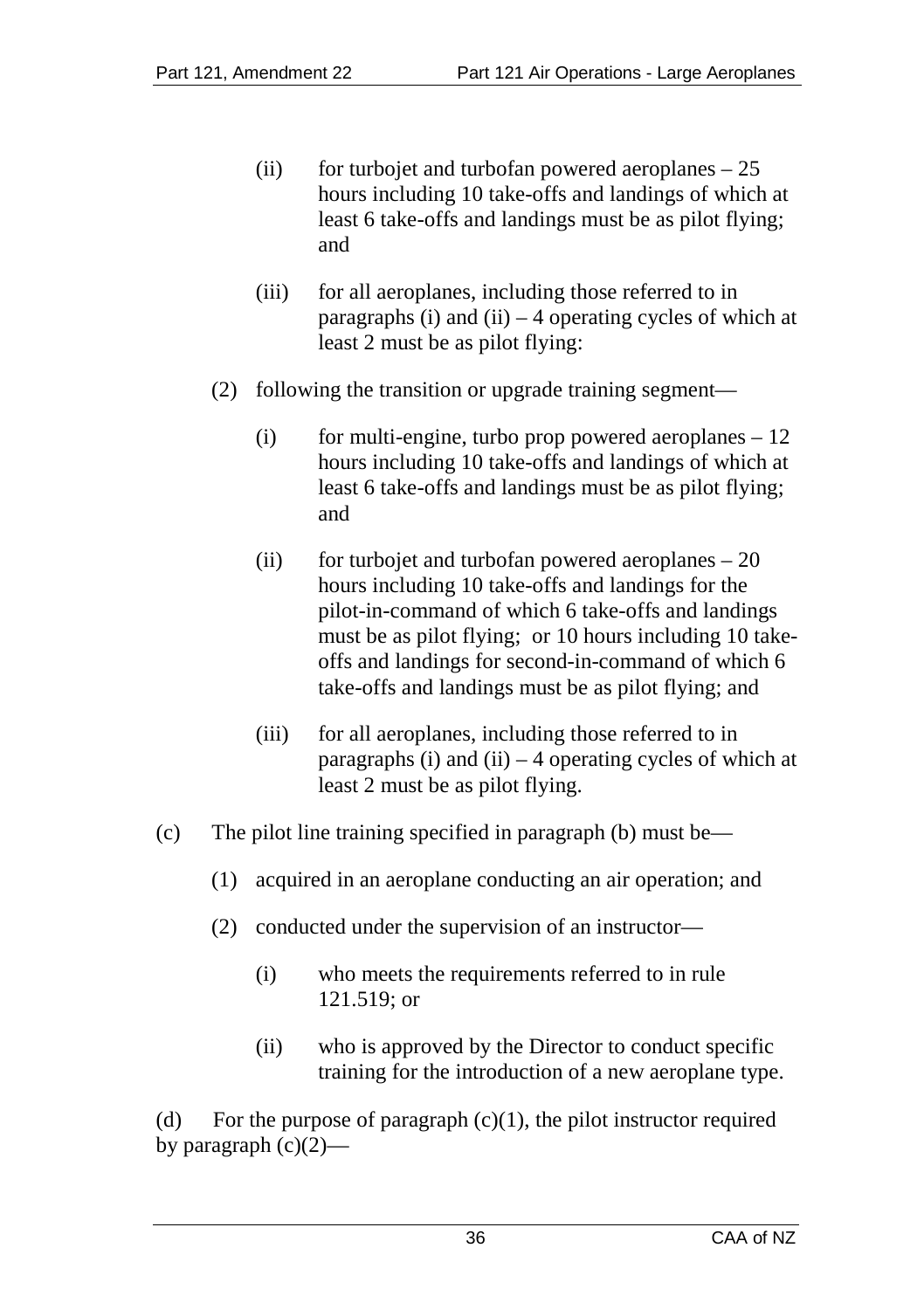- (ii) for turbojet and turbofan powered aeroplanes  $-25$ hours including 10 take-offs and landings of which at least 6 take-offs and landings must be as pilot flying; and
- (iii) for all aeroplanes, including those referred to in paragraphs (i) and (ii)  $-4$  operating cycles of which at least 2 must be as pilot flying:
- (2) following the transition or upgrade training segment—
	- $(i)$  for multi-engine, turbo prop powered aeroplanes  $-12$ hours including 10 take-offs and landings of which at least 6 take-offs and landings must be as pilot flying; and
	- (ii) for turbojet and turbofan powered aeroplanes  $-20$ hours including 10 take-offs and landings for the pilot-in-command of which 6 take-offs and landings must be as pilot flying; or 10 hours including 10 takeoffs and landings for second-in-command of which 6 take-offs and landings must be as pilot flying; and
	- (iii) for all aeroplanes, including those referred to in paragraphs (i) and (ii)  $-4$  operating cycles of which at least 2 must be as pilot flying.
- (c) The pilot line training specified in paragraph (b) must be—
	- (1) acquired in an aeroplane conducting an air operation; and
	- (2) conducted under the supervision of an instructor—
		- (i) who meets the requirements referred to in rule 121.519; or
		- (ii) who is approved by the Director to conduct specific training for the introduction of a new aeroplane type.

(d) For the purpose of paragraph  $(c)(1)$ , the pilot instructor required by paragraph  $(c)(2)$ —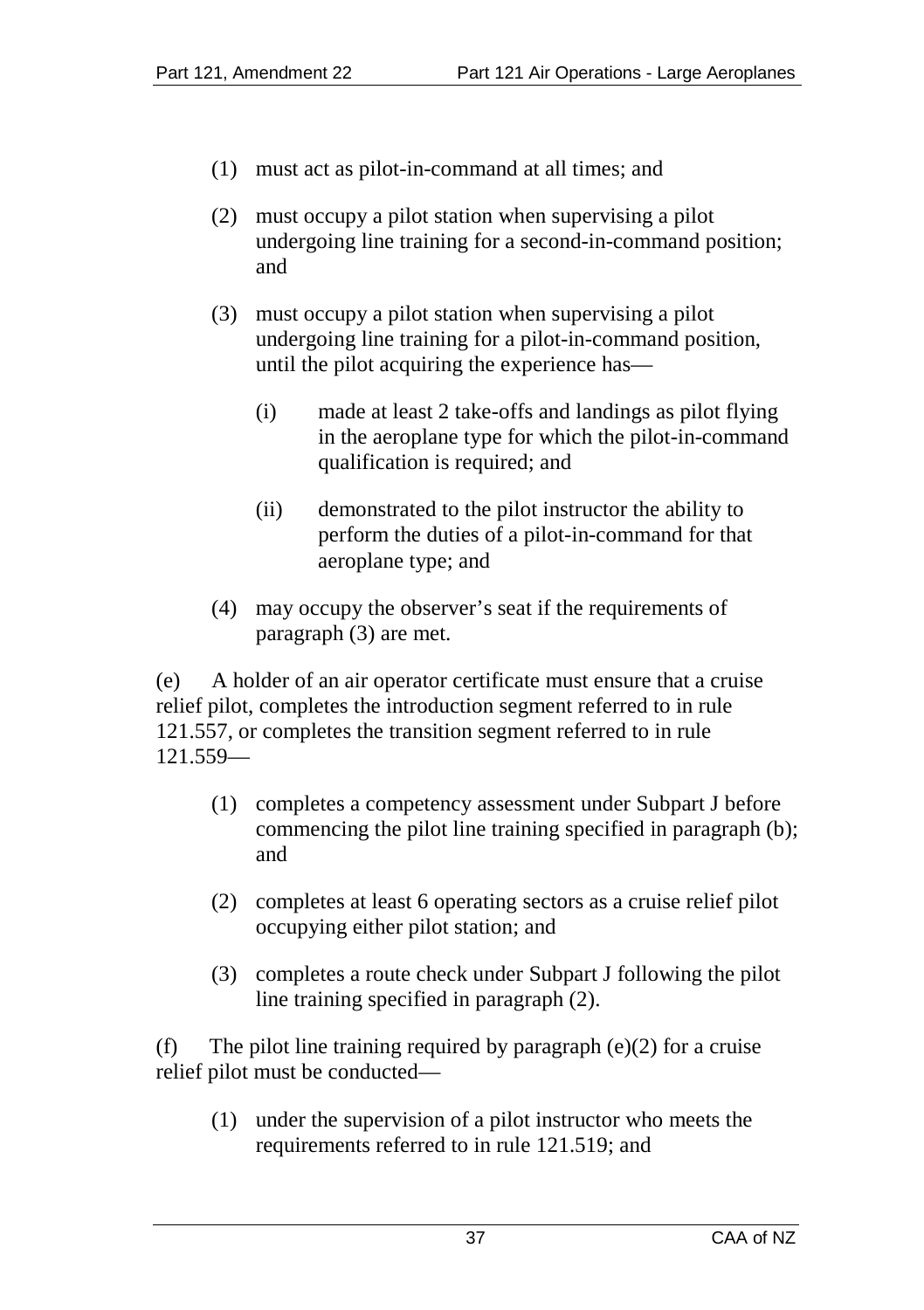- (1) must act as pilot-in-command at all times; and
- (2) must occupy a pilot station when supervising a pilot undergoing line training for a second-in-command position; and
- (3) must occupy a pilot station when supervising a pilot undergoing line training for a pilot-in-command position, until the pilot acquiring the experience has—
	- (i) made at least 2 take-offs and landings as pilot flying in the aeroplane type for which the pilot-in-command qualification is required; and
	- (ii) demonstrated to the pilot instructor the ability to perform the duties of a pilot-in-command for that aeroplane type; and
- (4) may occupy the observer's seat if the requirements of paragraph (3) are met.

(e) A holder of an air operator certificate must ensure that a cruise relief pilot, completes the introduction segment referred to in rule 121.557, or completes the transition segment referred to in rule 121.559—

- (1) completes a competency assessment under Subpart J before commencing the pilot line training specified in paragraph (b); and
- (2) completes at least 6 operating sectors as a cruise relief pilot occupying either pilot station; and
- (3) completes a route check under Subpart J following the pilot line training specified in paragraph (2).

(f) The pilot line training required by paragraph  $(e)(2)$  for a cruise relief pilot must be conducted—

(1) under the supervision of a pilot instructor who meets the requirements referred to in rule 121.519; and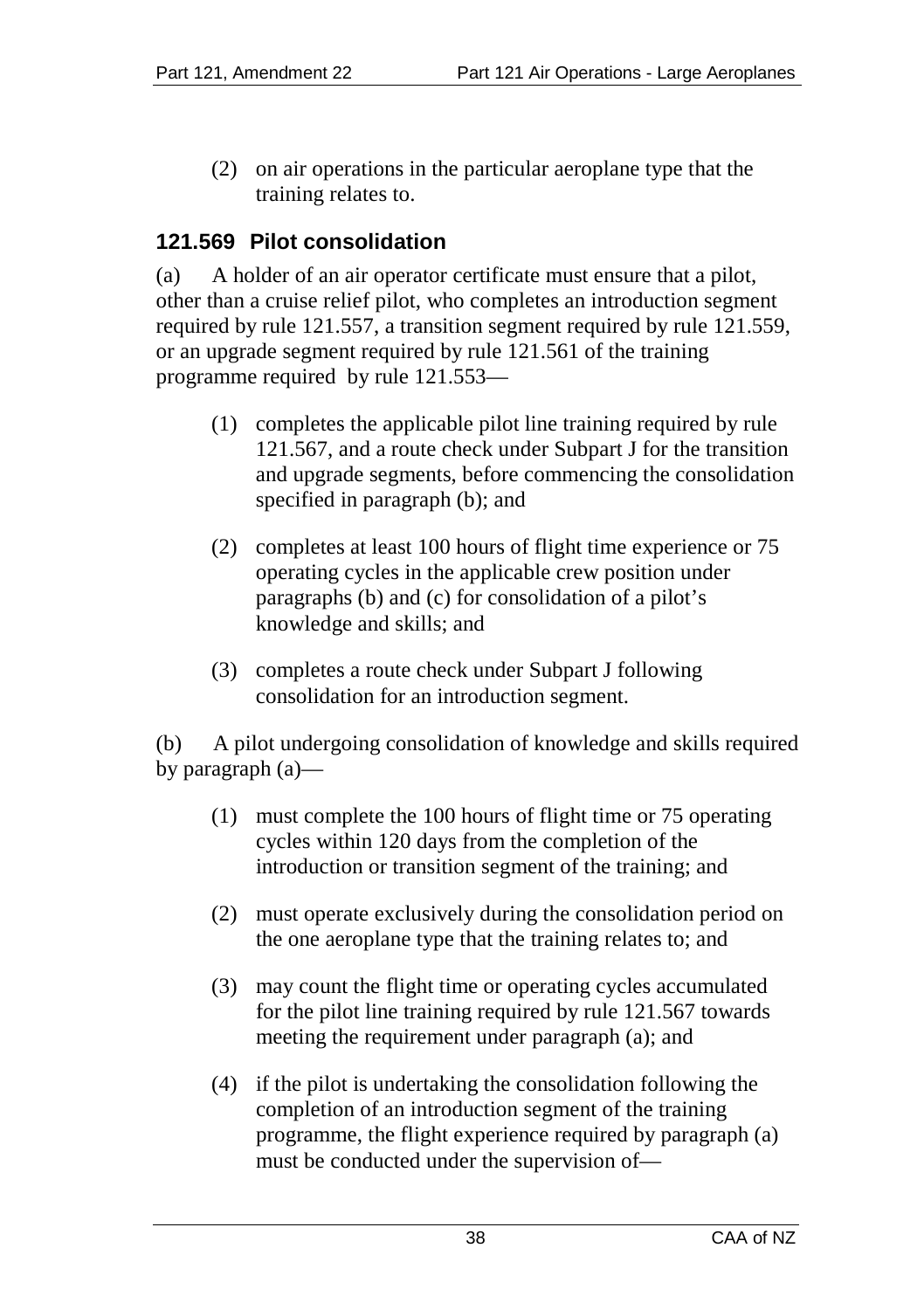(2) on air operations in the particular aeroplane type that the training relates to.

# **121.569 Pilot consolidation**

(a) A holder of an air operator certificate must ensure that a pilot, other than a cruise relief pilot, who completes an introduction segment required by rule 121.557, a transition segment required by rule 121.559, or an upgrade segment required by rule 121.561 of the training programme required by rule 121.553—

- (1) completes the applicable pilot line training required by rule 121.567, and a route check under Subpart J for the transition and upgrade segments, before commencing the consolidation specified in paragraph (b); and
- (2) completes at least 100 hours of flight time experience or 75 operating cycles in the applicable crew position under paragraphs (b) and (c) for consolidation of a pilot's knowledge and skills; and
- (3) completes a route check under Subpart J following consolidation for an introduction segment.

(b) A pilot undergoing consolidation of knowledge and skills required by paragraph (a)—

- (1) must complete the 100 hours of flight time or 75 operating cycles within 120 days from the completion of the introduction or transition segment of the training; and
- (2) must operate exclusively during the consolidation period on the one aeroplane type that the training relates to; and
- (3) may count the flight time or operating cycles accumulated for the pilot line training required by rule 121.567 towards meeting the requirement under paragraph (a); and
- (4) if the pilot is undertaking the consolidation following the completion of an introduction segment of the training programme, the flight experience required by paragraph (a) must be conducted under the supervision of—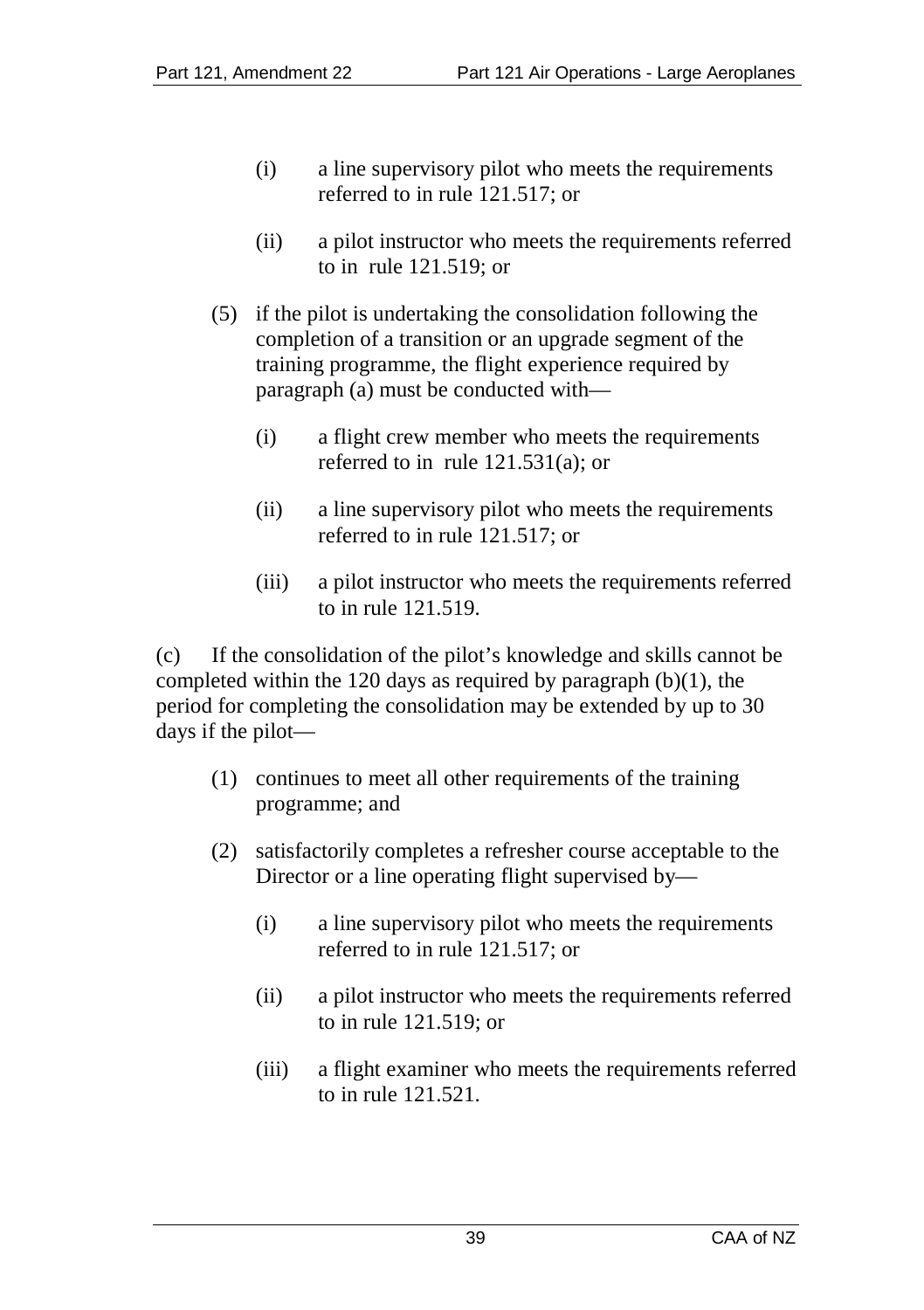- (i) a line supervisory pilot who meets the requirements referred to in rule 121.517; or
- (ii) a pilot instructor who meets the requirements referred to in rule 121.519; or
- (5) if the pilot is undertaking the consolidation following the completion of a transition or an upgrade segment of the training programme, the flight experience required by paragraph (a) must be conducted with—
	- (i) a flight crew member who meets the requirements referred to in rule 121.531(a); or
	- (ii) a line supervisory pilot who meets the requirements referred to in rule 121.517; or
	- (iii) a pilot instructor who meets the requirements referred to in rule 121.519.

(c) If the consolidation of the pilot's knowledge and skills cannot be completed within the 120 days as required by paragraph  $(b)(1)$ , the period for completing the consolidation may be extended by up to 30 days if the pilot—

- (1) continues to meet all other requirements of the training programme; and
- (2) satisfactorily completes a refresher course acceptable to the Director or a line operating flight supervised by—
	- (i) a line supervisory pilot who meets the requirements referred to in rule 121.517; or
	- (ii) a pilot instructor who meets the requirements referred to in rule 121.519; or
	- (iii) a flight examiner who meets the requirements referred to in rule 121.521.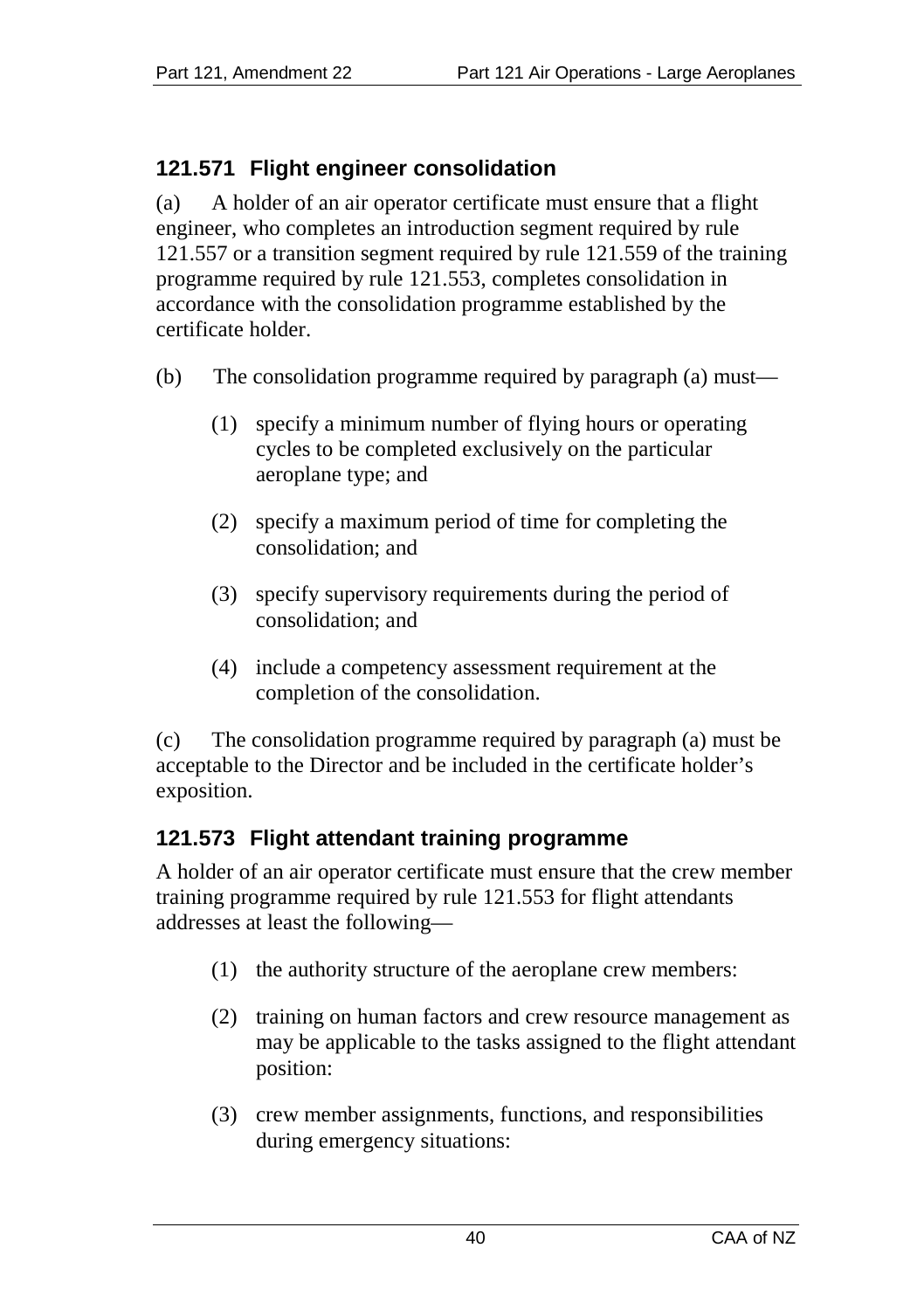# **121.571 Flight engineer consolidation**

(a) A holder of an air operator certificate must ensure that a flight engineer, who completes an introduction segment required by rule 121.557 or a transition segment required by rule 121.559 of the training programme required by rule 121.553, completes consolidation in accordance with the consolidation programme established by the certificate holder.

- (b) The consolidation programme required by paragraph (a) must—
	- (1) specify a minimum number of flying hours or operating cycles to be completed exclusively on the particular aeroplane type; and
	- (2) specify a maximum period of time for completing the consolidation; and
	- (3) specify supervisory requirements during the period of consolidation; and
	- (4) include a competency assessment requirement at the completion of the consolidation.

(c) The consolidation programme required by paragraph (a) must be acceptable to the Director and be included in the certificate holder's exposition.

# **121.573 Flight attendant training programme**

A holder of an air operator certificate must ensure that the crew member training programme required by rule 121.553 for flight attendants addresses at least the following—

- (1) the authority structure of the aeroplane crew members:
- (2) training on human factors and crew resource management as may be applicable to the tasks assigned to the flight attendant position:
- (3) crew member assignments, functions, and responsibilities during emergency situations: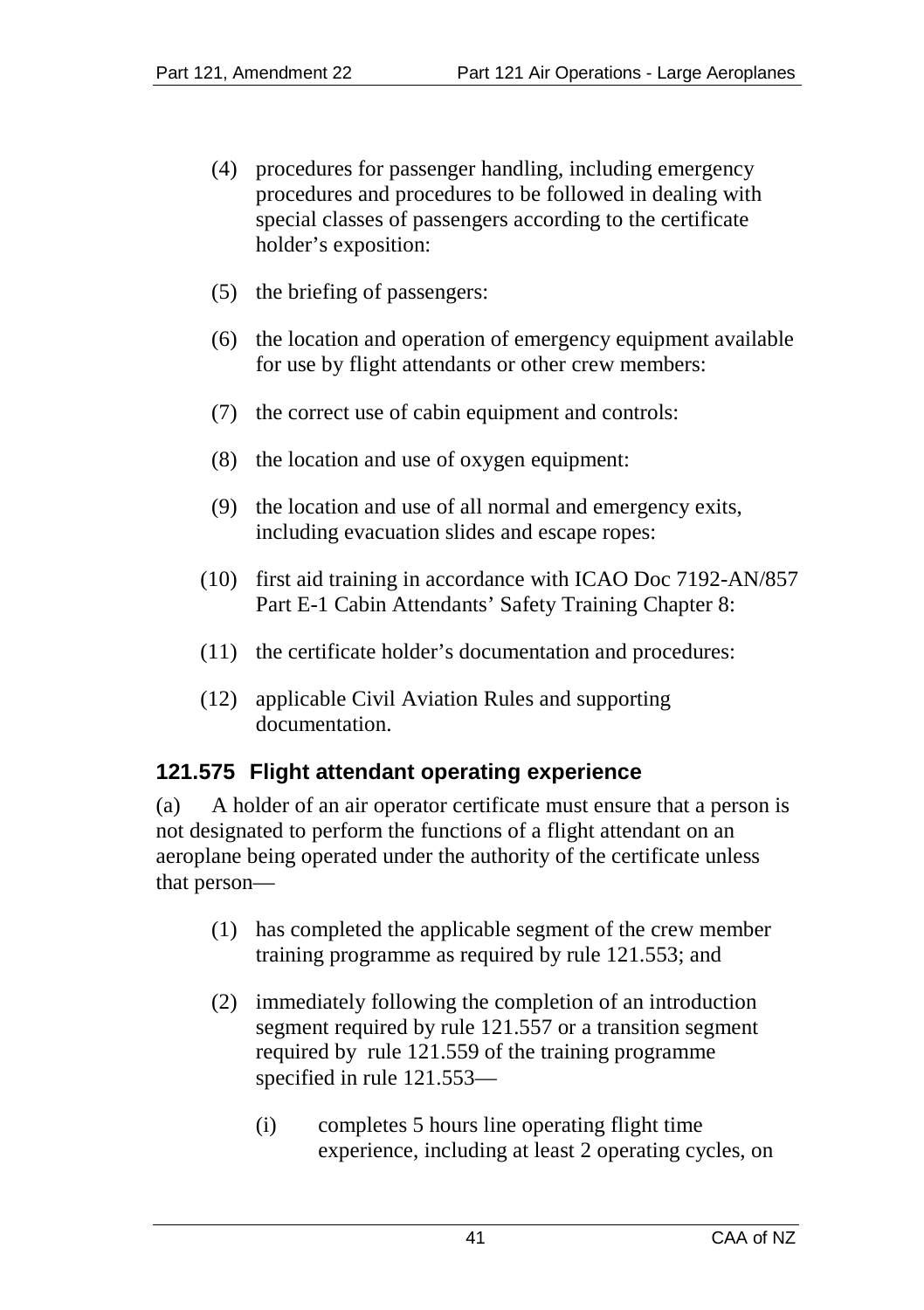- (4) procedures for passenger handling, including emergency procedures and procedures to be followed in dealing with special classes of passengers according to the certificate holder's exposition:
- (5) the briefing of passengers:
- (6) the location and operation of emergency equipment available for use by flight attendants or other crew members:
- (7) the correct use of cabin equipment and controls:
- (8) the location and use of oxygen equipment:
- (9) the location and use of all normal and emergency exits, including evacuation slides and escape ropes:
- (10) first aid training in accordance with ICAO Doc 7192-AN/857 Part E-1 Cabin Attendants' Safety Training Chapter 8:
- (11) the certificate holder's documentation and procedures:
- (12) applicable Civil Aviation Rules and supporting documentation.

# **121.575 Flight attendant operating experience**

(a) A holder of an air operator certificate must ensure that a person is not designated to perform the functions of a flight attendant on an aeroplane being operated under the authority of the certificate unless that person—

- (1) has completed the applicable segment of the crew member training programme as required by rule 121.553; and
- (2) immediately following the completion of an introduction segment required by rule 121.557 or a transition segment required by rule 121.559 of the training programme specified in rule 121.553—
	- (i) completes 5 hours line operating flight time experience, including at least 2 operating cycles, on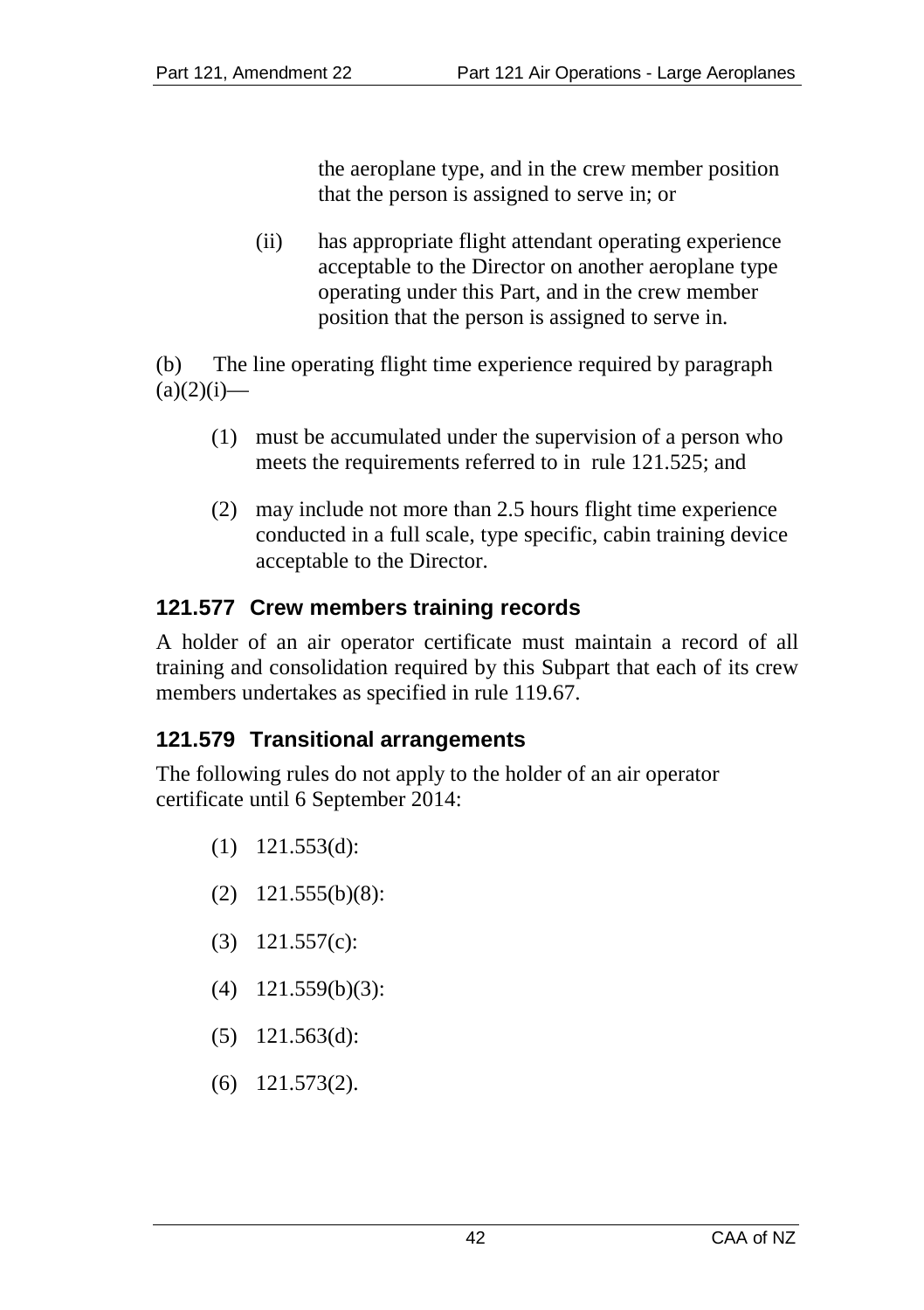the aeroplane type, and in the crew member position that the person is assigned to serve in; or

(ii) has appropriate flight attendant operating experience acceptable to the Director on another aeroplane type operating under this Part, and in the crew member position that the person is assigned to serve in.

(b) The line operating flight time experience required by paragraph  $(a)(2)(i)$ —

- (1) must be accumulated under the supervision of a person who meets the requirements referred to in rule 121.525; and
- (2) may include not more than 2.5 hours flight time experience conducted in a full scale, type specific, cabin training device acceptable to the Director.

# **121.577 Crew members training records**

A holder of an air operator certificate must maintain a record of all training and consolidation required by this Subpart that each of its crew members undertakes as specified in rule 119.67.

#### **121.579 Transitional arrangements**

The following rules do not apply to the holder of an air operator certificate until 6 September 2014:

- (1) 121.553(d):
- (2) 121.555(b)(8):
- (3) 121.557(c):
- (4) 121.559(b)(3):
- (5) 121.563(d):
- (6) 121.573(2).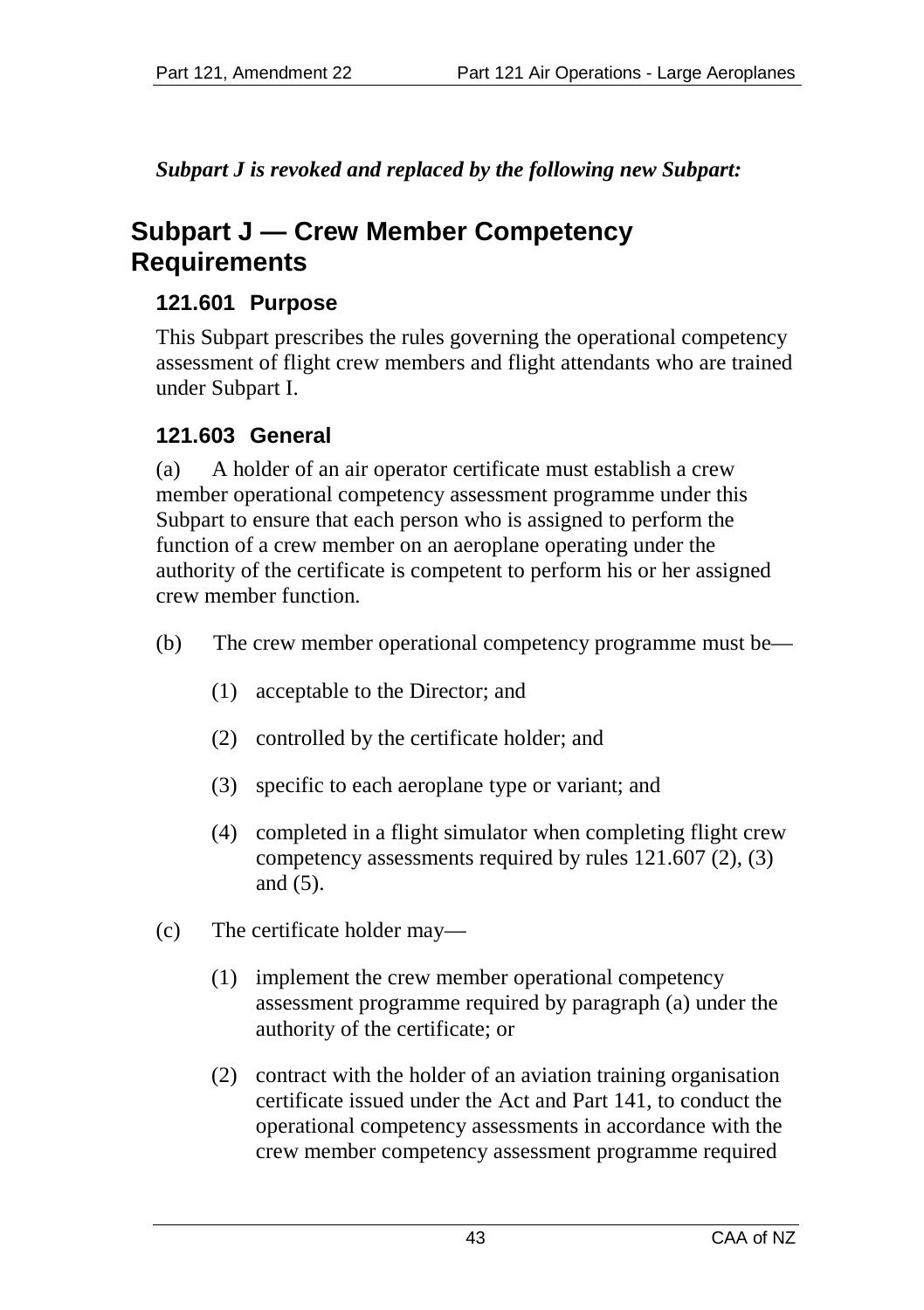*Subpart J is revoked and replaced by the following new Subpart:*

# **Subpart J — Crew Member Competency Requirements**

# **121.601 Purpose**

This Subpart prescribes the rules governing the operational competency assessment of flight crew members and flight attendants who are trained under Subpart I.

# **121.603 General**

(a) A holder of an air operator certificate must establish a crew member operational competency assessment programme under this Subpart to ensure that each person who is assigned to perform the function of a crew member on an aeroplane operating under the authority of the certificate is competent to perform his or her assigned crew member function.

- (b) The crew member operational competency programme must be—
	- (1) acceptable to the Director; and
	- (2) controlled by the certificate holder; and
	- (3) specific to each aeroplane type or variant; and
	- (4) completed in a flight simulator when completing flight crew competency assessments required by rules 121.607 (2), (3) and (5).
- (c) The certificate holder may—
	- (1) implement the crew member operational competency assessment programme required by paragraph (a) under the authority of the certificate; or
	- (2) contract with the holder of an aviation training organisation certificate issued under the Act and Part 141, to conduct the operational competency assessments in accordance with the crew member competency assessment programme required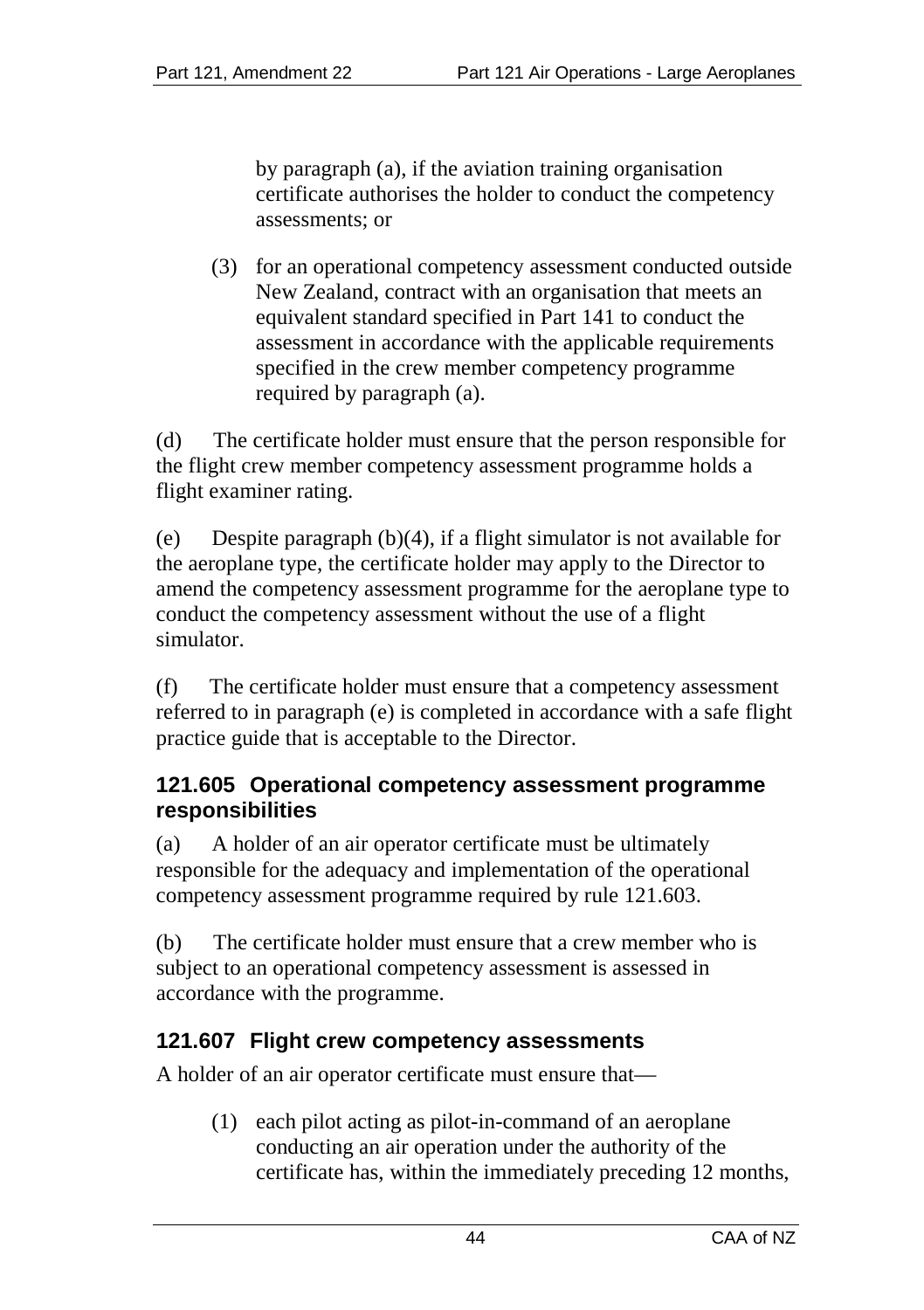by paragraph (a), if the aviation training organisation certificate authorises the holder to conduct the competency assessments; or

(3) for an operational competency assessment conducted outside New Zealand, contract with an organisation that meets an equivalent standard specified in Part 141 to conduct the assessment in accordance with the applicable requirements specified in the crew member competency programme required by paragraph (a).

(d) The certificate holder must ensure that the person responsible for the flight crew member competency assessment programme holds a flight examiner rating.

(e) Despite paragraph (b)(4), if a flight simulator is not available for the aeroplane type, the certificate holder may apply to the Director to amend the competency assessment programme for the aeroplane type to conduct the competency assessment without the use of a flight simulator.

(f) The certificate holder must ensure that a competency assessment referred to in paragraph (e) is completed in accordance with a safe flight practice guide that is acceptable to the Director.

#### **121.605 Operational competency assessment programme responsibilities**

(a) A holder of an air operator certificate must be ultimately responsible for the adequacy and implementation of the operational competency assessment programme required by rule 121.603.

(b) The certificate holder must ensure that a crew member who is subject to an operational competency assessment is assessed in accordance with the programme.

# **121.607 Flight crew competency assessments**

A holder of an air operator certificate must ensure that—

(1) each pilot acting as pilot-in-command of an aeroplane conducting an air operation under the authority of the certificate has, within the immediately preceding 12 months,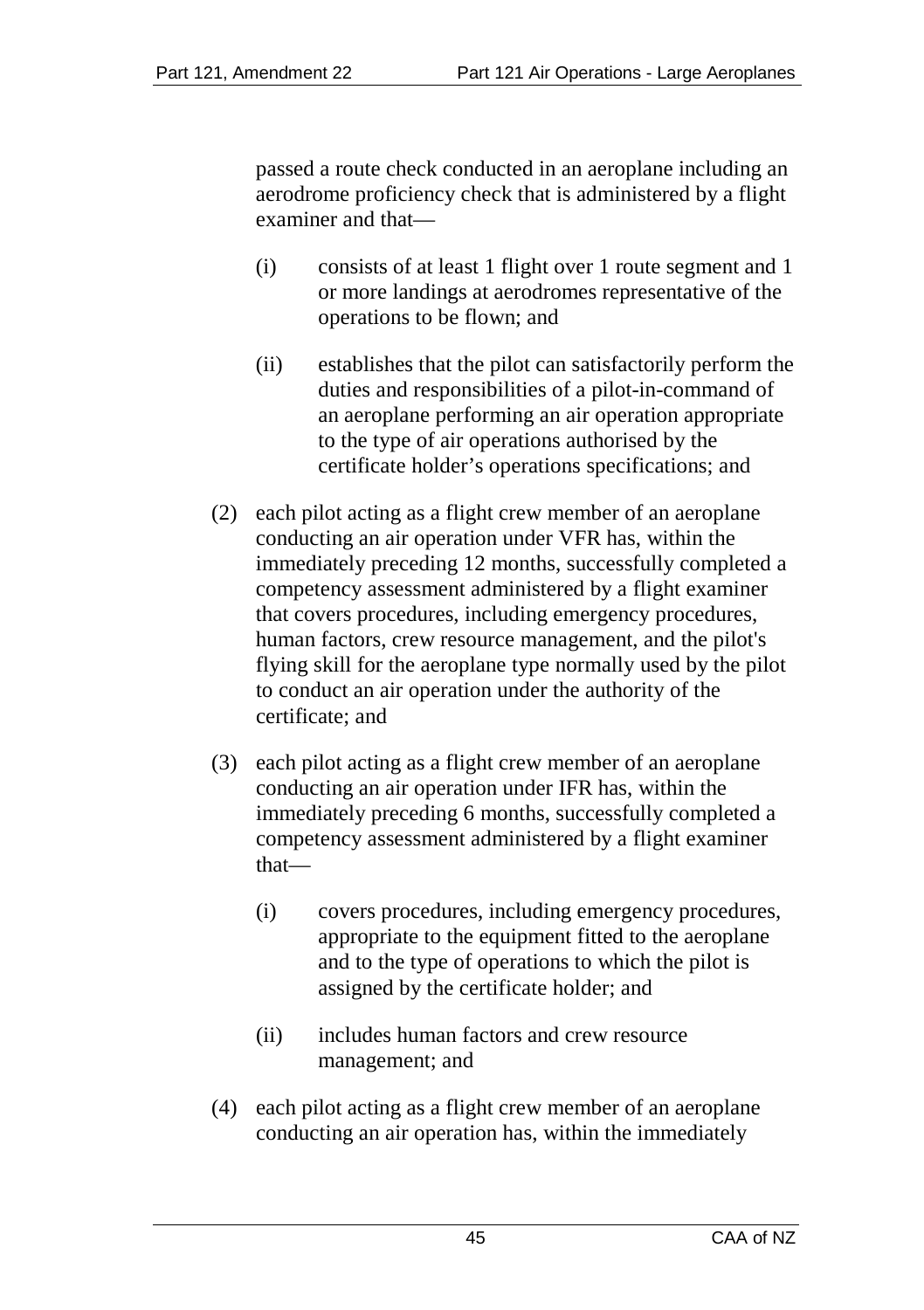passed a route check conducted in an aeroplane including an aerodrome proficiency check that is administered by a flight examiner and that—

- (i) consists of at least 1 flight over 1 route segment and 1 or more landings at aerodromes representative of the operations to be flown; and
- (ii) establishes that the pilot can satisfactorily perform the duties and responsibilities of a pilot-in-command of an aeroplane performing an air operation appropriate to the type of air operations authorised by the certificate holder's operations specifications; and
- (2) each pilot acting as a flight crew member of an aeroplane conducting an air operation under VFR has, within the immediately preceding 12 months, successfully completed a competency assessment administered by a flight examiner that covers procedures, including emergency procedures, human factors, crew resource management, and the pilot's flying skill for the aeroplane type normally used by the pilot to conduct an air operation under the authority of the certificate; and
- (3) each pilot acting as a flight crew member of an aeroplane conducting an air operation under IFR has, within the immediately preceding 6 months, successfully completed a competency assessment administered by a flight examiner that—
	- (i) covers procedures, including emergency procedures, appropriate to the equipment fitted to the aeroplane and to the type of operations to which the pilot is assigned by the certificate holder; and
	- (ii) includes human factors and crew resource management; and
- (4) each pilot acting as a flight crew member of an aeroplane conducting an air operation has, within the immediately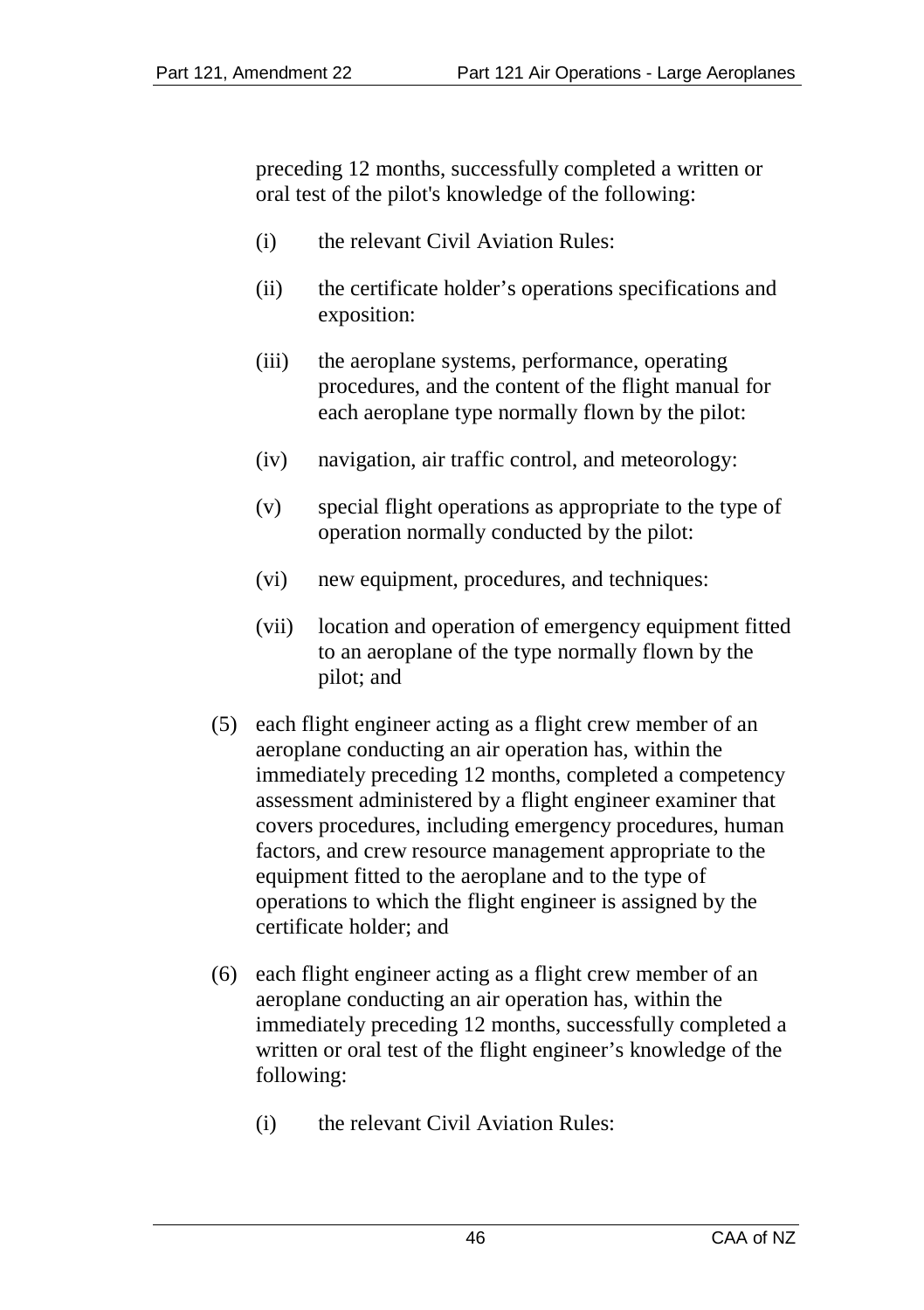preceding 12 months, successfully completed a written or oral test of the pilot's knowledge of the following:

- (i) the relevant Civil Aviation Rules:
- (ii) the certificate holder's operations specifications and exposition:
- (iii) the aeroplane systems, performance, operating procedures, and the content of the flight manual for each aeroplane type normally flown by the pilot:
- (iv) navigation, air traffic control, and meteorology:
- (v) special flight operations as appropriate to the type of operation normally conducted by the pilot:
- (vi) new equipment, procedures, and techniques:
- (vii) location and operation of emergency equipment fitted to an aeroplane of the type normally flown by the pilot; and
- (5) each flight engineer acting as a flight crew member of an aeroplane conducting an air operation has, within the immediately preceding 12 months, completed a competency assessment administered by a flight engineer examiner that covers procedures, including emergency procedures, human factors, and crew resource management appropriate to the equipment fitted to the aeroplane and to the type of operations to which the flight engineer is assigned by the certificate holder; and
- (6) each flight engineer acting as a flight crew member of an aeroplane conducting an air operation has, within the immediately preceding 12 months, successfully completed a written or oral test of the flight engineer's knowledge of the following:
	- (i) the relevant Civil Aviation Rules: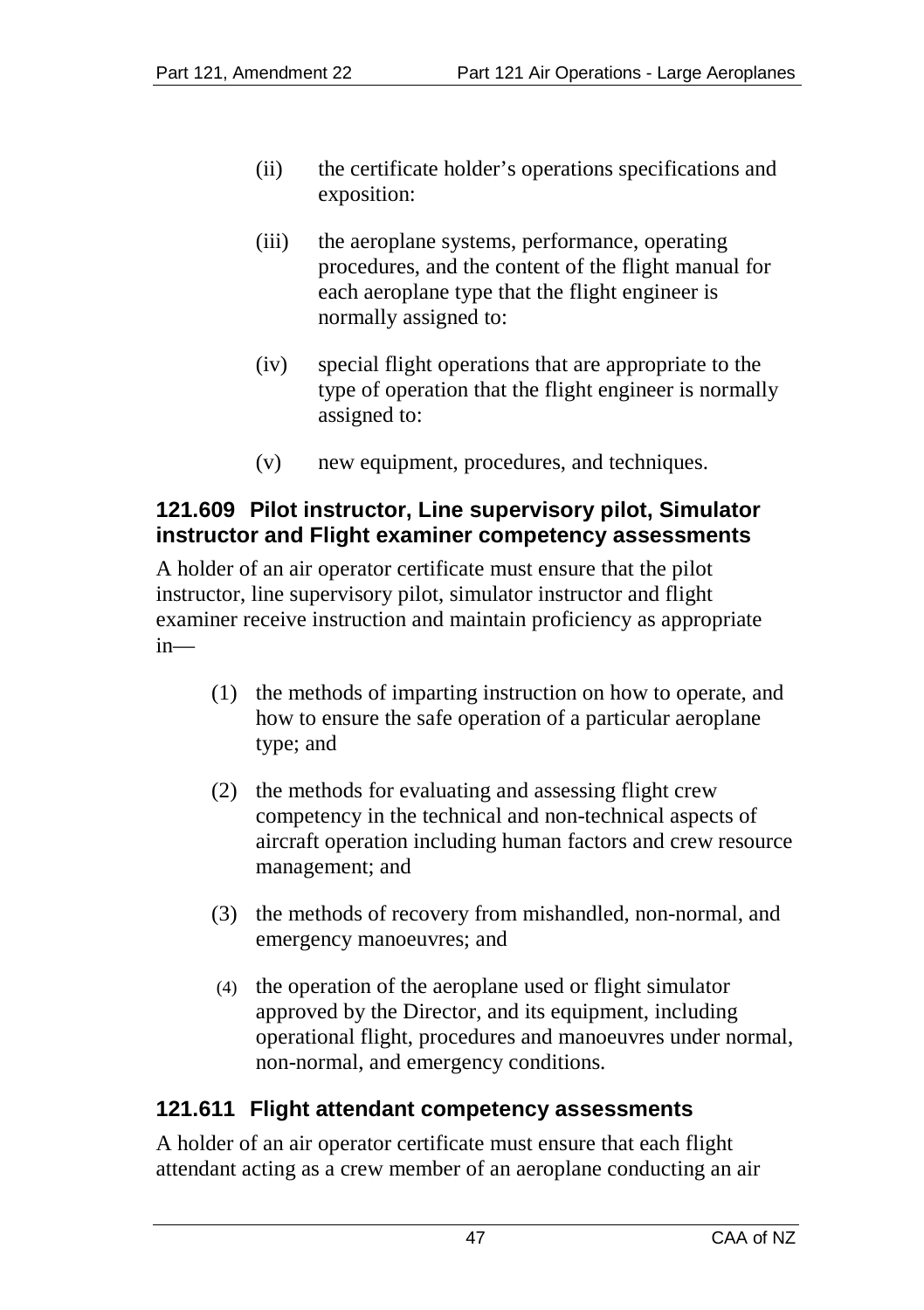- (ii) the certificate holder's operations specifications and exposition:
- (iii) the aeroplane systems, performance, operating procedures, and the content of the flight manual for each aeroplane type that the flight engineer is normally assigned to:
- (iv) special flight operations that are appropriate to the type of operation that the flight engineer is normally assigned to:
- (v) new equipment, procedures, and techniques.

# **121.609 Pilot instructor, Line supervisory pilot, Simulator instructor and Flight examiner competency assessments**

A holder of an air operator certificate must ensure that the pilot instructor, line supervisory pilot, simulator instructor and flight examiner receive instruction and maintain proficiency as appropriate in—

- (1) the methods of imparting instruction on how to operate, and how to ensure the safe operation of a particular aeroplane type; and
- (2) the methods for evaluating and assessing flight crew competency in the technical and non-technical aspects of aircraft operation including human factors and crew resource management; and
- (3) the methods of recovery from mishandled, non-normal, and emergency manoeuvres; and
- (4) the operation of the aeroplane used or flight simulator approved by the Director, and its equipment, including operational flight, procedures and manoeuvres under normal, non-normal, and emergency conditions.

#### **121.611 Flight attendant competency assessments**

A holder of an air operator certificate must ensure that each flight attendant acting as a crew member of an aeroplane conducting an air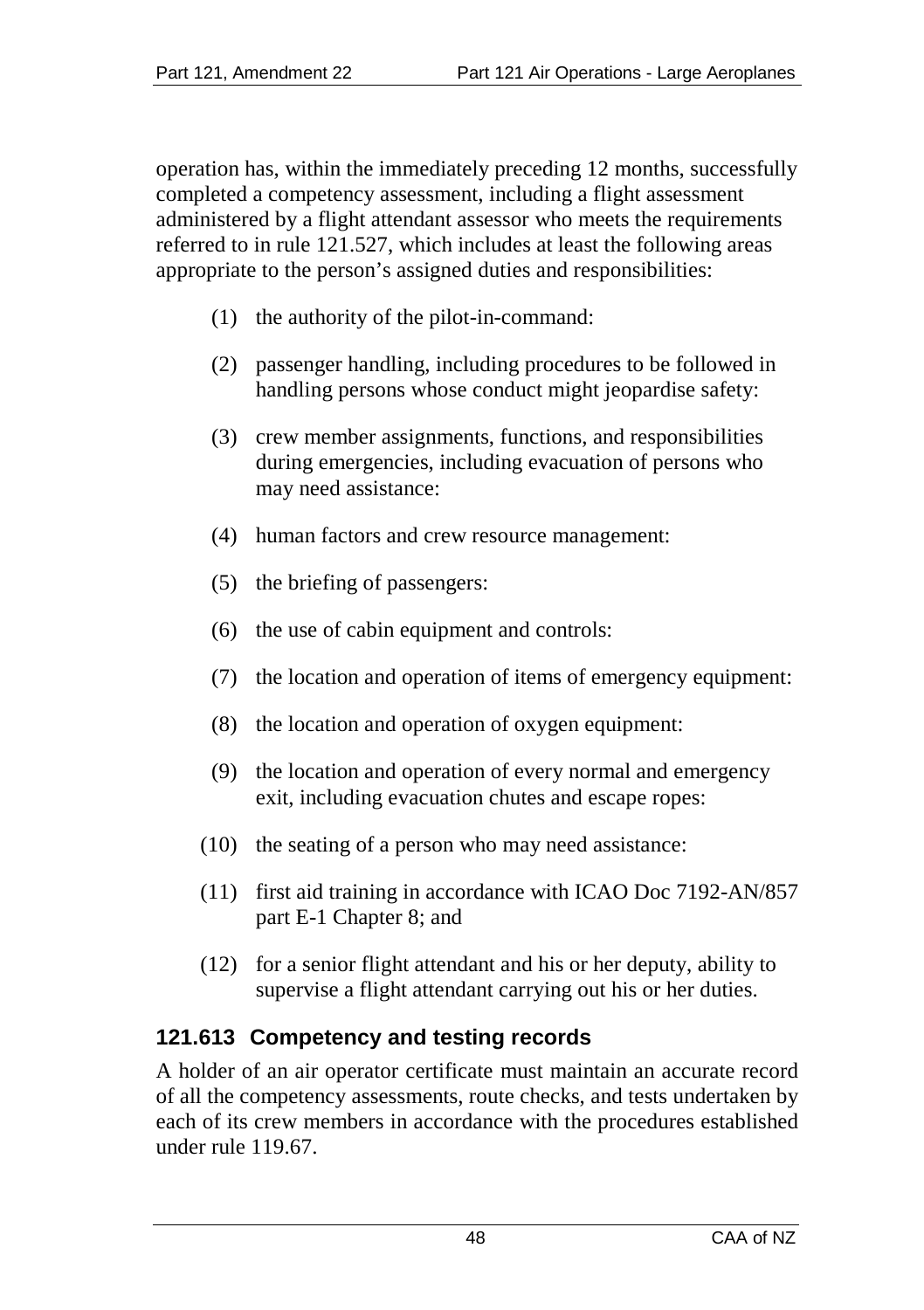operation has, within the immediately preceding 12 months, successfully completed a competency assessment, including a flight assessment administered by a flight attendant assessor who meets the requirements referred to in rule 121.527, which includes at least the following areas appropriate to the person's assigned duties and responsibilities:

- (1) the authority of the pilot-in-command:
- (2) passenger handling, including procedures to be followed in handling persons whose conduct might jeopardise safety:
- (3) crew member assignments, functions, and responsibilities during emergencies, including evacuation of persons who may need assistance:
- (4) human factors and crew resource management:
- (5) the briefing of passengers:
- (6) the use of cabin equipment and controls:
- (7) the location and operation of items of emergency equipment:
- (8) the location and operation of oxygen equipment:
- (9) the location and operation of every normal and emergency exit, including evacuation chutes and escape ropes:
- (10) the seating of a person who may need assistance:
- (11) first aid training in accordance with ICAO Doc 7192-AN/857 part E-1 Chapter 8; and
- (12) for a senior flight attendant and his or her deputy, ability to supervise a flight attendant carrying out his or her duties.

# **121.613 Competency and testing records**

A holder of an air operator certificate must maintain an accurate record of all the competency assessments, route checks, and tests undertaken by each of its crew members in accordance with the procedures established under rule 119.67.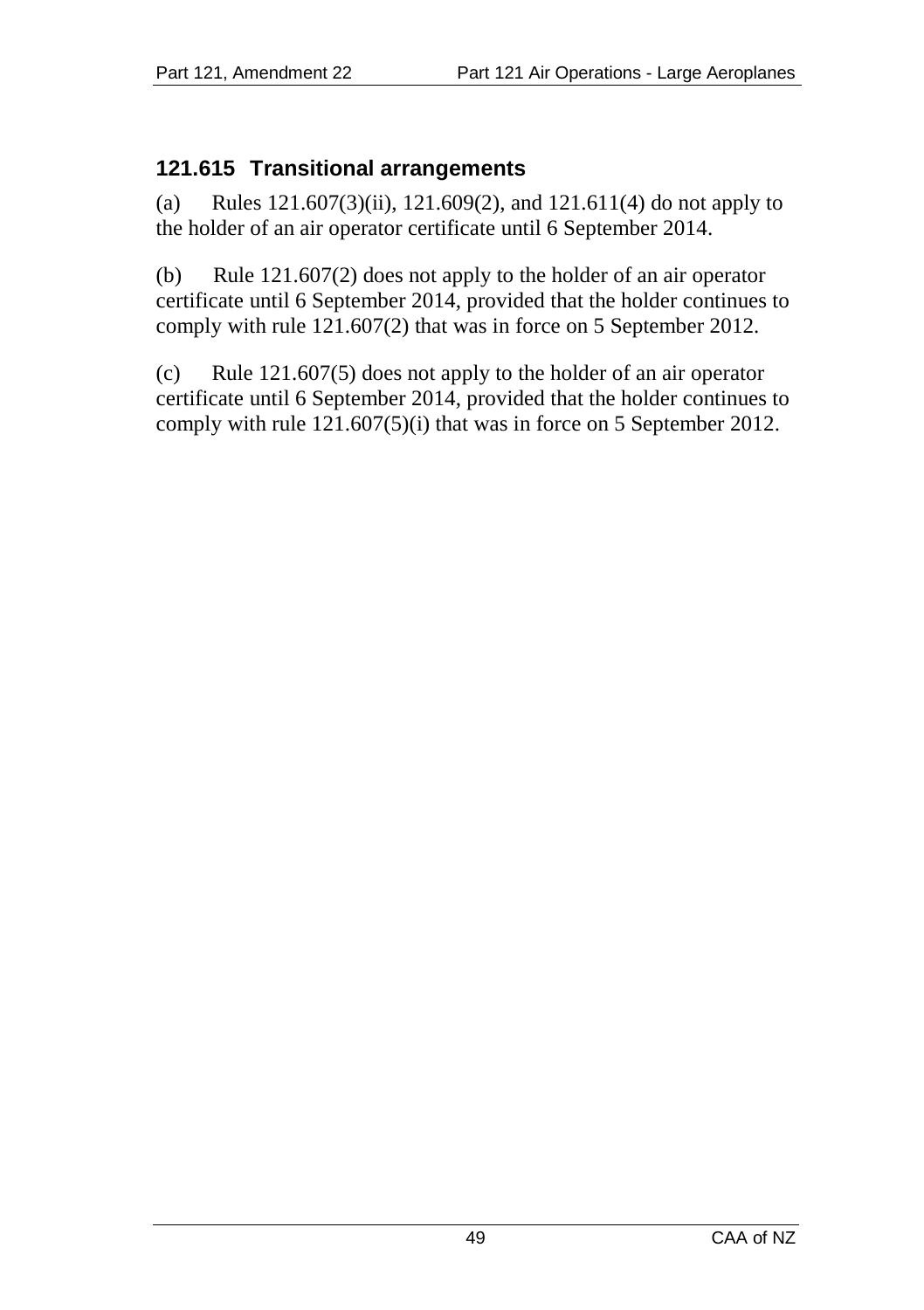#### **121.615 Transitional arrangements**

(a) Rules 121.607(3)(ii), 121.609(2), and 121.611(4) do not apply to the holder of an air operator certificate until 6 September 2014.

(b) Rule 121.607(2) does not apply to the holder of an air operator certificate until 6 September 2014, provided that the holder continues to comply with rule 121.607(2) that was in force on 5 September 2012.

(c) Rule 121.607(5) does not apply to the holder of an air operator certificate until 6 September 2014, provided that the holder continues to comply with rule 121.607(5)(i) that was in force on 5 September 2012.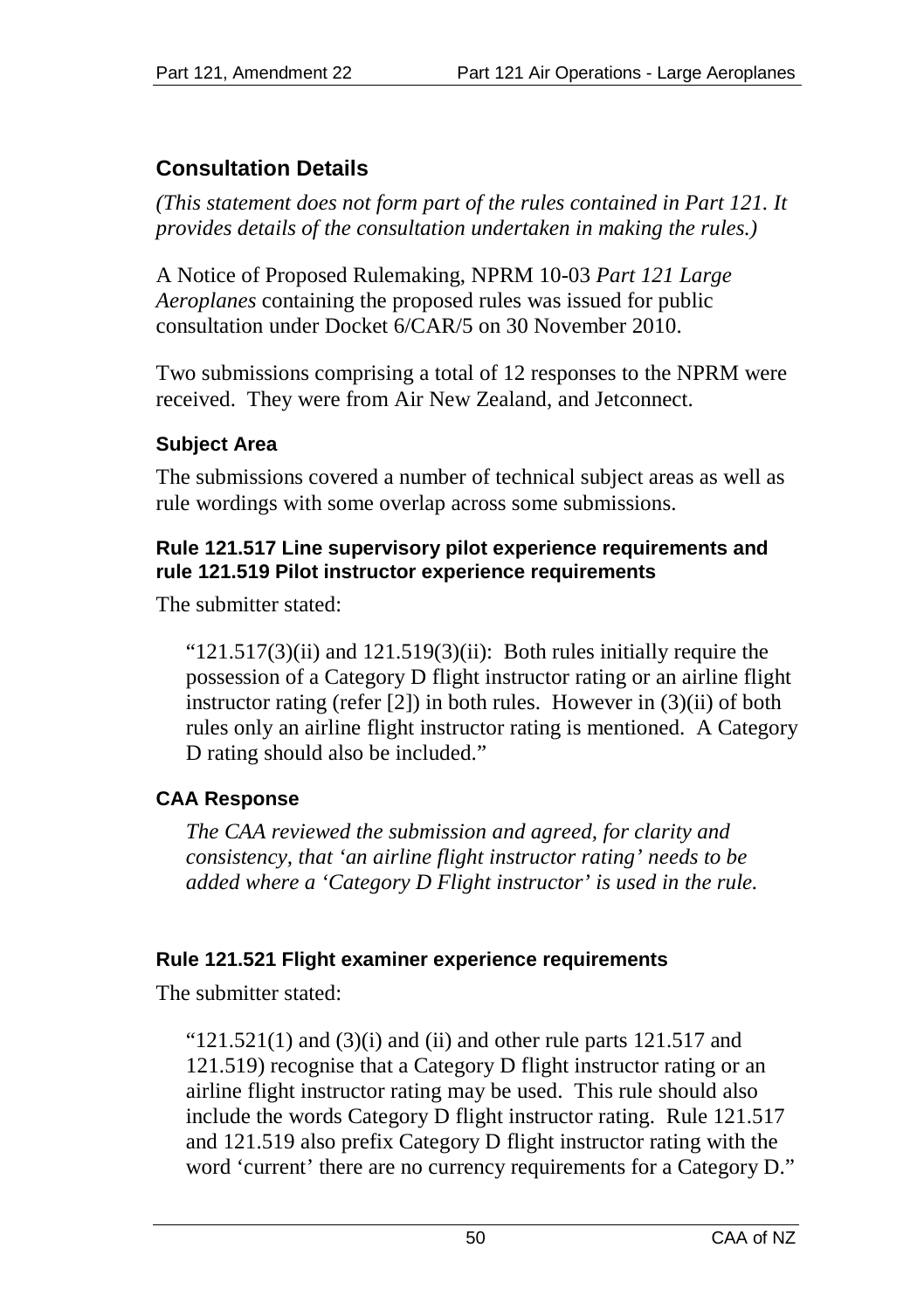# **Consultation Details**

*(This statement does not form part of the rules contained in Part 121. It provides details of the consultation undertaken in making the rules.)*

A Notice of Proposed Rulemaking, NPRM 10-03 *Part 121 Large Aeroplanes* containing the proposed rules was issued for public consultation under Docket 6/CAR/5 on 30 November 2010.

Two submissions comprising a total of 12 responses to the NPRM were received. They were from Air New Zealand, and Jetconnect.

# **Subject Area**

The submissions covered a number of technical subject areas as well as rule wordings with some overlap across some submissions.

#### **Rule 121.517 Line supervisory pilot experience requirements and rule 121.519 Pilot instructor experience requirements**

The submitter stated:

" $121.517(3)$ (ii) and  $121.519(3)$ (ii): Both rules initially require the possession of a Category D flight instructor rating or an airline flight instructor rating (refer [2]) in both rules. However in (3)(ii) of both rules only an airline flight instructor rating is mentioned. A Category D rating should also be included."

# **CAA Response**

*The CAA reviewed the submission and agreed, for clarity and consistency, that 'an airline flight instructor rating' needs to be added where a 'Category D Flight instructor' is used in the rule.*

#### **Rule 121.521 Flight examiner experience requirements**

The submitter stated:

" $121.521(1)$  and  $(3)(i)$  and  $(ii)$  and other rule parts 121.517 and 121.519) recognise that a Category D flight instructor rating or an airline flight instructor rating may be used. This rule should also include the words Category D flight instructor rating. Rule 121.517 and 121.519 also prefix Category D flight instructor rating with the word 'current' there are no currency requirements for a Category D."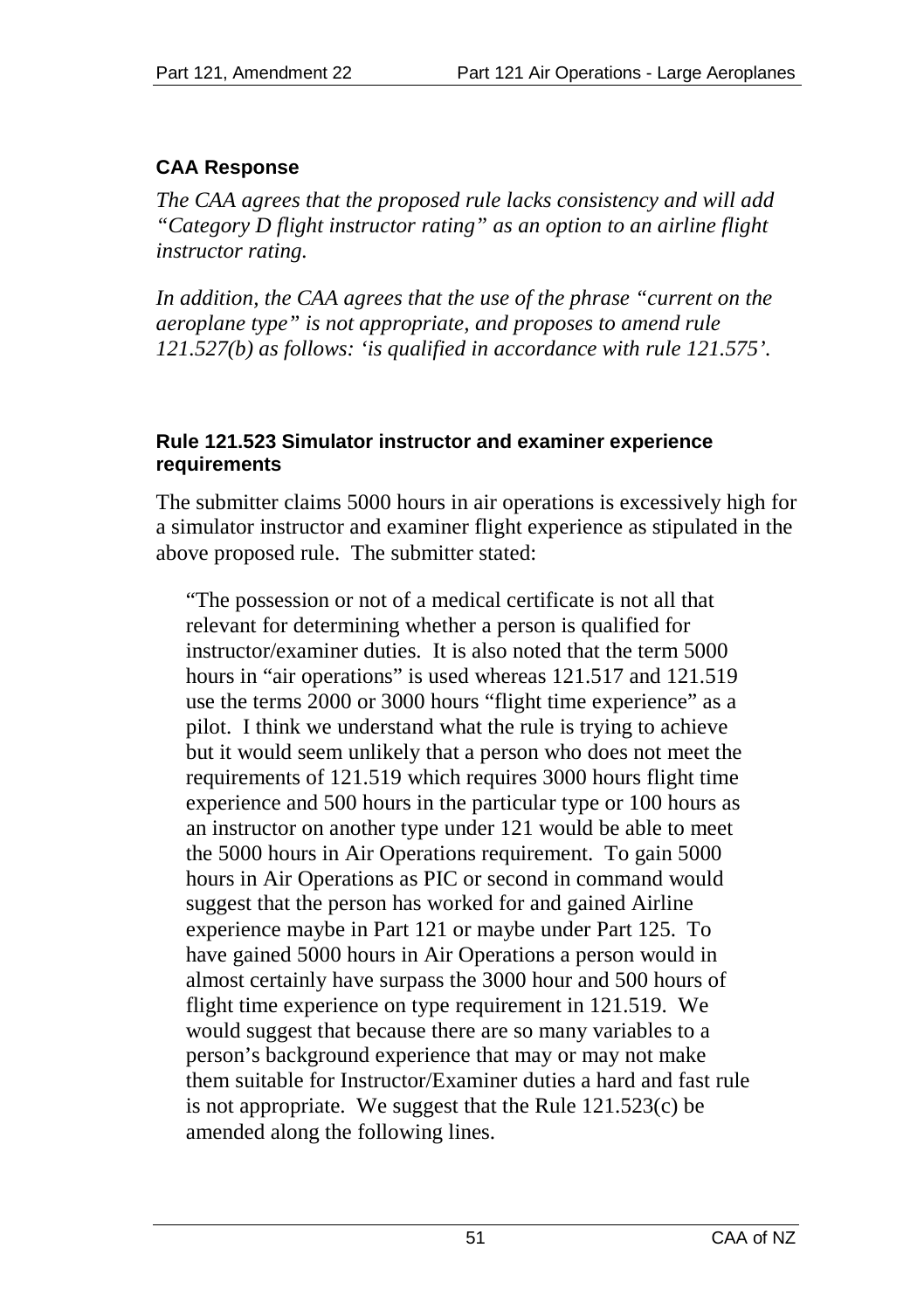# **CAA Response**

*The CAA agrees that the proposed rule lacks consistency and will add "Category D flight instructor rating" as an option to an airline flight instructor rating.*

*In addition, the CAA agrees that the use of the phrase "current on the aeroplane type" is not appropriate, and proposes to amend rule 121.527(b) as follows: 'is qualified in accordance with rule 121.575'.* 

#### **Rule 121.523 Simulator instructor and examiner experience requirements**

The submitter claims 5000 hours in air operations is excessively high for a simulator instructor and examiner flight experience as stipulated in the above proposed rule. The submitter stated:

"The possession or not of a medical certificate is not all that relevant for determining whether a person is qualified for instructor/examiner duties. It is also noted that the term 5000 hours in "air operations" is used whereas 121.517 and 121.519 use the terms 2000 or 3000 hours "flight time experience" as a pilot. I think we understand what the rule is trying to achieve but it would seem unlikely that a person who does not meet the requirements of 121.519 which requires 3000 hours flight time experience and 500 hours in the particular type or 100 hours as an instructor on another type under 121 would be able to meet the 5000 hours in Air Operations requirement. To gain 5000 hours in Air Operations as PIC or second in command would suggest that the person has worked for and gained Airline experience maybe in Part 121 or maybe under Part 125. To have gained 5000 hours in Air Operations a person would in almost certainly have surpass the 3000 hour and 500 hours of flight time experience on type requirement in 121.519. We would suggest that because there are so many variables to a person's background experience that may or may not make them suitable for Instructor/Examiner duties a hard and fast rule is not appropriate. We suggest that the Rule 121.523(c) be amended along the following lines.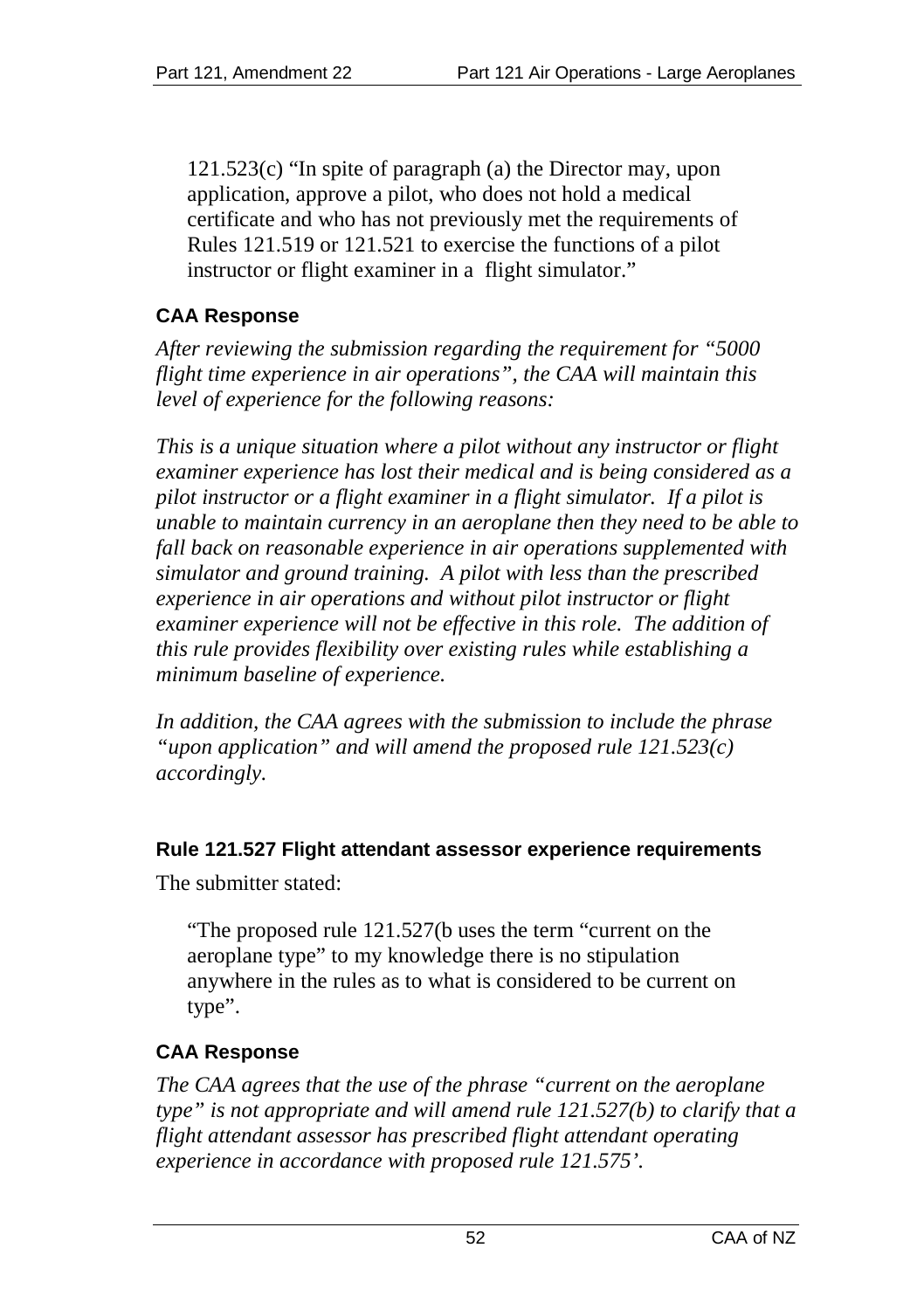121.523(c) "In spite of paragraph (a) the Director may, upon application, approve a pilot, who does not hold a medical certificate and who has not previously met the requirements of Rules 121.519 or 121.521 to exercise the functions of a pilot instructor or flight examiner in a flight simulator."

#### **CAA Response**

*After reviewing the submission regarding the requirement for "5000 flight time experience in air operations", the CAA will maintain this level of experience for the following reasons:*

*This is a unique situation where a pilot without any instructor or flight examiner experience has lost their medical and is being considered as a pilot instructor or a flight examiner in a flight simulator. If a pilot is unable to maintain currency in an aeroplane then they need to be able to fall back on reasonable experience in air operations supplemented with simulator and ground training. A pilot with less than the prescribed experience in air operations and without pilot instructor or flight examiner experience will not be effective in this role. The addition of this rule provides flexibility over existing rules while establishing a minimum baseline of experience.*

*In addition, the CAA agrees with the submission to include the phrase "upon application" and will amend the proposed rule 121.523(c) accordingly.*

#### **Rule 121.527 Flight attendant assessor experience requirements**

The submitter stated:

"The proposed rule 121.527(b uses the term "current on the aeroplane type" to my knowledge there is no stipulation anywhere in the rules as to what is considered to be current on type".

#### **CAA Response**

*The CAA agrees that the use of the phrase "current on the aeroplane type" is not appropriate and will amend rule 121.527(b) to clarify that a flight attendant assessor has prescribed flight attendant operating experience in accordance with proposed rule 121.575'.*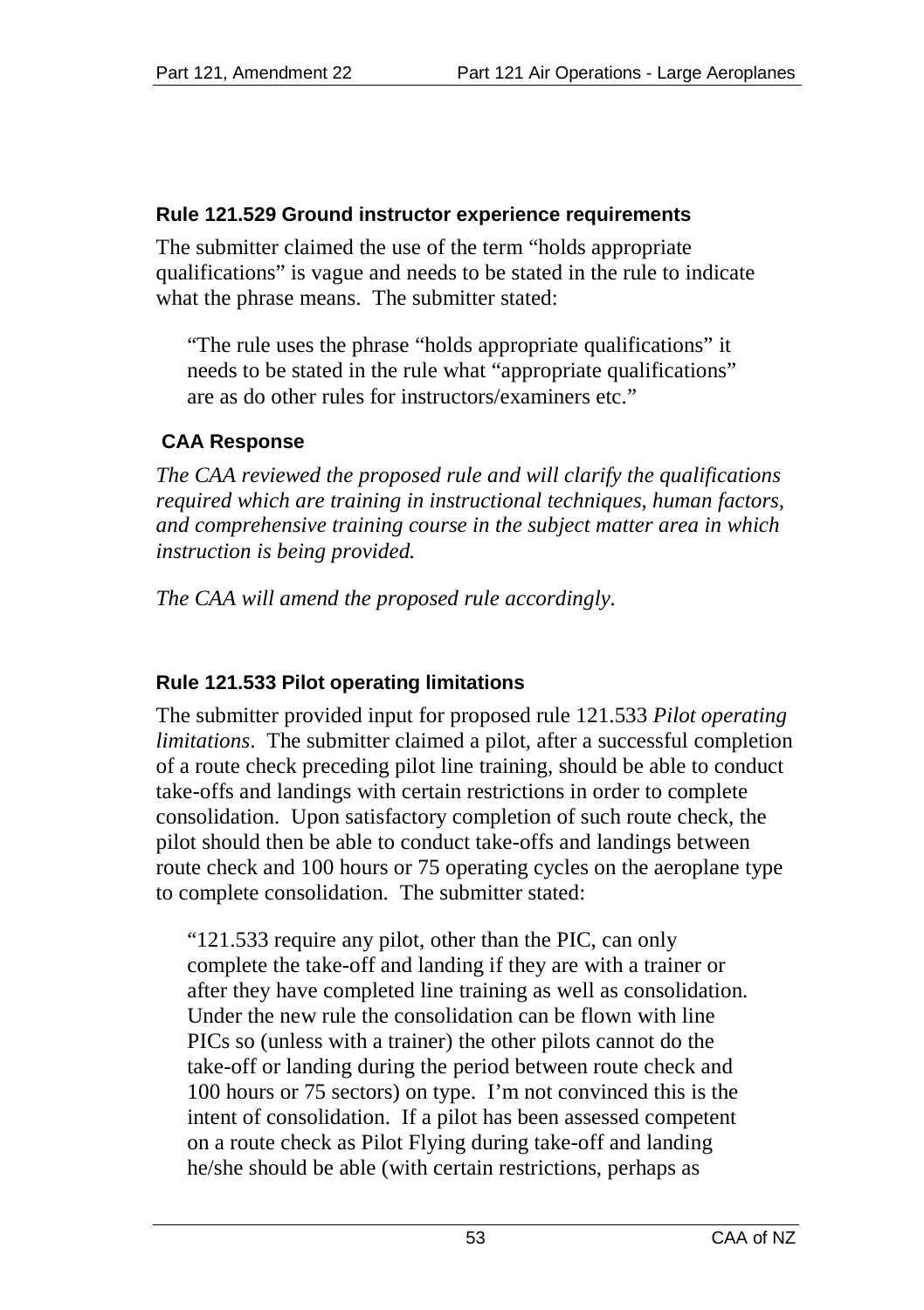#### **Rule 121.529 Ground instructor experience requirements**

The submitter claimed the use of the term "holds appropriate qualifications" is vague and needs to be stated in the rule to indicate what the phrase means. The submitter stated:

"The rule uses the phrase "holds appropriate qualifications" it needs to be stated in the rule what "appropriate qualifications" are as do other rules for instructors/examiners etc."

# **CAA Response**

*The CAA reviewed the proposed rule and will clarify the qualifications required which are training in instructional techniques, human factors, and comprehensive training course in the subject matter area in which instruction is being provided.*

*The CAA will amend the proposed rule accordingly.*

#### **Rule 121.533 Pilot operating limitations**

The submitter provided input for proposed rule 121.533 *Pilot operating limitations*. The submitter claimed a pilot, after a successful completion of a route check preceding pilot line training, should be able to conduct take-offs and landings with certain restrictions in order to complete consolidation. Upon satisfactory completion of such route check, the pilot should then be able to conduct take-offs and landings between route check and 100 hours or 75 operating cycles on the aeroplane type to complete consolidation. The submitter stated:

"121.533 require any pilot, other than the PIC, can only complete the take-off and landing if they are with a trainer or after they have completed line training as well as consolidation. Under the new rule the consolidation can be flown with line PICs so (unless with a trainer) the other pilots cannot do the take-off or landing during the period between route check and 100 hours or 75 sectors) on type. I'm not convinced this is the intent of consolidation. If a pilot has been assessed competent on a route check as Pilot Flying during take-off and landing he/she should be able (with certain restrictions, perhaps as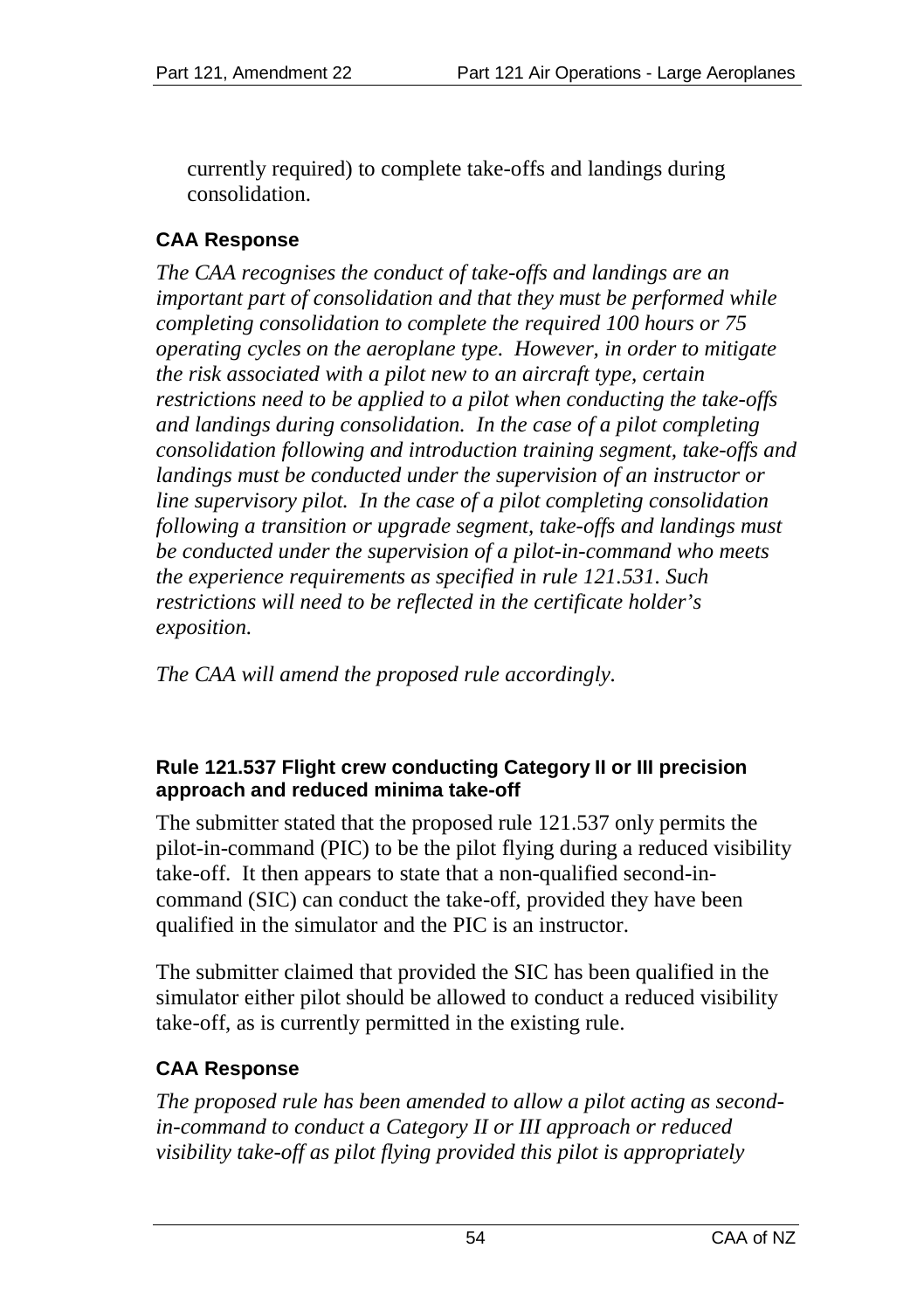currently required) to complete take-offs and landings during consolidation.

# **CAA Response**

*The CAA recognises the conduct of take-offs and landings are an important part of consolidation and that they must be performed while completing consolidation to complete the required 100 hours or 75 operating cycles on the aeroplane type. However, in order to mitigate the risk associated with a pilot new to an aircraft type, certain restrictions need to be applied to a pilot when conducting the take-offs and landings during consolidation. In the case of a pilot completing consolidation following and introduction training segment, take-offs and landings must be conducted under the supervision of an instructor or line supervisory pilot. In the case of a pilot completing consolidation following a transition or upgrade segment, take-offs and landings must be conducted under the supervision of a pilot-in-command who meets the experience requirements as specified in rule 121.531. Such restrictions will need to be reflected in the certificate holder's exposition.*

*The CAA will amend the proposed rule accordingly.*

#### **Rule 121.537 Flight crew conducting Category II or III precision approach and reduced minima take-off**

The submitter stated that the proposed rule 121.537 only permits the pilot-in-command (PIC) to be the pilot flying during a reduced visibility take-off. It then appears to state that a non-qualified second-incommand (SIC) can conduct the take-off, provided they have been qualified in the simulator and the PIC is an instructor.

The submitter claimed that provided the SIC has been qualified in the simulator either pilot should be allowed to conduct a reduced visibility take-off, as is currently permitted in the existing rule.

#### **CAA Response**

*The proposed rule has been amended to allow a pilot acting as secondin-command to conduct a Category II or III approach or reduced visibility take-off as pilot flying provided this pilot is appropriately*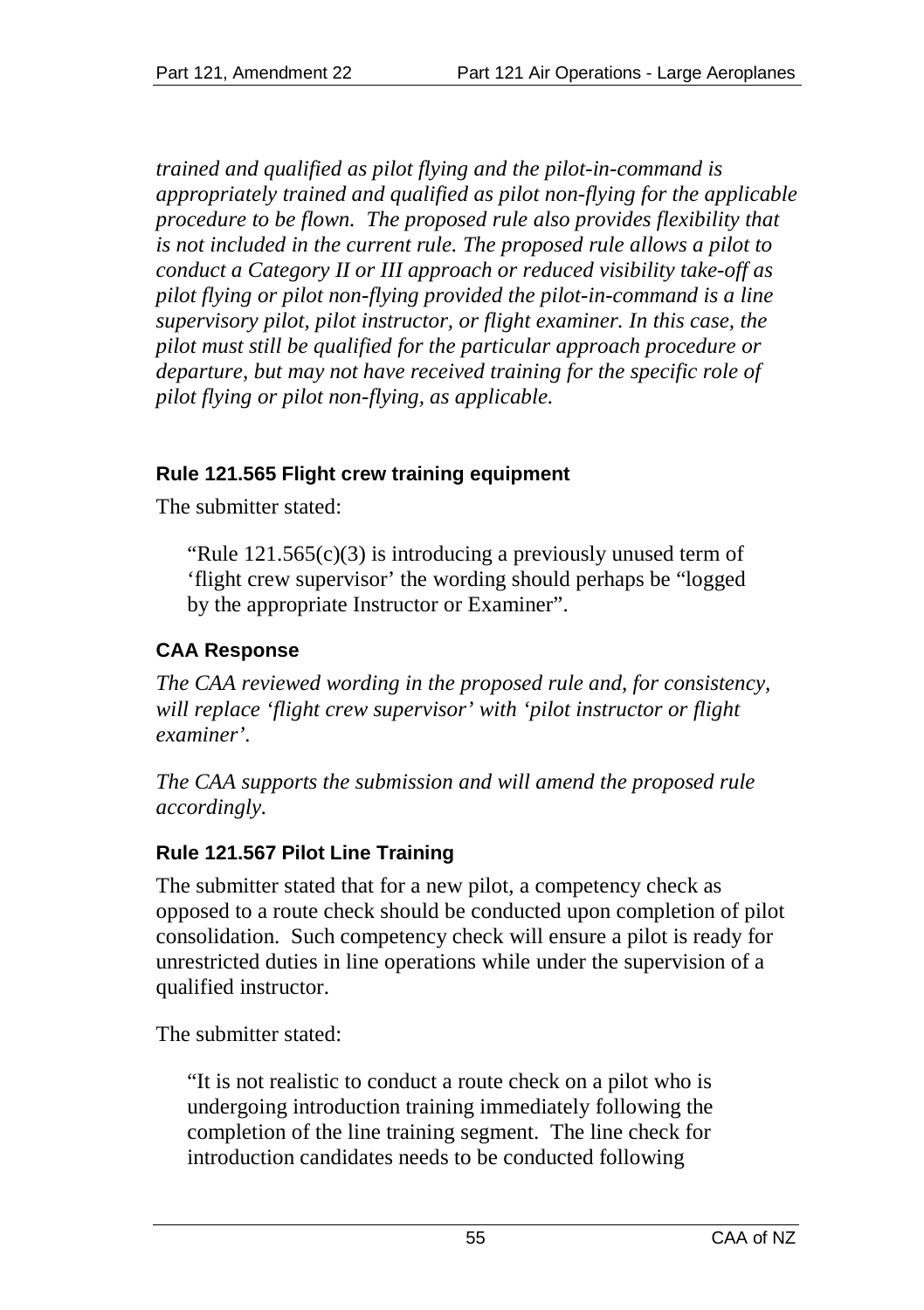*trained and qualified as pilot flying and the pilot-in-command is appropriately trained and qualified as pilot non-flying for the applicable procedure to be flown. The proposed rule also provides flexibility that is not included in the current rule. The proposed rule allows a pilot to conduct a Category II or III approach or reduced visibility take-off as pilot flying or pilot non-flying provided the pilot-in-command is a line supervisory pilot, pilot instructor, or flight examiner. In this case, the pilot must still be qualified for the particular approach procedure or departure, but may not have received training for the specific role of pilot flying or pilot non-flying, as applicable.*

#### **Rule 121.565 Flight crew training equipment**

The submitter stated:

"Rule  $121.565(c)(3)$  is introducing a previously unused term of 'flight crew supervisor' the wording should perhaps be "logged by the appropriate Instructor or Examiner".

## **CAA Response**

*The CAA reviewed wording in the proposed rule and, for consistency, will replace 'flight crew supervisor' with 'pilot instructor or flight examiner'.*

*The CAA supports the submission and will amend the proposed rule accordingly.*

#### **Rule 121.567 Pilot Line Training**

The submitter stated that for a new pilot, a competency check as opposed to a route check should be conducted upon completion of pilot consolidation. Such competency check will ensure a pilot is ready for unrestricted duties in line operations while under the supervision of a qualified instructor.

The submitter stated:

"It is not realistic to conduct a route check on a pilot who is undergoing introduction training immediately following the completion of the line training segment. The line check for introduction candidates needs to be conducted following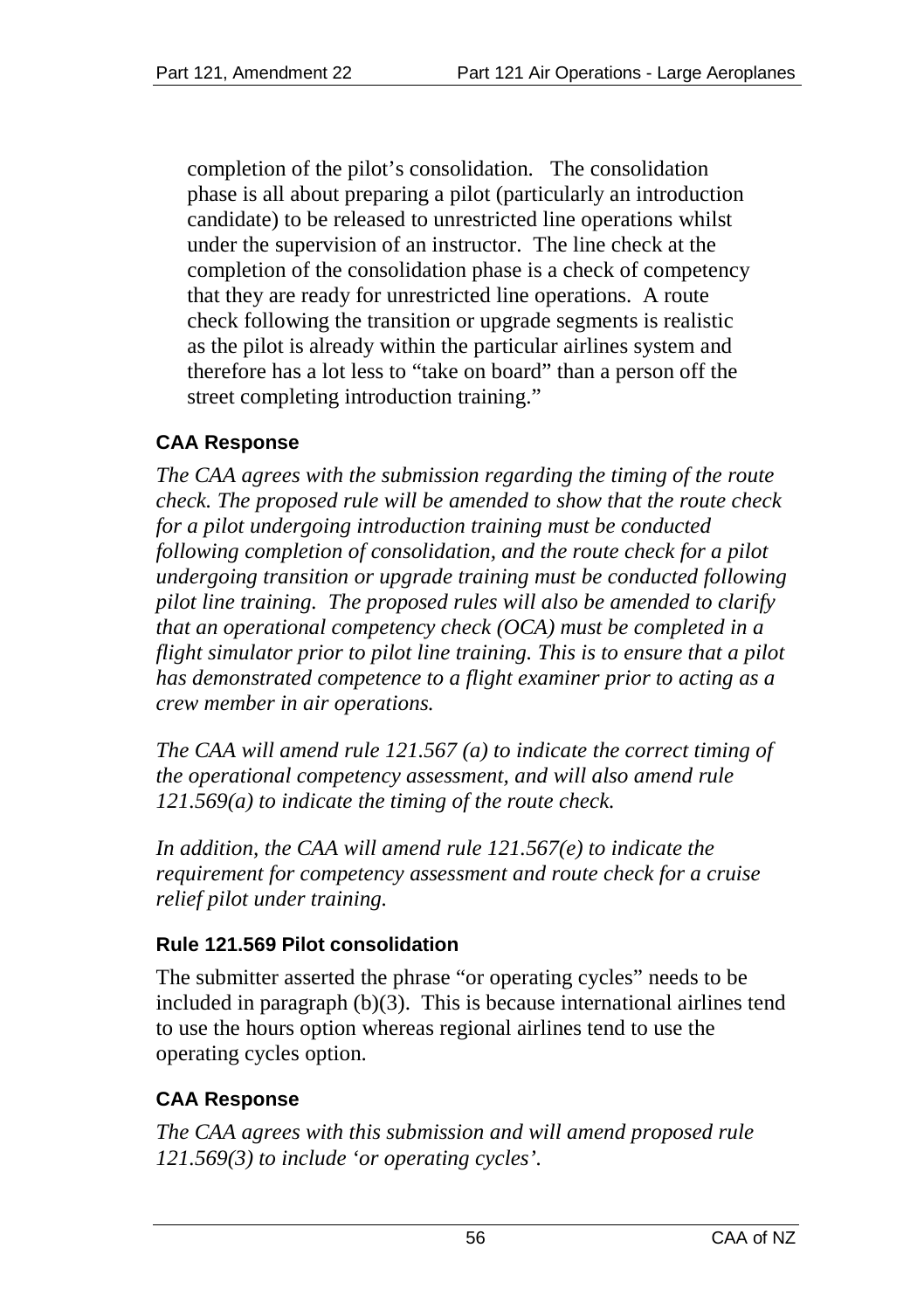completion of the pilot's consolidation. The consolidation phase is all about preparing a pilot (particularly an introduction candidate) to be released to unrestricted line operations whilst under the supervision of an instructor. The line check at the completion of the consolidation phase is a check of competency that they are ready for unrestricted line operations. A route check following the transition or upgrade segments is realistic as the pilot is already within the particular airlines system and therefore has a lot less to "take on board" than a person off the street completing introduction training."

#### **CAA Response**

*The CAA agrees with the submission regarding the timing of the route check. The proposed rule will be amended to show that the route check for a pilot undergoing introduction training must be conducted following completion of consolidation, and the route check for a pilot undergoing transition or upgrade training must be conducted following pilot line training. The proposed rules will also be amended to clarify that an operational competency check (OCA) must be completed in a flight simulator prior to pilot line training. This is to ensure that a pilot has demonstrated competence to a flight examiner prior to acting as a crew member in air operations.* 

*The CAA will amend rule 121.567 (a) to indicate the correct timing of the operational competency assessment, and will also amend rule 121.569(a) to indicate the timing of the route check.* 

*In addition, the CAA will amend rule 121.567(e) to indicate the requirement for competency assessment and route check for a cruise relief pilot under training.*

#### **Rule 121.569 Pilot consolidation**

The submitter asserted the phrase "or operating cycles" needs to be included in paragraph (b)(3). This is because international airlines tend to use the hours option whereas regional airlines tend to use the operating cycles option.

#### **CAA Response**

*The CAA agrees with this submission and will amend proposed rule 121.569(3) to include 'or operating cycles'.*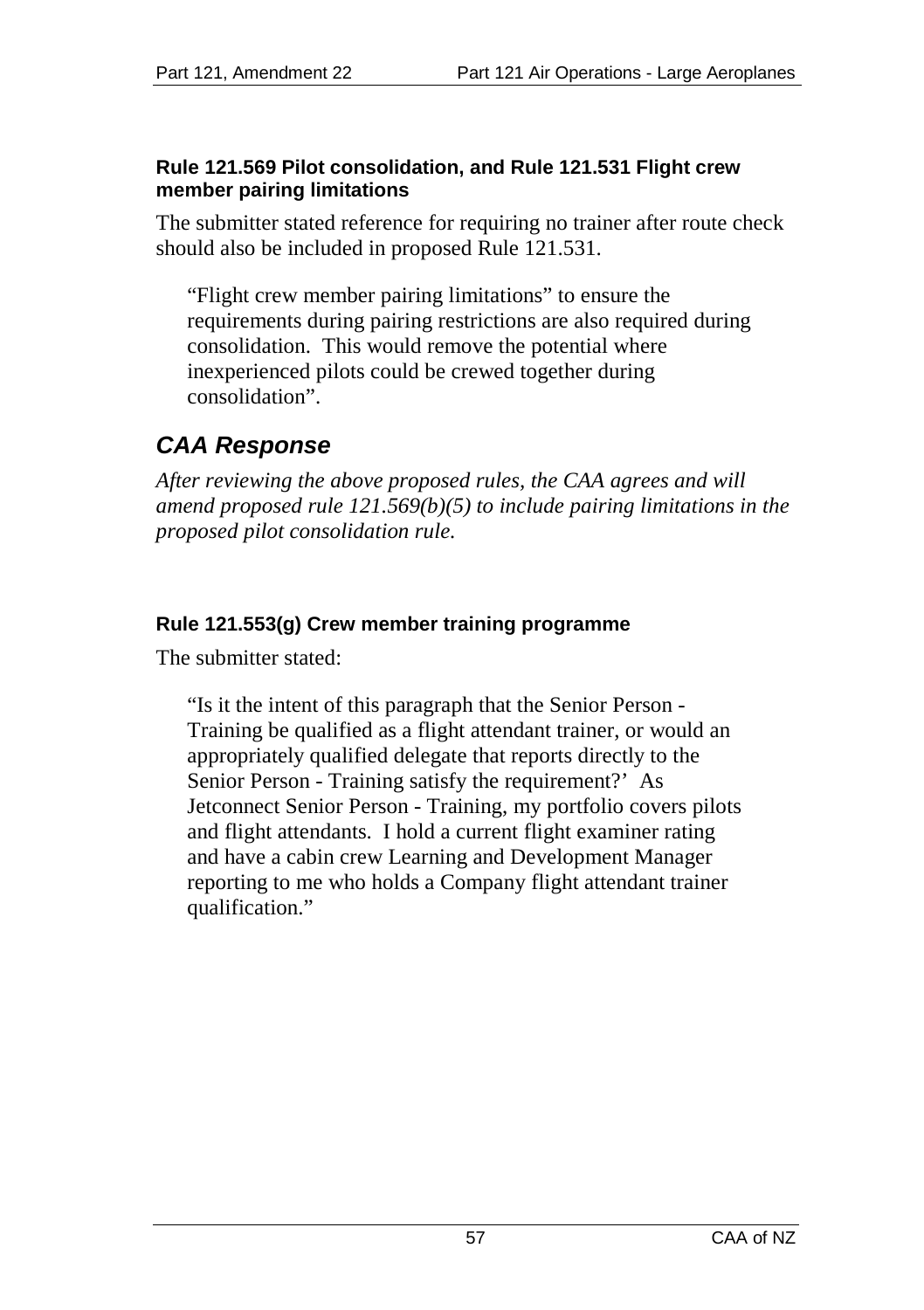#### **Rule 121.569 Pilot consolidation, and Rule 121.531 Flight crew member pairing limitations**

The submitter stated reference for requiring no trainer after route check should also be included in proposed Rule 121.531.

"Flight crew member pairing limitations" to ensure the requirements during pairing restrictions are also required during consolidation. This would remove the potential where inexperienced pilots could be crewed together during consolidation".

# *CAA Response*

*After reviewing the above proposed rules, the CAA agrees and will amend proposed rule 121.569(b)(5) to include pairing limitations in the proposed pilot consolidation rule.*

#### **Rule 121.553(g) Crew member training programme**

The submitter stated:

"Is it the intent of this paragraph that the Senior Person - Training be qualified as a flight attendant trainer, or would an appropriately qualified delegate that reports directly to the Senior Person - Training satisfy the requirement?' As Jetconnect Senior Person - Training, my portfolio covers pilots and flight attendants. I hold a current flight examiner rating and have a cabin crew Learning and Development Manager reporting to me who holds a Company flight attendant trainer qualification."